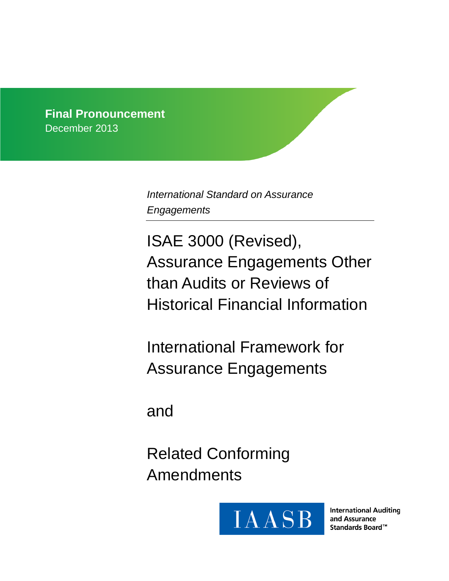**Final Pronouncement** December 2013

> *International Standard on Assurance Engagements*

ISAE 3000 (Revised), Assurance Engagements Other than Audits or Reviews of Historical Financial Information

International Framework for Assurance Engagements

and

Related Conforming Amendments



**International Auditing** and Assurance Standards Board™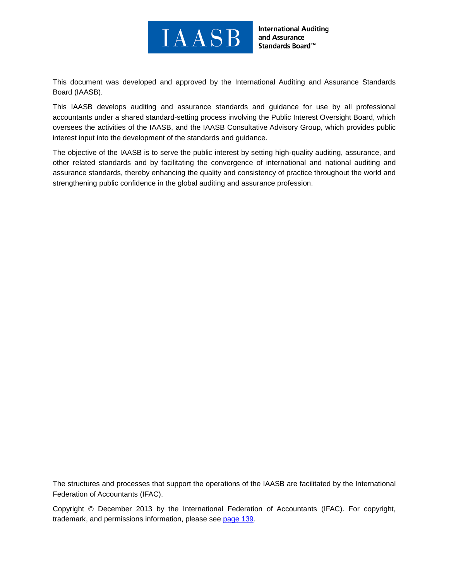

**International Auditing** and Assurance Standards Board<sup>™</sup>

This document was developed and approved by the International Auditing and Assurance Standards Board (IAASB).

This IAASB develops auditing and assurance standards and guidance for use by all professional accountants under a shared standard-setting process involving the Public Interest Oversight Board, which oversees the activities of the IAASB, and the IAASB Consultative Advisory Group, which provides public interest input into the development of the standards and guidance.

The objective of the IAASB is to serve the public interest by setting high-quality auditing, assurance, and other related standards and by facilitating the convergence of international and national auditing and assurance standards, thereby enhancing the quality and consistency of practice throughout the world and strengthening public confidence in the global auditing and assurance profession.

The structures and processes that support the operations of the IAASB are facilitated by the International Federation of Accountants (IFAC).

Copyright © December 2013 by the International Federation of Accountants (IFAC). For copyright, trademark, and permissions information, please see [page](#page-138-0) 139.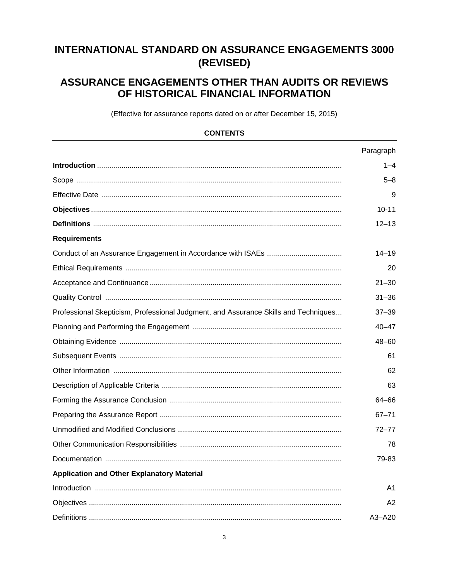# INTERNATIONAL STANDARD ON ASSURANCE ENGAGEMENTS 3000 (REVISED)

# ASSURANCE ENGAGEMENTS OTHER THAN AUDITS OR REVIEWS OF HISTORICAL FINANCIAL INFORMATION

(Effective for assurance reports dated on or after December 15, 2015)

# **CONTENTS**

|                                                                                     | Paragraph      |
|-------------------------------------------------------------------------------------|----------------|
|                                                                                     | $1 - 4$        |
|                                                                                     | $5 - 8$        |
|                                                                                     | 9              |
|                                                                                     | $10 - 11$      |
|                                                                                     | $12 - 13$      |
| <b>Requirements</b>                                                                 |                |
|                                                                                     | $14 - 19$      |
|                                                                                     | 20             |
|                                                                                     | $21 - 30$      |
|                                                                                     | $31 - 36$      |
| Professional Skepticism, Professional Judgment, and Assurance Skills and Techniques | $37 - 39$      |
|                                                                                     | $40 - 47$      |
|                                                                                     | $48 - 60$      |
|                                                                                     | 61             |
|                                                                                     | 62             |
|                                                                                     | 63             |
|                                                                                     | 64-66          |
|                                                                                     | $67 - 71$      |
|                                                                                     | $72 - 77$      |
|                                                                                     | 78             |
|                                                                                     | 79-83          |
| <b>Application and Other Explanatory Material</b>                                   |                |
|                                                                                     | A1             |
|                                                                                     | A <sub>2</sub> |
|                                                                                     | $A3 - A20$     |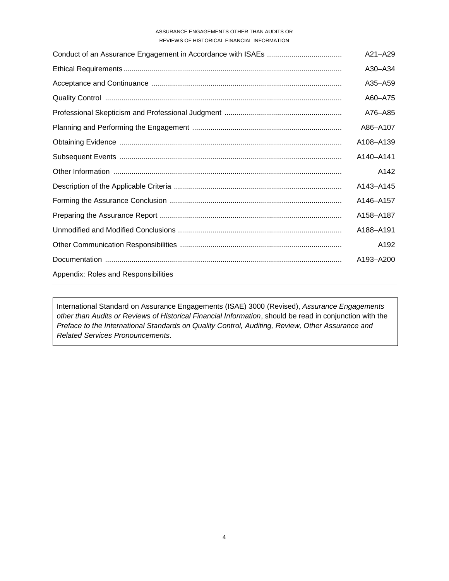#### ASSURANCE ENGAGEMENTS OTHER THAN AUDITS OR REVIEWS OF HISTORICAL FINANCIAL INFORMATION

|                                      | $A21 - A29$ |
|--------------------------------------|-------------|
|                                      | A30-A34     |
|                                      | A35-A59     |
|                                      | A60-A75     |
|                                      | A76-A85     |
|                                      | A86-A107    |
|                                      | A108-A139   |
|                                      | A140-A141   |
|                                      | A142        |
|                                      | A143-A145   |
|                                      | A146-A157   |
|                                      | A158-A187   |
|                                      | A188-A191   |
|                                      | A192        |
|                                      | A193-A200   |
| Appendix: Roles and Responsibilities |             |

International Standard on Assurance Engagements (ISAE) 3000 (Revised), *Assurance Engagements other than Audits or Reviews of Historical Financial Information*, should be read in conjunction with the *Preface to the International Standards on Quality Control, Auditing, Review, Other Assurance and Related Services Pronouncements*.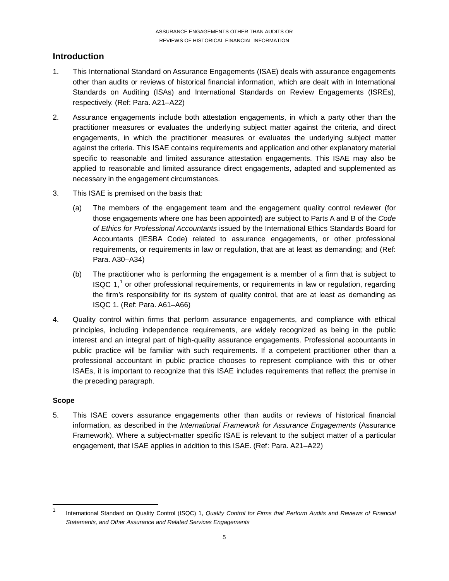# **Introduction**

- 1. This International Standard on Assurance Engagements (ISAE) deals with assurance engagements other than audits or reviews of historical financial information, which are dealt with in International Standards on Auditing (ISAs) and International Standards on Review Engagements (ISREs), respectively. (Ref: Para. A21–A22)
- 2. Assurance engagements include both attestation engagements, in which a party other than the practitioner measures or evaluates the underlying subject matter against the criteria, and direct engagements, in which the practitioner measures or evaluates the underlying subject matter against the criteria. This ISAE contains requirements and application and other explanatory material specific to reasonable and limited assurance attestation engagements. This ISAE may also be applied to reasonable and limited assurance direct engagements, adapted and supplemented as necessary in the engagement circumstances.
- 3. This ISAE is premised on the basis that:
	- (a) The members of the engagement team and the engagement quality control reviewer (for those engagements where one has been appointed) are subject to Parts A and B of the *Code of Ethics for Professional Accountants* issued by the International Ethics Standards Board for Accountants (IESBA Code) related to assurance engagements, or other professional requirements, or requirements in law or regulation, that are at least as demanding; and (Ref: Para. A30–A34)
	- (b) The practitioner who is performing the engagement is a member of a firm that is subject to ISQC  $1,1$  $1,1$ <sup>t</sup> or other professional requirements, or requirements in law or regulation, regarding the firm's responsibility for its system of quality control, that are at least as demanding as ISQC 1. (Ref: Para. A61–A66)
- 4. Quality control within firms that perform assurance engagements, and compliance with ethical principles, including independence requirements, are widely recognized as being in the public interest and an integral part of high-quality assurance engagements. Professional accountants in public practice will be familiar with such requirements. If a competent practitioner other than a professional accountant in public practice chooses to represent compliance with this or other ISAEs, it is important to recognize that this ISAE includes requirements that reflect the premise in the preceding paragraph.

# **Scope**

5. This ISAE covers assurance engagements other than audits or reviews of historical financial information, as described in the *International Framework for Assurance Engagements* (Assurance Framework). Where a subject-matter specific ISAE is relevant to the subject matter of a particular engagement, that ISAE applies in addition to this ISAE. (Ref: Para. A21–A22)

<span id="page-4-0"></span> $\mathbf{1}$ <sup>1</sup> International Standard on Quality Control (ISQC) 1, *Quality Control for Firms that Perform Audits and Reviews of Financial Statements, and Other Assurance and Related Services Engagements*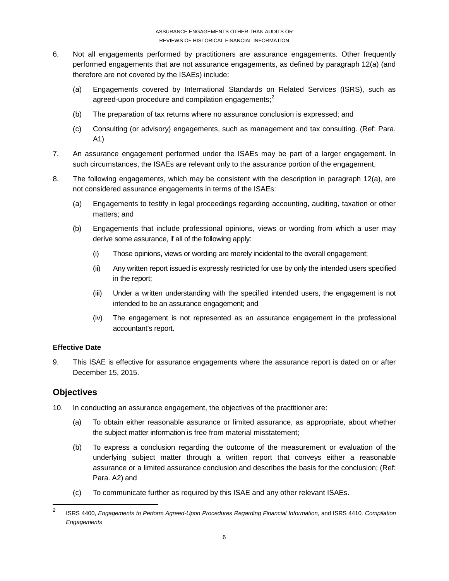- 6. Not all engagements performed by practitioners are assurance engagements. Other frequently performed engagements that are not assurance engagements, as defined by paragraph 12(a) (and therefore are not covered by the ISAEs) include:
	- (a) Engagements covered by International Standards on Related Services (ISRS), such as agreed-upon procedure and compilation engagements; $<sup>2</sup>$  $<sup>2</sup>$  $<sup>2</sup>$ </sup>
	- (b) The preparation of tax returns where no assurance conclusion is expressed; and
	- (c) Consulting (or advisory) engagements, such as management and tax consulting. (Ref: Para. A1)
- 7. An assurance engagement performed under the ISAEs may be part of a larger engagement. In such circumstances, the ISAEs are relevant only to the assurance portion of the engagement.
- 8. The following engagements, which may be consistent with the description in paragraph 12(a), are not considered assurance engagements in terms of the ISAEs:
	- (a) Engagements to testify in legal proceedings regarding accounting, auditing, taxation or other matters; and
	- (b) Engagements that include professional opinions, views or wording from which a user may derive some assurance, if all of the following apply:
		- (i) Those opinions, views or wording are merely incidental to the overall engagement;
		- (ii) Any written report issued is expressly restricted for use by only the intended users specified in the report;
		- (iii) Under a written understanding with the specified intended users, the engagement is not intended to be an assurance engagement; and
		- (iv) The engagement is not represented as an assurance engagement in the professional accountant's report.

# **Effective Date**

9. This ISAE is effective for assurance engagements where the assurance report is dated on or after December 15, 2015.

# **Objectives**

- 10. In conducting an assurance engagement, the objectives of the practitioner are:
	- (a) To obtain either reasonable assurance or limited assurance, as appropriate, about whether the subject matter information is free from material misstatement;
	- (b) To express a conclusion regarding the outcome of the measurement or evaluation of the underlying subject matter through a written report that conveys either a reasonable assurance or a limited assurance conclusion and describes the basis for the conclusion; (Ref: Para. A2) and
	- (c) To communicate further as required by this ISAE and any other relevant ISAEs.

<span id="page-5-0"></span> $\overline{2}$ <sup>2</sup> ISRS 4400, *Engagements to Perform Agreed-Upon Procedures Regarding Financial Information*, and ISRS 4410*, Compilation Engagements*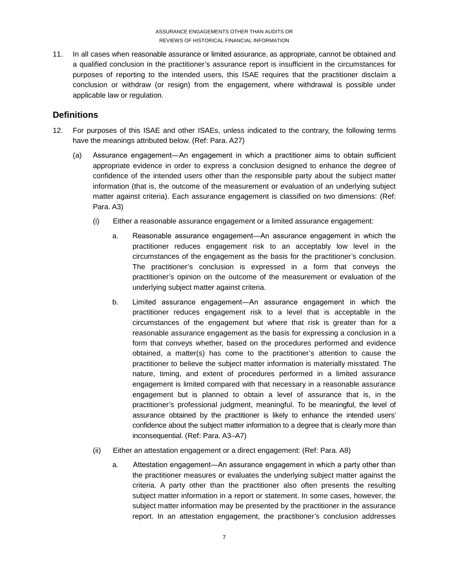11. In all cases when reasonable assurance or limited assurance, as appropriate, cannot be obtained and a qualified conclusion in the practitioner's assurance report is insufficient in the circumstances for purposes of reporting to the intended users, this ISAE requires that the practitioner disclaim a conclusion or withdraw (or resign) from the engagement, where withdrawal is possible under applicable law or regulation.

# **Definitions**

- 12. For purposes of this ISAE and other ISAEs, unless indicated to the contrary, the following terms have the meanings attributed below. (Ref: Para. A27)
	- (a) Assurance engagement―An engagement in which a practitioner aims to obtain sufficient appropriate evidence in order to express a conclusion designed to enhance the degree of confidence of the intended users other than the responsible party about the subject matter information (that is, the outcome of the measurement or evaluation of an underlying subject matter against criteria). Each assurance engagement is classified on two dimensions: (Ref: Para. A3)
		- (i) Either a reasonable assurance engagement or a limited assurance engagement:
			- a. Reasonable assurance engagement―An assurance engagement in which the practitioner reduces engagement risk to an acceptably low level in the circumstances of the engagement as the basis for the practitioner's conclusion. The practitioner's conclusion is expressed in a form that conveys the practitioner's opinion on the outcome of the measurement or evaluation of the underlying subject matter against criteria.
			- b. Limited assurance engagement―An assurance engagement in which the practitioner reduces engagement risk to a level that is acceptable in the circumstances of the engagement but where that risk is greater than for a reasonable assurance engagement as the basis for expressing a conclusion in a form that conveys whether, based on the procedures performed and evidence obtained, a matter(s) has come to the practitioner's attention to cause the practitioner to believe the subject matter information is materially misstated. The nature, timing, and extent of procedures performed in a limited assurance engagement is limited compared with that necessary in a reasonable assurance engagement but is planned to obtain a level of assurance that is, in the practitioner's professional judgment, meaningful. To be meaningful, the level of assurance obtained by the practitioner is likely to enhance the intended users' confidence about the subject matter information to a degree that is clearly more than inconsequential. (Ref: Para. A3–A7)
		- (ii) Either an attestation engagement or a direct engagement: (Ref: Para. A8)
			- a. Attestation engagement―An assurance engagement in which a party other than the practitioner measures or evaluates the underlying subject matter against the criteria. A party other than the practitioner also often presents the resulting subject matter information in a report or statement. In some cases, however, the subject matter information may be presented by the practitioner in the assurance report. In an attestation engagement, the practitioner's conclusion addresses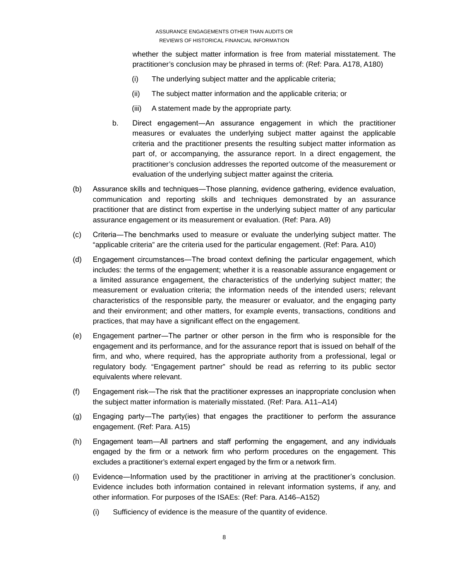whether the subject matter information is free from material misstatement. The practitioner's conclusion may be phrased in terms of: (Ref: Para. A178, A180)

- (i) The underlying subject matter and the applicable criteria;
- (ii) The subject matter information and the applicable criteria; or
- (iii) A statement made by the appropriate party.
- b. Direct engagement―An assurance engagement in which the practitioner measures or evaluates the underlying subject matter against the applicable criteria and the practitioner presents the resulting subject matter information as part of, or accompanying, the assurance report. In a direct engagement, the practitioner's conclusion addresses the reported outcome of the measurement or evaluation of the underlying subject matter against the criteria*.*
- (b) Assurance skills and techniques―Those planning, evidence gathering, evidence evaluation, communication and reporting skills and techniques demonstrated by an assurance practitioner that are distinct from expertise in the underlying subject matter of any particular assurance engagement or its measurement or evaluation. (Ref: Para. A9)
- (c) Criteria―The benchmarks used to measure or evaluate the underlying subject matter. The "applicable criteria" are the criteria used for the particular engagement. (Ref: Para. A10)
- (d) Engagement circumstances―The broad context defining the particular engagement, which includes: the terms of the engagement; whether it is a reasonable assurance engagement or a limited assurance engagement, the characteristics of the underlying subject matter; the measurement or evaluation criteria; the information needs of the intended users; relevant characteristics of the responsible party, the measurer or evaluator, and the engaging party and their environment; and other matters, for example events, transactions, conditions and practices, that may have a significant effect on the engagement.
- (e) Engagement partner―The partner or other person in the firm who is responsible for the engagement and its performance, and for the assurance report that is issued on behalf of the firm, and who, where required, has the appropriate authority from a professional, legal or regulatory body. "Engagement partner" should be read as referring to its public sector equivalents where relevant.
- (f) Engagement risk―The risk that the practitioner expresses an inappropriate conclusion when the subject matter information is materially misstated. (Ref: Para. A11–A14)
- (g) Engaging party―The party(ies) that engages the practitioner to perform the assurance engagement. (Ref: Para. A15)
- (h) Engagement team―All partners and staff performing the engagement, and any individuals engaged by the firm or a network firm who perform procedures on the engagement. This excludes a practitioner's external expert engaged by the firm or a network firm.
- (i) Evidence―Information used by the practitioner in arriving at the practitioner's conclusion. Evidence includes both information contained in relevant information systems, if any, and other information. For purposes of the ISAEs: (Ref: Para. A146–A152)
	- (i) Sufficiency of evidence is the measure of the quantity of evidence.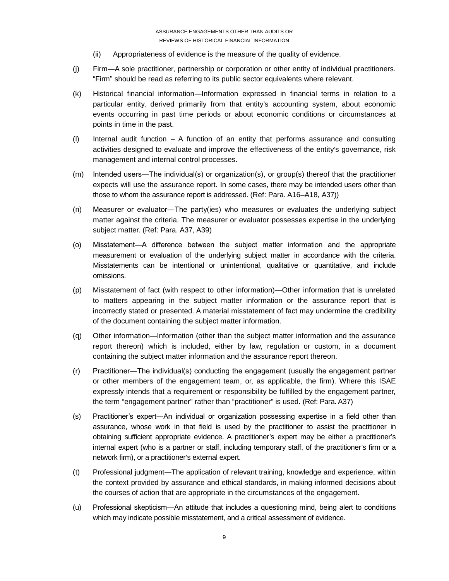- (ii) Appropriateness of evidence is the measure of the quality of evidence.
- (j) Firm―A sole practitioner, partnership or corporation or other entity of individual practitioners. "Firm" should be read as referring to its public sector equivalents where relevant.
- (k) Historical financial information―Information expressed in financial terms in relation to a particular entity, derived primarily from that entity's accounting system, about economic events occurring in past time periods or about economic conditions or circumstances at points in time in the past.
- (l) Internal audit function A function of an entity that performs assurance and consulting activities designed to evaluate and improve the effectiveness of the entity's governance, risk management and internal control processes.
- (m) Intended users―The individual(s) or organization(s), or group(s) thereof that the practitioner expects will use the assurance report. In some cases, there may be intended users other than those to whom the assurance report is addressed. (Ref: Para. A16–A18, A37))
- (n) Measurer or evaluator―The party(ies) who measures or evaluates the underlying subject matter against the criteria. The measurer or evaluator possesses expertise in the underlying subject matter. (Ref: Para. A37, A39)
- (o) Misstatement―A difference between the subject matter information and the appropriate measurement or evaluation of the underlying subject matter in accordance with the criteria. Misstatements can be intentional or unintentional, qualitative or quantitative, and include omissions.
- (p) Misstatement of fact (with respect to other information)―Other information that is unrelated to matters appearing in the subject matter information or the assurance report that is incorrectly stated or presented. A material misstatement of fact may undermine the credibility of the document containing the subject matter information.
- (q) Other information―Information (other than the subject matter information and the assurance report thereon) which is included, either by law, regulation or custom, in a document containing the subject matter information and the assurance report thereon.
- (r) Practitioner―The individual(s) conducting the engagement (usually the engagement partner or other members of the engagement team, or, as applicable, the firm). Where this ISAE expressly intends that a requirement or responsibility be fulfilled by the engagement partner, the term "engagement partner" rather than "practitioner" is used. (Ref: Para. A37)
- (s) Practitioner's expert―An individual or organization possessing expertise in a field other than assurance, whose work in that field is used by the practitioner to assist the practitioner in obtaining sufficient appropriate evidence. A practitioner's expert may be either a practitioner's internal expert (who is a partner or staff, including temporary staff, of the practitioner's firm or a network firm), or a practitioner's external expert.
- (t) Professional judgment―The application of relevant training, knowledge and experience, within the context provided by assurance and ethical standards, in making informed decisions about the courses of action that are appropriate in the circumstances of the engagement.
- (u) Professional skepticism―An attitude that includes a questioning mind, being alert to conditions which may indicate possible misstatement, and a critical assessment of evidence.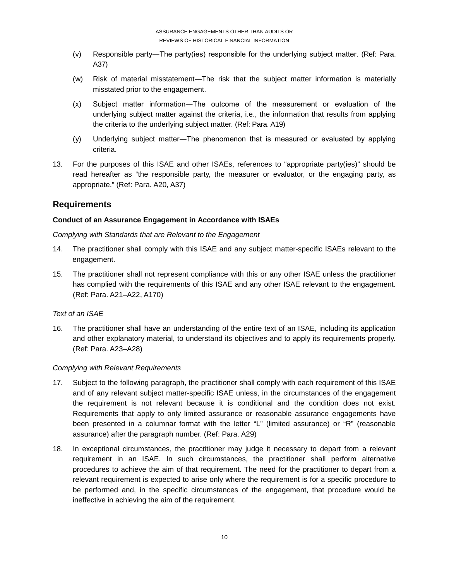- (v) Responsible party―The party(ies) responsible for the underlying subject matter. (Ref: Para. A37)
- (w) Risk of material misstatement―The risk that the subject matter information is materially misstated prior to the engagement.
- (x) Subject matter information―The outcome of the measurement or evaluation of the underlying subject matter against the criteria, i.e., the information that results from applying the criteria to the underlying subject matter. (Ref: Para. A19)
- (y) Underlying subject matter―The phenomenon that is measured or evaluated by applying criteria.
- 13. For the purposes of this ISAE and other ISAEs, references to "appropriate party(ies)" should be read hereafter as "the responsible party, the measurer or evaluator, or the engaging party, as appropriate." (Ref: Para. A20, A37)

# **Requirements**

# **Conduct of an Assurance Engagement in Accordance with ISAEs**

*Complying with Standards that are Relevant to the Engagement* 

- 14. The practitioner shall comply with this ISAE and any subject matter-specific ISAEs relevant to the engagement.
- 15. The practitioner shall not represent compliance with this or any other ISAE unless the practitioner has complied with the requirements of this ISAE and any other ISAE relevant to the engagement. (Ref: Para. A21–A22, A170)

# *Text of an ISAE*

16. The practitioner shall have an understanding of the entire text of an ISAE, including its application and other explanatory material, to understand its objectives and to apply its requirements properly. (Ref: Para. A23–A28)

# *Complying with Relevant Requirements*

- 17. Subject to the following paragraph, the practitioner shall comply with each requirement of this ISAE and of any relevant subject matter-specific ISAE unless, in the circumstances of the engagement the requirement is not relevant because it is conditional and the condition does not exist. Requirements that apply to only limited assurance or reasonable assurance engagements have been presented in a columnar format with the letter "L" (limited assurance) or "R" (reasonable assurance) after the paragraph number. (Ref: Para. A29)
- 18. In exceptional circumstances, the practitioner may judge it necessary to depart from a relevant requirement in an ISAE. In such circumstances, the practitioner shall perform alternative procedures to achieve the aim of that requirement. The need for the practitioner to depart from a relevant requirement is expected to arise only where the requirement is for a specific procedure to be performed and, in the specific circumstances of the engagement, that procedure would be ineffective in achieving the aim of the requirement.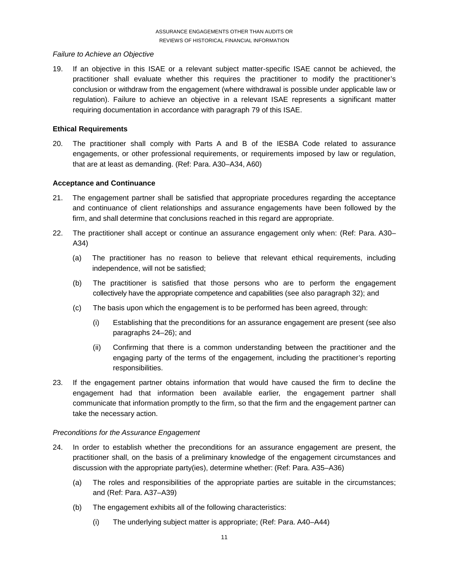#### *Failure to Achieve an Objective*

19. If an objective in this ISAE or a relevant subject matter-specific ISAE cannot be achieved, the practitioner shall evaluate whether this requires the practitioner to modify the practitioner's conclusion or withdraw from the engagement (where withdrawal is possible under applicable law or regulation). Failure to achieve an objective in a relevant ISAE represents a significant matter requiring documentation in accordance with paragraph 79 of this ISAE.

# **Ethical Requirements**

20. The practitioner shall comply with Parts A and B of the IESBA Code related to assurance engagements, or other professional requirements, or requirements imposed by law or regulation, that are at least as demanding. (Ref: Para. A30–A34, A60)

# **Acceptance and Continuance**

- 21. The engagement partner shall be satisfied that appropriate procedures regarding the acceptance and continuance of client relationships and assurance engagements have been followed by the firm, and shall determine that conclusions reached in this regard are appropriate.
- 22. The practitioner shall accept or continue an assurance engagement only when: (Ref: Para. A30– A34)
	- (a) The practitioner has no reason to believe that relevant ethical requirements, including independence, will not be satisfied;
	- (b) The practitioner is satisfied that those persons who are to perform the engagement collectively have the appropriate competence and capabilities (see also paragraph 32); and
	- (c) The basis upon which the engagement is to be performed has been agreed, through:
		- (i) Establishing that the preconditions for an assurance engagement are present (see also paragraphs 24–26); and
		- (ii) Confirming that there is a common understanding between the practitioner and the engaging party of the terms of the engagement, including the practitioner's reporting responsibilities.
- 23. If the engagement partner obtains information that would have caused the firm to decline the engagement had that information been available earlier, the engagement partner shall communicate that information promptly to the firm, so that the firm and the engagement partner can take the necessary action.

#### *Preconditions for the Assurance Engagement*

- 24. In order to establish whether the preconditions for an assurance engagement are present, the practitioner shall, on the basis of a preliminary knowledge of the engagement circumstances and discussion with the appropriate party(ies), determine whether: (Ref: Para. A35–A36)
	- (a) The roles and responsibilities of the appropriate parties are suitable in the circumstances; and (Ref: Para. A37–A39)
	- (b) The engagement exhibits all of the following characteristics:
		- (i) The underlying subject matter is appropriate; (Ref: Para. A40–A44)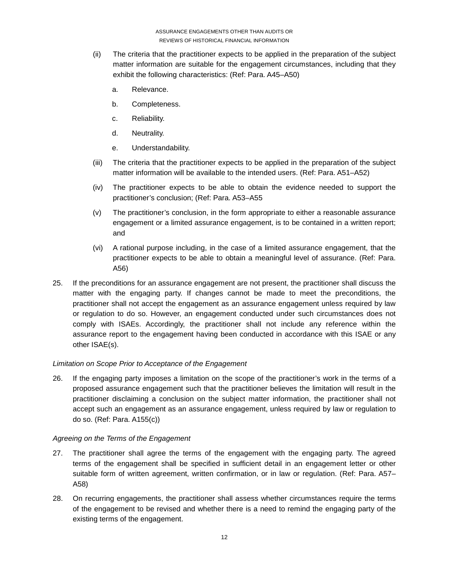- (ii) The criteria that the practitioner expects to be applied in the preparation of the subject matter information are suitable for the engagement circumstances, including that they exhibit the following characteristics: (Ref: Para. A45–A50)
	- a. Relevance.
	- b. Completeness.
	- c. Reliability.
	- d. Neutrality.
	- e. Understandability.
- (iii) The criteria that the practitioner expects to be applied in the preparation of the subject matter information will be available to the intended users. (Ref: Para. A51–A52)
- (iv) The practitioner expects to be able to obtain the evidence needed to support the practitioner's conclusion; (Ref: Para. A53–A55
- (v) The practitioner's conclusion, in the form appropriate to either a reasonable assurance engagement or a limited assurance engagement, is to be contained in a written report; and
- (vi) A rational purpose including, in the case of a limited assurance engagement, that the practitioner expects to be able to obtain a meaningful level of assurance. (Ref: Para. A56)
- 25. If the preconditions for an assurance engagement are not present, the practitioner shall discuss the matter with the engaging party. If changes cannot be made to meet the preconditions, the practitioner shall not accept the engagement as an assurance engagement unless required by law or regulation to do so. However, an engagement conducted under such circumstances does not comply with ISAEs. Accordingly, the practitioner shall not include any reference within the assurance report to the engagement having been conducted in accordance with this ISAE or any other ISAE(s).

# *Limitation on Scope Prior to Acceptance of the Engagement*

26. If the engaging party imposes a limitation on the scope of the practitioner's work in the terms of a proposed assurance engagement such that the practitioner believes the limitation will result in the practitioner disclaiming a conclusion on the subject matter information, the practitioner shall not accept such an engagement as an assurance engagement, unless required by law or regulation to do so. (Ref: Para. A155(c))

# *Agreeing on the Terms of the Engagement*

- 27. The practitioner shall agree the terms of the engagement with the engaging party. The agreed terms of the engagement shall be specified in sufficient detail in an engagement letter or other suitable form of written agreement, written confirmation, or in law or regulation. (Ref: Para. A57– A58)
- 28. On recurring engagements, the practitioner shall assess whether circumstances require the terms of the engagement to be revised and whether there is a need to remind the engaging party of the existing terms of the engagement.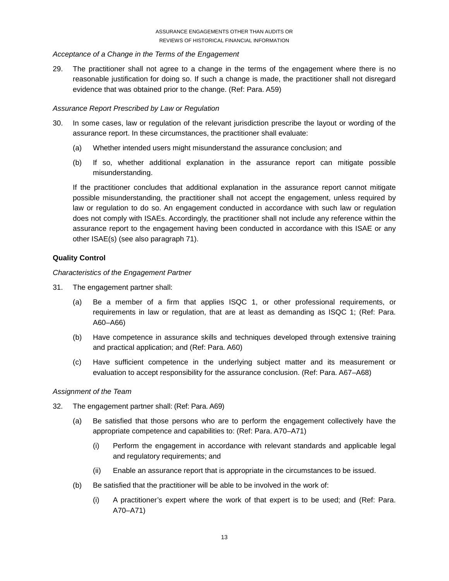# *Acceptance of a Change in the Terms of the Engagement*

29. The practitioner shall not agree to a change in the terms of the engagement where there is no reasonable justification for doing so. If such a change is made, the practitioner shall not disregard evidence that was obtained prior to the change. (Ref: Para. A59)

# *Assurance Report Prescribed by Law or Regulation*

- 30. In some cases, law or regulation of the relevant jurisdiction prescribe the layout or wording of the assurance report. In these circumstances, the practitioner shall evaluate:
	- (a) Whether intended users might misunderstand the assurance conclusion; and
	- (b) If so, whether additional explanation in the assurance report can mitigate possible misunderstanding.

If the practitioner concludes that additional explanation in the assurance report cannot mitigate possible misunderstanding, the practitioner shall not accept the engagement, unless required by law or regulation to do so. An engagement conducted in accordance with such law or regulation does not comply with ISAEs. Accordingly, the practitioner shall not include any reference within the assurance report to the engagement having been conducted in accordance with this ISAE or any other ISAE(s) (see also paragraph 71).

# **Quality Control**

# *Characteristics of the Engagement Partner*

- 31. The engagement partner shall:
	- (a) Be a member of a firm that applies ISQC 1, or other professional requirements, or requirements in law or regulation, that are at least as demanding as ISQC 1; (Ref: Para. A60–A66)
	- (b) Have competence in assurance skills and techniques developed through extensive training and practical application; and (Ref: Para. A60)
	- (c) Have sufficient competence in the underlying subject matter and its measurement or evaluation to accept responsibility for the assurance conclusion. (Ref: Para. A67–A68)

#### *Assignment of the Team*

- 32. The engagement partner shall: (Ref: Para. A69)
	- (a) Be satisfied that those persons who are to perform the engagement collectively have the appropriate competence and capabilities to: (Ref: Para. A70–A71)
		- (i) Perform the engagement in accordance with relevant standards and applicable legal and regulatory requirements; and
		- (ii) Enable an assurance report that is appropriate in the circumstances to be issued.
	- (b) Be satisfied that the practitioner will be able to be involved in the work of:
		- (i) A practitioner's expert where the work of that expert is to be used; and (Ref: Para. A70–A71)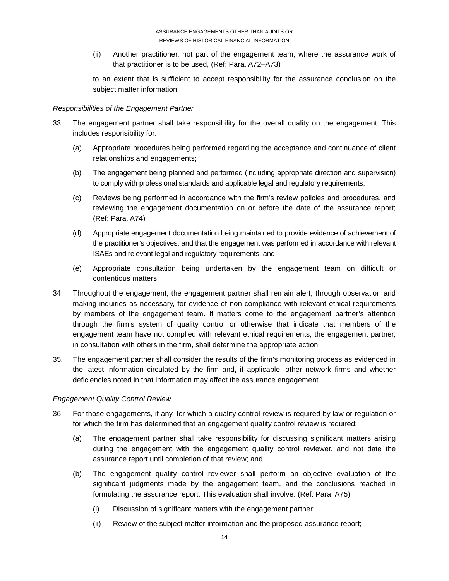(ii) Another practitioner, not part of the engagement team, where the assurance work of that practitioner is to be used, (Ref: Para. A72–A73)

to an extent that is sufficient to accept responsibility for the assurance conclusion on the subject matter information.

#### *Responsibilities of the Engagement Partner*

- 33. The engagement partner shall take responsibility for the overall quality on the engagement. This includes responsibility for:
	- (a) Appropriate procedures being performed regarding the acceptance and continuance of client relationships and engagements;
	- (b) The engagement being planned and performed (including appropriate direction and supervision) to comply with professional standards and applicable legal and regulatory requirements;
	- (c) Reviews being performed in accordance with the firm's review policies and procedures, and reviewing the engagement documentation on or before the date of the assurance report; (Ref: Para. A74)
	- (d) Appropriate engagement documentation being maintained to provide evidence of achievement of the practitioner's objectives, and that the engagement was performed in accordance with relevant ISAEs and relevant legal and regulatory requirements; and
	- (e) Appropriate consultation being undertaken by the engagement team on difficult or contentious matters.
- 34. Throughout the engagement, the engagement partner shall remain alert, through observation and making inquiries as necessary, for evidence of non-compliance with relevant ethical requirements by members of the engagement team. If matters come to the engagement partner's attention through the firm's system of quality control or otherwise that indicate that members of the engagement team have not complied with relevant ethical requirements, the engagement partner, in consultation with others in the firm, shall determine the appropriate action.
- 35. The engagement partner shall consider the results of the firm's monitoring process as evidenced in the latest information circulated by the firm and, if applicable, other network firms and whether deficiencies noted in that information may affect the assurance engagement.

# *Engagement Quality Control Review*

- 36. For those engagements, if any, for which a quality control review is required by law or regulation or for which the firm has determined that an engagement quality control review is required:
	- (a) The engagement partner shall take responsibility for discussing significant matters arising during the engagement with the engagement quality control reviewer, and not date the assurance report until completion of that review; and
	- (b) The engagement quality control reviewer shall perform an objective evaluation of the significant judgments made by the engagement team, and the conclusions reached in formulating the assurance report. This evaluation shall involve: (Ref: Para. A75)
		- (i) Discussion of significant matters with the engagement partner;
		- (ii) Review of the subject matter information and the proposed assurance report;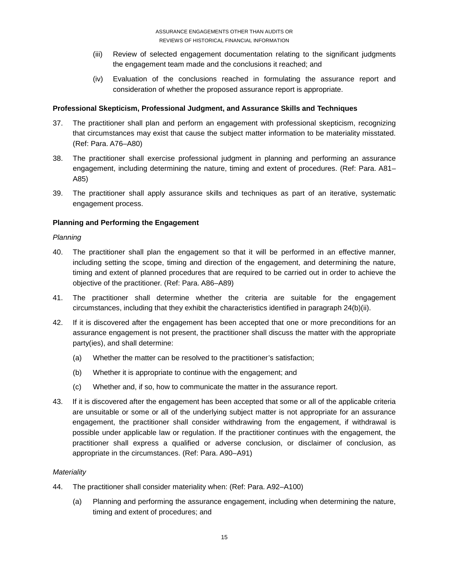- (iii) Review of selected engagement documentation relating to the significant judgments the engagement team made and the conclusions it reached; and
- (iv) Evaluation of the conclusions reached in formulating the assurance report and consideration of whether the proposed assurance report is appropriate.

#### **Professional Skepticism, Professional Judgment, and Assurance Skills and Techniques**

- 37. The practitioner shall plan and perform an engagement with professional skepticism, recognizing that circumstances may exist that cause the subject matter information to be materiality misstated. (Ref: Para. A76–A80)
- 38. The practitioner shall exercise professional judgment in planning and performing an assurance engagement, including determining the nature, timing and extent of procedures. (Ref: Para. A81– A85)
- 39. The practitioner shall apply assurance skills and techniques as part of an iterative, systematic engagement process.

# **Planning and Performing the Engagement**

#### *Planning*

- 40. The practitioner shall plan the engagement so that it will be performed in an effective manner, including setting the scope, timing and direction of the engagement, and determining the nature, timing and extent of planned procedures that are required to be carried out in order to achieve the objective of the practitioner. (Ref: Para. A86–A89)
- 41. The practitioner shall determine whether the criteria are suitable for the engagement circumstances, including that they exhibit the characteristics identified in paragraph 24(b)(ii).
- 42. If it is discovered after the engagement has been accepted that one or more preconditions for an assurance engagement is not present, the practitioner shall discuss the matter with the appropriate party(ies), and shall determine:
	- (a) Whether the matter can be resolved to the practitioner's satisfaction;
	- (b) Whether it is appropriate to continue with the engagement; and
	- (c) Whether and, if so, how to communicate the matter in the assurance report.
- 43. If it is discovered after the engagement has been accepted that some or all of the applicable criteria are unsuitable or some or all of the underlying subject matter is not appropriate for an assurance engagement, the practitioner shall consider withdrawing from the engagement, if withdrawal is possible under applicable law or regulation. If the practitioner continues with the engagement, the practitioner shall express a qualified or adverse conclusion, or disclaimer of conclusion, as appropriate in the circumstances. (Ref: Para. A90–A91)

#### *Materiality*

- 44. The practitioner shall consider materiality when: (Ref: Para. A92–A100)
	- (a) Planning and performing the assurance engagement, including when determining the nature, timing and extent of procedures; and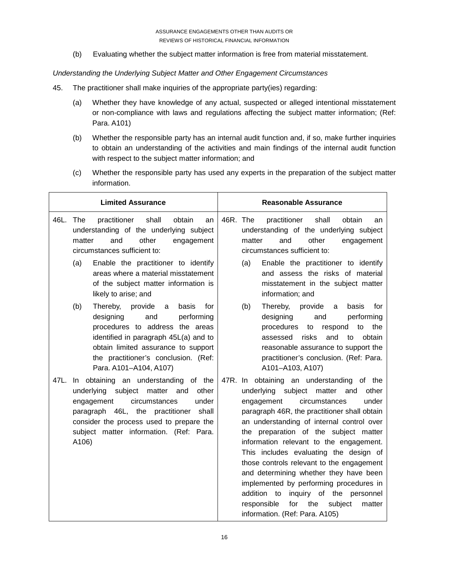(b) Evaluating whether the subject matter information is free from material misstatement.

*Understanding the Underlying Subject Matter and Other Engagement Circumstances*

- 45. The practitioner shall make inquiries of the appropriate party(ies) regarding:
	- (a) Whether they have knowledge of any actual, suspected or alleged intentional misstatement or non-compliance with laws and regulations affecting the subject matter information; (Ref: Para. A101)
	- (b) Whether the responsible party has an internal audit function and, if so, make further inquiries to obtain an understanding of the activities and main findings of the internal audit function with respect to the subject matter information; and
	- (c) Whether the responsible party has used any experts in the preparation of the subject matter information.

<span id="page-15-0"></span>

| <b>Limited Assurance</b> |                                                                                                                                                                                                                                                                               | <b>Reasonable Assurance</b>                                                                                                                                                                                                                                                                                                                                                                                                                                                                                                                                                                                             |
|--------------------------|-------------------------------------------------------------------------------------------------------------------------------------------------------------------------------------------------------------------------------------------------------------------------------|-------------------------------------------------------------------------------------------------------------------------------------------------------------------------------------------------------------------------------------------------------------------------------------------------------------------------------------------------------------------------------------------------------------------------------------------------------------------------------------------------------------------------------------------------------------------------------------------------------------------------|
| 46L. The                 | practitioner<br>shall<br>obtain<br>an<br>understanding of the underlying subject<br>other<br>and<br>matter<br>engagement<br>circumstances sufficient to:                                                                                                                      | 46R. The<br>practitioner<br>shall<br>obtain<br>an<br>understanding of the underlying subject<br>other<br>and<br>matter<br>engagement<br>circumstances sufficient to:                                                                                                                                                                                                                                                                                                                                                                                                                                                    |
|                          | Enable the practitioner to identify<br>(a)<br>areas where a material misstatement<br>of the subject matter information is<br>likely to arise; and                                                                                                                             | Enable the practitioner to identify<br>(a)<br>and assess the risks of material<br>misstatement in the subject matter<br>information; and                                                                                                                                                                                                                                                                                                                                                                                                                                                                                |
|                          | (b)<br>Thereby,<br>provide<br>for<br>a<br>basis<br>designing<br>performing<br>and<br>procedures to address the areas<br>identified in paragraph 45L(a) and to<br>obtain limited assurance to support<br>the practitioner's conclusion. (Ref:<br>Para. A101-A104, A107)        | Thereby,<br>(b)<br>provide<br>for<br>basis<br>a<br>designing<br>performing<br>and<br>the<br>procedures<br>to<br>respond<br>to<br>risks<br>and<br>obtain<br>assessed<br>to<br>reasonable assurance to support the<br>practitioner's conclusion. (Ref: Para.<br>A101-A103, A107)                                                                                                                                                                                                                                                                                                                                          |
|                          | 47L. In obtaining an understanding of the<br>subject<br>matter and<br>underlying<br>other<br>circumstances<br>under<br>engagement<br>paragraph 46L, the practitioner<br>shall<br>consider the process used to prepare the<br>subject matter information. (Ref: Para.<br>A106) | 47R. In obtaining an understanding of the<br>underlying subject matter<br>other<br>and<br>circumstances<br>under<br>engagement<br>paragraph 46R, the practitioner shall obtain<br>an understanding of internal control over<br>the preparation of the subject matter<br>information relevant to the engagement.<br>This includes evaluating the design of<br>those controls relevant to the engagement<br>and determining whether they have been<br>implemented by performing procedures in<br>addition to inquiry of the personnel<br>the<br>responsible<br>for<br>subject<br>matter<br>information. (Ref: Para. A105) |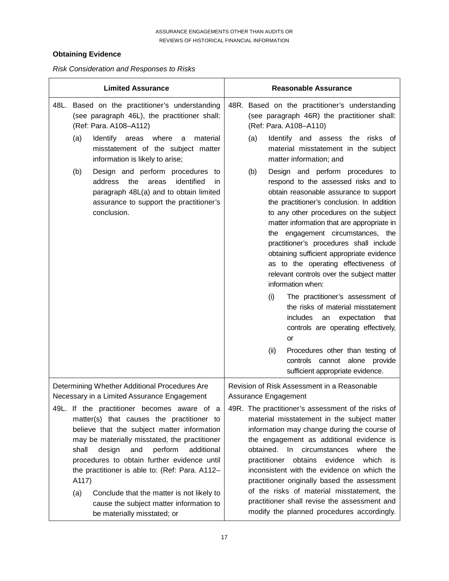# **Obtaining Evidence**

*Risk Consideration and Responses to Risks*

| <b>Limited Assurance</b>                                                                                                                                                                                                                                                                                                                                                                                                                                                            | <b>Reasonable Assurance</b>                                                                                                                                                                                                                                                                                                                                                                                                                                                                                                                                                                                                                                                                                                                                                                    |
|-------------------------------------------------------------------------------------------------------------------------------------------------------------------------------------------------------------------------------------------------------------------------------------------------------------------------------------------------------------------------------------------------------------------------------------------------------------------------------------|------------------------------------------------------------------------------------------------------------------------------------------------------------------------------------------------------------------------------------------------------------------------------------------------------------------------------------------------------------------------------------------------------------------------------------------------------------------------------------------------------------------------------------------------------------------------------------------------------------------------------------------------------------------------------------------------------------------------------------------------------------------------------------------------|
| 48L. Based on the practitioner's understanding<br>(see paragraph 46L), the practitioner shall:<br>(Ref: Para. A108-A112)                                                                                                                                                                                                                                                                                                                                                            | 48R. Based on the practitioner's understanding<br>(see paragraph 46R) the practitioner shall:<br>(Ref: Para. A108-A110)                                                                                                                                                                                                                                                                                                                                                                                                                                                                                                                                                                                                                                                                        |
| Identify areas<br>where<br>material<br>(a)<br>a<br>misstatement of the subject matter<br>information is likely to arise;                                                                                                                                                                                                                                                                                                                                                            | (a)<br>Identify and assess the risks<br>of<br>material misstatement in the subject<br>matter information; and                                                                                                                                                                                                                                                                                                                                                                                                                                                                                                                                                                                                                                                                                  |
| Design and perform procedures to<br>(b)<br>the<br>identified<br>address<br>areas<br>in.<br>paragraph 48L(a) and to obtain limited<br>assurance to support the practitioner's<br>conclusion.                                                                                                                                                                                                                                                                                         | Design and perform procedures to<br>(b)<br>respond to the assessed risks and to<br>obtain reasonable assurance to support<br>the practitioner's conclusion. In addition<br>to any other procedures on the subject<br>matter information that are appropriate in<br>the engagement circumstances, the<br>practitioner's procedures shall include<br>obtaining sufficient appropriate evidence<br>as to the operating effectiveness of<br>relevant controls over the subject matter<br>information when:<br>(i)<br>The practitioner's assessment of<br>the risks of material misstatement<br>includes<br>expectation<br>that<br>an<br>controls are operating effectively,<br>or<br>(ii)<br>Procedures other than testing of<br>controls cannot alone provide<br>sufficient appropriate evidence. |
| Determining Whether Additional Procedures Are                                                                                                                                                                                                                                                                                                                                                                                                                                       | Revision of Risk Assessment in a Reasonable                                                                                                                                                                                                                                                                                                                                                                                                                                                                                                                                                                                                                                                                                                                                                    |
| Necessary in a Limited Assurance Engagement                                                                                                                                                                                                                                                                                                                                                                                                                                         | Assurance Engagement                                                                                                                                                                                                                                                                                                                                                                                                                                                                                                                                                                                                                                                                                                                                                                           |
| 49L. If the practitioner becomes aware of a<br>matter(s) that causes the practitioner to<br>believe that the subject matter information<br>may be materially misstated, the practitioner<br>and<br>perform<br>additional<br>shall<br>design<br>procedures to obtain further evidence until<br>the practitioner is able to: (Ref: Para. A112-<br>A117)<br>(a)<br>Conclude that the matter is not likely to<br>cause the subject matter information to<br>be materially misstated; or | 49R. The practitioner's assessment of the risks of<br>material misstatement in the subject matter<br>information may change during the course of<br>the engagement as additional evidence is<br>obtained. In circumstances<br>where<br>the<br>evidence<br>practitioner<br>obtains<br>which<br><b>is</b><br>inconsistent with the evidence on which the<br>practitioner originally based the assessment<br>of the risks of material misstatement, the<br>practitioner shall revise the assessment and<br>modify the planned procedures accordingly.                                                                                                                                                                                                                                             |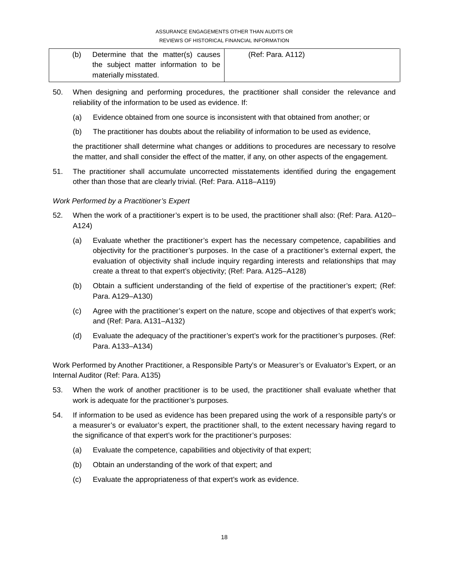| Determine that the matter(s) causes<br>(b) | (Ref: Para. A112) |
|--------------------------------------------|-------------------|
| the subject matter information to be       |                   |
| materially misstated.                      |                   |

- 50. When designing and performing procedures, the practitioner shall consider the relevance and reliability of the information to be used as evidence. If:
	- (a) Evidence obtained from one source is inconsistent with that obtained from another; or
	- (b) The practitioner has doubts about the reliability of information to be used as evidence,

the practitioner shall determine what changes or additions to procedures are necessary to resolve the matter, and shall consider the effect of the matter, if any, on other aspects of the engagement.

51. The practitioner shall accumulate uncorrected misstatements identified during the engagement other than those that are clearly trivial. (Ref: Para. A118–A119)

# *Work Performed by a Practitioner's Expert*

- 52. When the work of a practitioner's expert is to be used, the practitioner shall also: (Ref: Para. A120– A124)
	- (a) Evaluate whether the practitioner's expert has the necessary competence, capabilities and objectivity for the practitioner's purposes. In the case of a practitioner's external expert, the evaluation of objectivity shall include inquiry regarding interests and relationships that may create a threat to that expert's objectivity; (Ref: Para. A125–A128)
	- (b) Obtain a sufficient understanding of the field of expertise of the practitioner's expert; (Ref: Para. A129–A130)
	- (c) Agree with the practitioner's expert on the nature, scope and objectives of that expert's work; and (Ref: Para. A131–A132)
	- (d) Evaluate the adequacy of the practitioner's expert's work for the practitioner's purposes. (Ref: Para. A133–A134)

Work Performed by Another Practitioner, a Responsible Party's or Measurer's or Evaluator's Expert, or an Internal Auditor (Ref: Para. A135)

- 53. When the work of another practitioner is to be used, the practitioner shall evaluate whether that work is adequate for the practitioner's purposes*.*
- 54. If information to be used as evidence has been prepared using the work of a responsible party's or a measurer's or evaluator's expert, the practitioner shall, to the extent necessary having regard to the significance of that expert's work for the practitioner's purposes:
	- (a) Evaluate the competence, capabilities and objectivity of that expert;
	- (b) Obtain an understanding of the work of that expert; and
	- (c) Evaluate the appropriateness of that expert's work as evidence.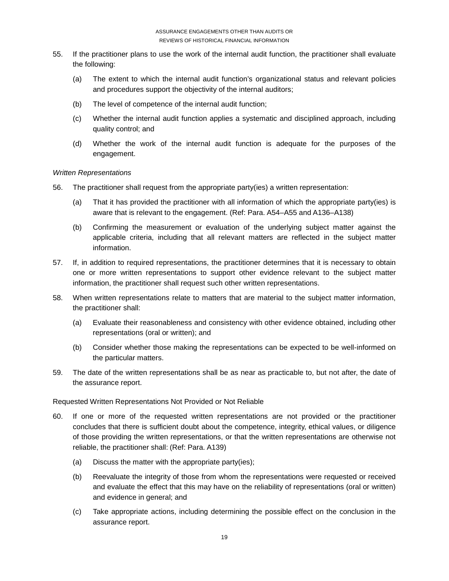- 55. If the practitioner plans to use the work of the internal audit function, the practitioner shall evaluate the following:
	- (a) The extent to which the internal audit function's organizational status and relevant policies and procedures support the objectivity of the internal auditors;
	- (b) The level of competence of the internal audit function;
	- (c) Whether the internal audit function applies a systematic and disciplined approach, including quality control; and
	- (d) Whether the work of the internal audit function is adequate for the purposes of the engagement.

# *Written Representations*

- 56. The practitioner shall request from the appropriate party(ies) a written representation:
	- (a) That it has provided the practitioner with all information of which the appropriate party(ies) is aware that is relevant to the engagement. (Ref: Para. A54–A55 and A136–A138)
	- (b) Confirming the measurement or evaluation of the underlying subject matter against the applicable criteria, including that all relevant matters are reflected in the subject matter information.
- 57. If, in addition to required representations, the practitioner determines that it is necessary to obtain one or more written representations to support other evidence relevant to the subject matter information, the practitioner shall request such other written representations.
- 58. When written representations relate to matters that are material to the subject matter information, the practitioner shall:
	- (a) Evaluate their reasonableness and consistency with other evidence obtained, including other representations (oral or written); and
	- (b) Consider whether those making the representations can be expected to be well-informed on the particular matters.
- 59. The date of the written representations shall be as near as practicable to, but not after, the date of the assurance report.

# Requested Written Representations Not Provided or Not Reliable

- 60. If one or more of the requested written representations are not provided or the practitioner concludes that there is sufficient doubt about the competence, integrity, ethical values, or diligence of those providing the written representations, or that the written representations are otherwise not reliable, the practitioner shall: (Ref: Para. A139)
	- (a) Discuss the matter with the appropriate party(ies);
	- (b) Reevaluate the integrity of those from whom the representations were requested or received and evaluate the effect that this may have on the reliability of representations (oral or written) and evidence in general; and
	- (c) Take appropriate actions, including determining the possible effect on the conclusion in the assurance report.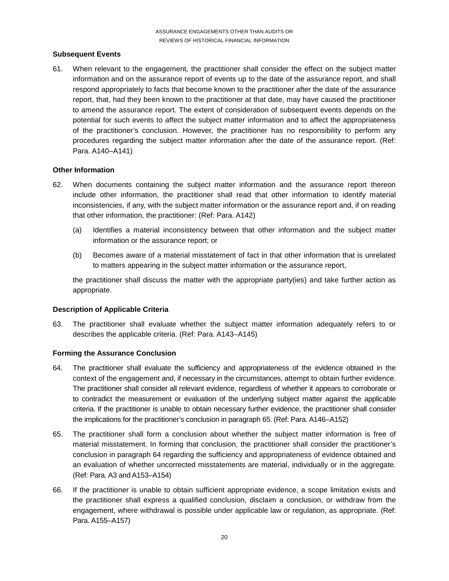# **Subsequent Events**

61. When relevant to the engagement, the practitioner shall consider the effect on the subject matter information and on the assurance report of events up to the date of the assurance report, and shall respond appropriately to facts that become known to the practitioner after the date of the assurance report, that, had they been known to the practitioner at that date, may have caused the practitioner to amend the assurance report. The extent of consideration of subsequent events depends on the potential for such events to affect the subject matter information and to affect the appropriateness of the practitioner's conclusion. However, the practitioner has no responsibility to perform any procedures regarding the subject matter information after the date of the assurance report. (Ref: Para. A140–A141)

#### **Other Information**

- 62. When documents containing the subject matter information and the assurance report thereon include other information, the practitioner shall read that other information to identify material inconsistencies, if any, with the subject matter information or the assurance report and, if on reading that other information, the practitioner: (Ref: Para. A142)
	- (a) Identifies a material inconsistency between that other information and the subject matter information or the assurance report; or
	- (b) Becomes aware of a material misstatement of fact in that other information that is unrelated to matters appearing in the subject matter information or the assurance report,

the practitioner shall discuss the matter with the appropriate party(ies) and take further action as appropriate.

#### **Description of Applicable Criteria**

63. The practitioner shall evaluate whether the subject matter information adequately refers to or describes the applicable criteria. (Ref: Para. A143–A145)

# **Forming the Assurance Conclusion**

- 64. The practitioner shall evaluate the sufficiency and appropriateness of the evidence obtained in the context of the engagement and, if necessary in the circumstances, attempt to obtain further evidence. The practitioner shall consider all relevant evidence, regardless of whether it appears to corroborate or to contradict the measurement or evaluation of the underlying subject matter against the applicable criteria. If the practitioner is unable to obtain necessary further evidence, the practitioner shall consider the implications for the practitioner's conclusion in paragraph 65. (Ref: Para. A146–A152)
- 65. The practitioner shall form a conclusion about whether the subject matter information is free of material misstatement. In forming that conclusion, the practitioner shall consider the practitioner's conclusion in paragraph 64 regarding the sufficiency and appropriateness of evidence obtained and an evaluation of whether uncorrected misstatements are material, individually or in the aggregate. (Ref: Para. A3 and A153–A154)
- 66. If the practitioner is unable to obtain sufficient appropriate evidence, a scope limitation exists and the practitioner shall express a qualified conclusion, disclaim a conclusion, or withdraw from the engagement, where withdrawal is possible under applicable law or regulation, as appropriate. (Ref: Para. A155–A157)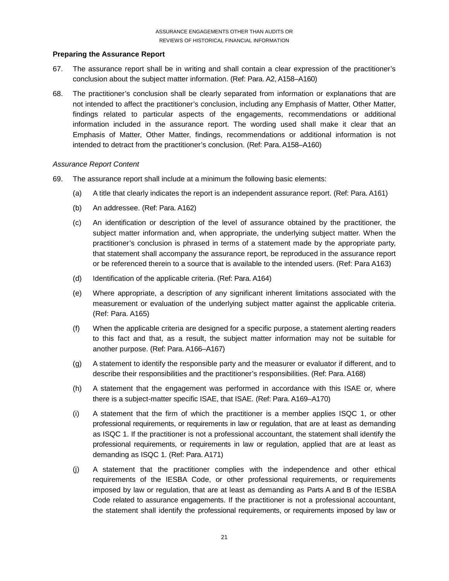# **Preparing the Assurance Report**

- 67. The assurance report shall be in writing and shall contain a clear expression of the practitioner's conclusion about the subject matter information. (Ref: Para. A2, A158–A160)
- 68. The practitioner's conclusion shall be clearly separated from information or explanations that are not intended to affect the practitioner's conclusion, including any Emphasis of Matter, Other Matter, findings related to particular aspects of the engagements, recommendations or additional information included in the assurance report. The wording used shall make it clear that an Emphasis of Matter, Other Matter, findings, recommendations or additional information is not intended to detract from the practitioner's conclusion. (Ref: Para. A158–A160)

#### *Assurance Report Content*

- 69. The assurance report shall include at a minimum the following basic elements:
	- (a) A title that clearly indicates the report is an independent assurance report. (Ref: Para. A161)
	- (b) An addressee. (Ref: Para. A162)
	- (c) An identification or description of the level of assurance obtained by the practitioner, the subject matter information and, when appropriate, the underlying subject matter. When the practitioner's conclusion is phrased in terms of a statement made by the appropriate party, that statement shall accompany the assurance report, be reproduced in the assurance report or be referenced therein to a source that is available to the intended users. (Ref: Para A163)
	- (d) Identification of the applicable criteria. (Ref: Para. A164)
	- (e) Where appropriate, a description of any significant inherent limitations associated with the measurement or evaluation of the underlying subject matter against the applicable criteria. (Ref: Para. A165)
	- (f) When the applicable criteria are designed for a specific purpose, a statement alerting readers to this fact and that, as a result, the subject matter information may not be suitable for another purpose. (Ref: Para. A166–A167)
	- (g) A statement to identify the responsible party and the measurer or evaluator if different, and to describe their responsibilities and the practitioner's responsibilities. (Ref: Para. A168)
	- (h) A statement that the engagement was performed in accordance with this ISAE or, where there is a subject-matter specific ISAE, that ISAE. (Ref: Para. A169–A170)
	- (i) A statement that the firm of which the practitioner is a member applies ISQC 1, or other professional requirements, or requirements in law or regulation, that are at least as demanding as ISQC 1. If the practitioner is not a professional accountant, the statement shall identify the professional requirements, or requirements in law or regulation, applied that are at least as demanding as ISQC 1. (Ref: Para. A171)
	- (j) A statement that the practitioner complies with the independence and other ethical requirements of the IESBA Code, or other professional requirements, or requirements imposed by law or regulation, that are at least as demanding as Parts A and B of the IESBA Code related to assurance engagements. If the practitioner is not a professional accountant, the statement shall identify the professional requirements, or requirements imposed by law or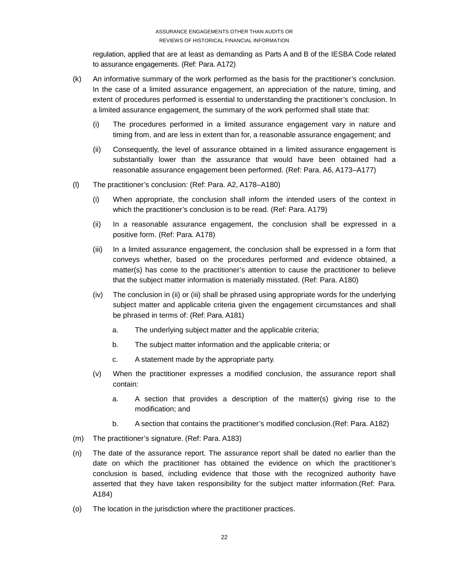regulation, applied that are at least as demanding as Parts A and B of the IESBA Code related to assurance engagements. (Ref: Para. A172)

- (k) An informative summary of the work performed as the basis for the practitioner's conclusion. In the case of a limited assurance engagement, an appreciation of the nature, timing, and extent of procedures performed is essential to understanding the practitioner's conclusion. In a limited assurance engagement, the summary of the work performed shall state that:
	- (i) The procedures performed in a limited assurance engagement vary in nature and timing from, and are less in extent than for, a reasonable assurance engagement; and
	- (ii) Consequently, the level of assurance obtained in a limited assurance engagement is substantially lower than the assurance that would have been obtained had a reasonable assurance engagement been performed. (Ref: Para. A6, A173–A177)
- (l) The practitioner's conclusion: (Ref: Para. A2, A178–A180)
	- (i) When appropriate, the conclusion shall inform the intended users of the context in which the practitioner's conclusion is to be read. (Ref: Para. A179)
	- (ii) In a reasonable assurance engagement, the conclusion shall be expressed in a positive form. (Ref: Para. A178)
	- (iii) In a limited assurance engagement, the conclusion shall be expressed in a form that conveys whether, based on the procedures performed and evidence obtained, a matter(s) has come to the practitioner's attention to cause the practitioner to believe that the subject matter information is materially misstated. (Ref: Para. A180)
	- (iv) The conclusion in (ii) or (iii) shall be phrased using appropriate words for the underlying subject matter and applicable criteria given the engagement circumstances and shall be phrased in terms of: (Ref: Para. A181)
		- a. The underlying subject matter and the applicable criteria;
		- b. The subject matter information and the applicable criteria; or
		- c. A statement made by the appropriate party.
	- (v) When the practitioner expresses a modified conclusion, the assurance report shall contain:
		- a. A section that provides a description of the matter(s) giving rise to the modification; and
		- b. A section that contains the practitioner's modified conclusion.(Ref: Para. A182)
- (m) The practitioner's signature. (Ref: Para. A183)
- (n) The date of the assurance report. The assurance report shall be dated no earlier than the date on which the practitioner has obtained the evidence on which the practitioner's conclusion is based, including evidence that those with the recognized authority have asserted that they have taken responsibility for the subject matter information.(Ref: Para. A184)
- (o) The location in the jurisdiction where the practitioner practices.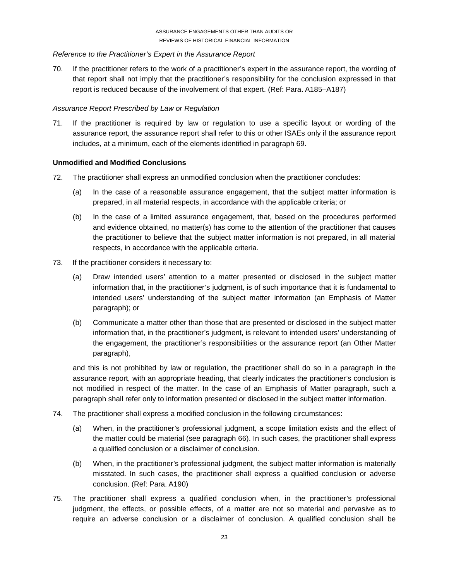# *Reference to the Practitioner's Expert in the Assurance Report*

70. If the practitioner refers to the work of a practitioner's expert in the assurance report, the wording of that report shall not imply that the practitioner's responsibility for the conclusion expressed in that report is reduced because of the involvement of that expert. (Ref: Para. A185–A187)

# *Assurance Report Prescribed by Law or Regulation*

71. If the practitioner is required by law or regulation to use a specific layout or wording of the assurance report, the assurance report shall refer to this or other ISAEs only if the assurance report includes, at a minimum, each of the elements identified in paragraph 69.

# **Unmodified and Modified Conclusions**

- 72. The practitioner shall express an unmodified conclusion when the practitioner concludes:
	- (a) In the case of a reasonable assurance engagement, that the subject matter information is prepared, in all material respects, in accordance with the applicable criteria; or
	- (b) In the case of a limited assurance engagement, that, based on the procedures performed and evidence obtained, no matter(s) has come to the attention of the practitioner that causes the practitioner to believe that the subject matter information is not prepared, in all material respects, in accordance with the applicable criteria.
- 73. If the practitioner considers it necessary to:
	- (a) Draw intended users' attention to a matter presented or disclosed in the subject matter information that, in the practitioner's judgment, is of such importance that it is fundamental to intended users' understanding of the subject matter information (an Emphasis of Matter paragraph); or
	- (b) Communicate a matter other than those that are presented or disclosed in the subject matter information that, in the practitioner's judgment, is relevant to intended users' understanding of the engagement, the practitioner's responsibilities or the assurance report (an Other Matter paragraph),

and this is not prohibited by law or regulation, the practitioner shall do so in a paragraph in the assurance report, with an appropriate heading, that clearly indicates the practitioner's conclusion is not modified in respect of the matter. In the case of an Emphasis of Matter paragraph, such a paragraph shall refer only to information presented or disclosed in the subject matter information.

- 74. The practitioner shall express a modified conclusion in the following circumstances:
	- (a) When, in the practitioner's professional judgment, a scope limitation exists and the effect of the matter could be material (see paragraph 66). In such cases, the practitioner shall express a qualified conclusion or a disclaimer of conclusion.
	- (b) When, in the practitioner's professional judgment, the subject matter information is materially misstated. In such cases, the practitioner shall express a qualified conclusion or adverse conclusion. (Ref: Para. A190)
- 75. The practitioner shall express a qualified conclusion when, in the practitioner's professional judgment, the effects, or possible effects, of a matter are not so material and pervasive as to require an adverse conclusion or a disclaimer of conclusion. A qualified conclusion shall be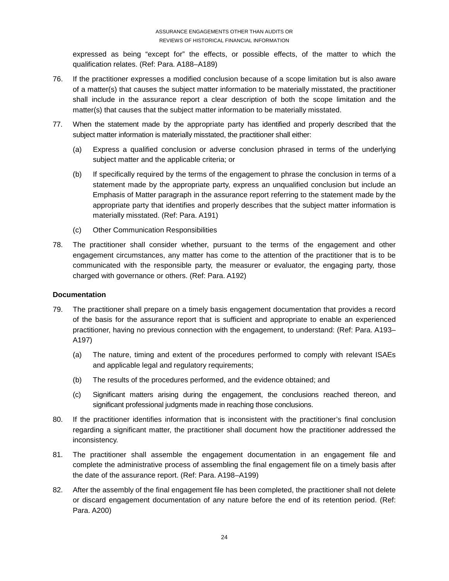expressed as being "except for" the effects, or possible effects, of the matter to which the qualification relates. (Ref: Para. A188–A189)

- 76. If the practitioner expresses a modified conclusion because of a scope limitation but is also aware of a matter(s) that causes the subject matter information to be materially misstated, the practitioner shall include in the assurance report a clear description of both the scope limitation and the matter(s) that causes that the subject matter information to be materially misstated.
- 77. When the statement made by the appropriate party has identified and properly described that the subject matter information is materially misstated, the practitioner shall either:
	- (a) Express a qualified conclusion or adverse conclusion phrased in terms of the underlying subject matter and the applicable criteria; or
	- (b) If specifically required by the terms of the engagement to phrase the conclusion in terms of a statement made by the appropriate party, express an unqualified conclusion but include an Emphasis of Matter paragraph in the assurance report referring to the statement made by the appropriate party that identifies and properly describes that the subject matter information is materially misstated. (Ref: Para. A191)
	- (c) Other Communication Responsibilities
- 78. The practitioner shall consider whether, pursuant to the terms of the engagement and other engagement circumstances, any matter has come to the attention of the practitioner that is to be communicated with the responsible party, the measurer or evaluator, the engaging party, those charged with governance or others. (Ref: Para. A192)

#### **Documentation**

- 79. The practitioner shall prepare on a timely basis engagement documentation that provides a record of the basis for the assurance report that is sufficient and appropriate to enable an experienced practitioner, having no previous connection with the engagement, to understand: (Ref: Para. A193– A197)
	- (a) The nature, timing and extent of the procedures performed to comply with relevant ISAEs and applicable legal and regulatory requirements;
	- (b) The results of the procedures performed, and the evidence obtained; and
	- (c) Significant matters arising during the engagement, the conclusions reached thereon, and significant professional judgments made in reaching those conclusions.
- 80. If the practitioner identifies information that is inconsistent with the practitioner's final conclusion regarding a significant matter, the practitioner shall document how the practitioner addressed the inconsistency.
- 81. The practitioner shall assemble the engagement documentation in an engagement file and complete the administrative process of assembling the final engagement file on a timely basis after the date of the assurance report. (Ref: Para. A198–A199)
- 82. After the assembly of the final engagement file has been completed, the practitioner shall not delete or discard engagement documentation of any nature before the end of its retention period. (Ref: Para. A200)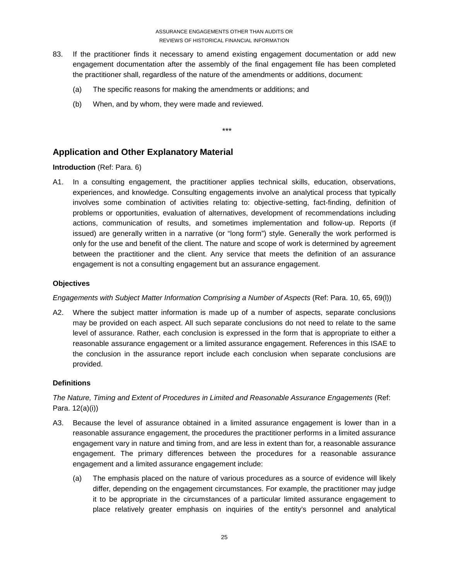83. If the practitioner finds it necessary to amend existing engagement documentation or add new engagement documentation after the assembly of the final engagement file has been completed the practitioner shall, regardless of the nature of the amendments or additions, document:

\*\*\*

- (a) The specific reasons for making the amendments or additions; and
- (b) When, and by whom, they were made and reviewed.

# **Application and Other Explanatory Material**

# **Introduction** (Ref: Para. 6)

A1. In a consulting engagement, the practitioner applies technical skills, education, observations, experiences, and knowledge. Consulting engagements involve an analytical process that typically involves some combination of activities relating to: objective-setting, fact-finding, definition of problems or opportunities, evaluation of alternatives, development of recommendations including actions, communication of results, and sometimes implementation and follow-up. Reports (if issued) are generally written in a narrative (or "long form") style. Generally the work performed is only for the use and benefit of the client. The nature and scope of work is determined by agreement between the practitioner and the client. Any service that meets the definition of an assurance engagement is not a consulting engagement but an assurance engagement.

#### **Objectives**

*Engagements with Subject Matter Information Comprising a Number of Aspects* (Ref: Para. 10, 65, 69(l))

A2. Where the subject matter information is made up of a number of aspects, separate conclusions may be provided on each aspect. All such separate conclusions do not need to relate to the same level of assurance. Rather, each conclusion is expressed in the form that is appropriate to either a reasonable assurance engagement or a limited assurance engagement. References in this ISAE to the conclusion in the assurance report include each conclusion when separate conclusions are provided.

#### **Definitions**

# *The Nature, Timing and Extent of Procedures in Limited and Reasonable Assurance Engagements* (Ref: Para. 12(a)(i))

- A3. Because the level of assurance obtained in a limited assurance engagement is lower than in a reasonable assurance engagement, the procedures the practitioner performs in a limited assurance engagement vary in nature and timing from, and are less in extent than for, a reasonable assurance engagement. The primary differences between the procedures for a reasonable assurance engagement and a limited assurance engagement include:
	- (a) The emphasis placed on the nature of various procedures as a source of evidence will likely differ, depending on the engagement circumstances. For example, the practitioner may judge it to be appropriate in the circumstances of a particular limited assurance engagement to place relatively greater emphasis on inquiries of the entity's personnel and analytical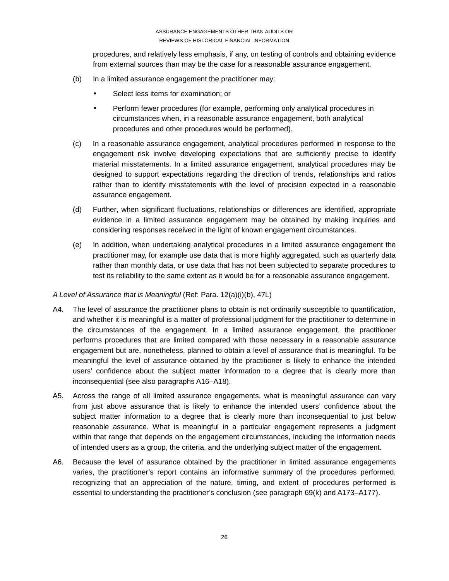procedures, and relatively less emphasis, if any, on testing of controls and obtaining evidence from external sources than may be the case for a reasonable assurance engagement.

- (b) In a limited assurance engagement the practitioner may:
	- Select less items for examination; or
	- Perform fewer procedures (for example, performing only analytical procedures in circumstances when, in a reasonable assurance engagement, both analytical procedures and other procedures would be performed).
- (c) In a reasonable assurance engagement, analytical procedures performed in response to the engagement risk involve developing expectations that are sufficiently precise to identify material misstatements. In a limited assurance engagement, analytical procedures may be designed to support expectations regarding the direction of trends, relationships and ratios rather than to identify misstatements with the level of precision expected in a reasonable assurance engagement.
- (d) Further, when significant fluctuations, relationships or differences are identified, appropriate evidence in a limited assurance engagement may be obtained by making inquiries and considering responses received in the light of known engagement circumstances.
- (e) In addition, when undertaking analytical procedures in a limited assurance engagement the practitioner may, for example use data that is more highly aggregated, such as quarterly data rather than monthly data, or use data that has not been subjected to separate procedures to test its reliability to the same extent as it would be for a reasonable assurance engagement.

# *A Level of Assurance that is Meaningful* (Ref: Para. 12(a)(i)(b), 47L)

- A4. The level of assurance the practitioner plans to obtain is not ordinarily susceptible to quantification, and whether it is meaningful is a matter of professional judgment for the practitioner to determine in the circumstances of the engagement. In a limited assurance engagement, the practitioner performs procedures that are limited compared with those necessary in a reasonable assurance engagement but are, nonetheless, planned to obtain a level of assurance that is meaningful. To be meaningful the level of assurance obtained by the practitioner is likely to enhance the intended users' confidence about the subject matter information to a degree that is clearly more than inconsequential (see also paragraphs A16–A18).
- A5. Across the range of all limited assurance engagements, what is meaningful assurance can vary from just above assurance that is likely to enhance the intended users' confidence about the subject matter information to a degree that is clearly more than inconsequential to just below reasonable assurance. What is meaningful in a particular engagement represents a judgment within that range that depends on the engagement circumstances, including the information needs of intended users as a group, the criteria, and the underlying subject matter of the engagement.
- A6. Because the level of assurance obtained by the practitioner in limited assurance engagements varies, the practitioner's report contains an informative summary of the procedures performed, recognizing that an appreciation of the nature, timing, and extent of procedures performed is essential to understanding the practitioner's conclusion (see paragraph 69(k) and A173–A177).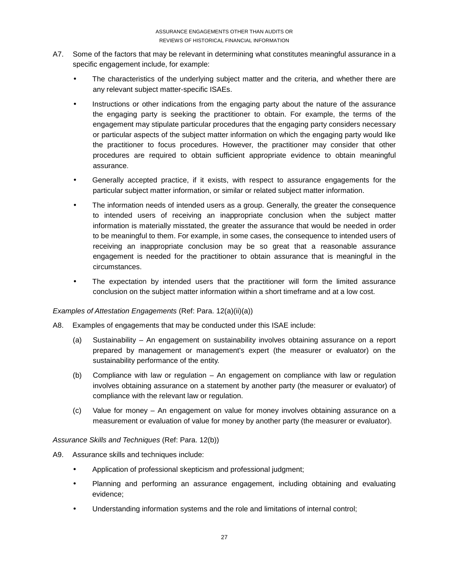- A7. Some of the factors that may be relevant in determining what constitutes meaningful assurance in a specific engagement include, for example:
	- The characteristics of the underlying subject matter and the criteria, and whether there are  $\mathbf{r}$ any relevant subject matter-specific ISAEs.
	- Instructions or other indications from the engaging party about the nature of the assurance the engaging party is seeking the practitioner to obtain. For example, the terms of the engagement may stipulate particular procedures that the engaging party considers necessary or particular aspects of the subject matter information on which the engaging party would like the practitioner to focus procedures. However, the practitioner may consider that other procedures are required to obtain sufficient appropriate evidence to obtain meaningful assurance.
	- Generally accepted practice, if it exists, with respect to assurance engagements for the particular subject matter information, or similar or related subject matter information.
	- The information needs of intended users as a group. Generally, the greater the consequence to intended users of receiving an inappropriate conclusion when the subject matter information is materially misstated, the greater the assurance that would be needed in order to be meaningful to them. For example, in some cases, the consequence to intended users of receiving an inappropriate conclusion may be so great that a reasonable assurance engagement is needed for the practitioner to obtain assurance that is meaningful in the circumstances.
	- The expectation by intended users that the practitioner will form the limited assurance conclusion on the subject matter information within a short timeframe and at a low cost.

# *Examples of Attestation Engagements* (Ref: Para. 12(a)(ii)(a))

- A8. Examples of engagements that may be conducted under this ISAE include:
	- (a) Sustainability An engagement on sustainability involves obtaining assurance on a report prepared by management or management's expert (the measurer or evaluator) on the sustainability performance of the entity.
	- (b) Compliance with law or regulation An engagement on compliance with law or regulation involves obtaining assurance on a statement by another party (the measurer or evaluator) of compliance with the relevant law or regulation.
	- (c) Value for money An engagement on value for money involves obtaining assurance on a measurement or evaluation of value for money by another party (the measurer or evaluator).

#### *Assurance Skills and Techniques* (Ref: Para. 12(b))

- A9. Assurance skills and techniques include:
	- Application of professional skepticism and professional judgment;  $\mathbf{r}$
	- Planning and performing an assurance engagement, including obtaining and evaluating evidence;
	- Understanding information systems and the role and limitations of internal control;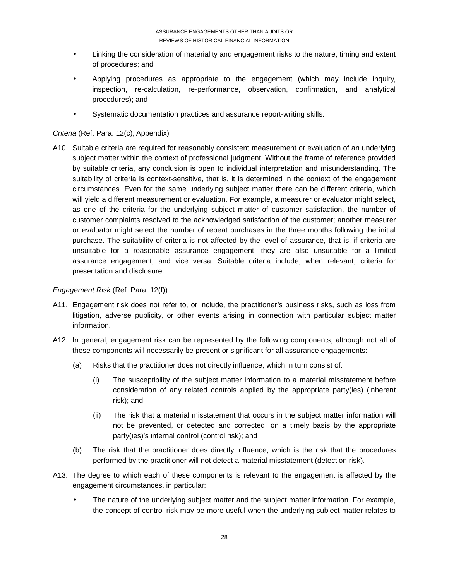- Linking the consideration of materiality and engagement risks to the nature, timing and extent of procedures; and
- Applying procedures as appropriate to the engagement (which may include inquiry, inspection, re-calculation, re-performance, observation, confirmation, and analytical procedures); and
- Systematic documentation practices and assurance report-writing skills.  $\epsilon$

#### *Criteria* (Ref: Para. 12(c), Appendix)

A10. Suitable criteria are required for reasonably consistent measurement or evaluation of an underlying subject matter within the context of professional judgment. Without the frame of reference provided by suitable criteria, any conclusion is open to individual interpretation and misunderstanding. The suitability of criteria is context-sensitive, that is, it is determined in the context of the engagement circumstances. Even for the same underlying subject matter there can be different criteria, which will yield a different measurement or evaluation. For example, a measurer or evaluator might select, as one of the criteria for the underlying subject matter of customer satisfaction, the number of customer complaints resolved to the acknowledged satisfaction of the customer; another measurer or evaluator might select the number of repeat purchases in the three months following the initial purchase. The suitability of criteria is not affected by the level of assurance, that is, if criteria are unsuitable for a reasonable assurance engagement, they are also unsuitable for a limited assurance engagement, and vice versa. Suitable criteria include, when relevant, criteria for presentation and disclosure.

# *Engagement Risk* (Ref: Para. 12(f))

- A11. Engagement risk does not refer to, or include, the practitioner's business risks, such as loss from litigation, adverse publicity, or other events arising in connection with particular subject matter information.
- A12. In general, engagement risk can be represented by the following components, although not all of these components will necessarily be present or significant for all assurance engagements:
	- (a) Risks that the practitioner does not directly influence, which in turn consist of:
		- (i) The susceptibility of the subject matter information to a material misstatement before consideration of any related controls applied by the appropriate party(ies) (inherent risk); and
		- (ii) The risk that a material misstatement that occurs in the subject matter information will not be prevented, or detected and corrected, on a timely basis by the appropriate party(ies)'s internal control (control risk); and
	- (b) The risk that the practitioner does directly influence, which is the risk that the procedures performed by the practitioner will not detect a material misstatement (detection risk).
- A13. The degree to which each of these components is relevant to the engagement is affected by the engagement circumstances, in particular:
	- The nature of the underlying subject matter and the subject matter information. For example, the concept of control risk may be more useful when the underlying subject matter relates to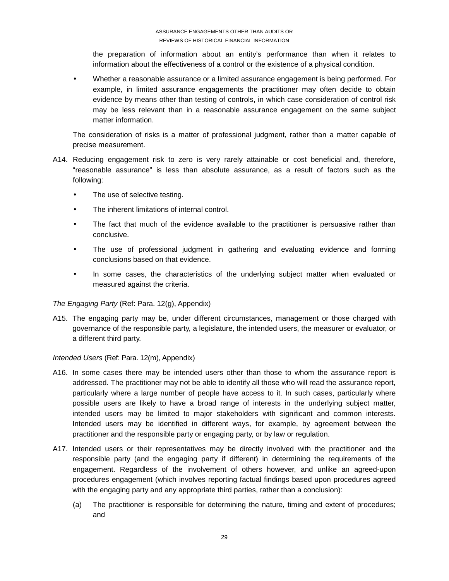the preparation of information about an entity's performance than when it relates to information about the effectiveness of a control or the existence of a physical condition.

Whether a reasonable assurance or a limited assurance engagement is being performed. For example, in limited assurance engagements the practitioner may often decide to obtain evidence by means other than testing of controls, in which case consideration of control risk may be less relevant than in a reasonable assurance engagement on the same subject matter information.

The consideration of risks is a matter of professional judgment, rather than a matter capable of precise measurement.

- A14. Reducing engagement risk to zero is very rarely attainable or cost beneficial and, therefore, "reasonable assurance" is less than absolute assurance, as a result of factors such as the following:
	- The use of selective testing.  $\mathbf{r}$
	- The inherent limitations of internal control.
	- The fact that much of the evidence available to the practitioner is persuasive rather than conclusive.
	- The use of professional judgment in gathering and evaluating evidence and forming conclusions based on that evidence.
	- In some cases, the characteristics of the underlying subject matter when evaluated or measured against the criteria.

#### *The Engaging Party* (Ref: Para. 12(g), Appendix)

A15. The engaging party may be, under different circumstances, management or those charged with governance of the responsible party, a legislature, the intended users, the measurer or evaluator, or a different third party.

*Intended Users* (Ref: Para. 12(m), Appendix)

- A16. In some cases there may be intended users other than those to whom the assurance report is addressed. The practitioner may not be able to identify all those who will read the assurance report, particularly where a large number of people have access to it. In such cases, particularly where possible users are likely to have a broad range of interests in the underlying subject matter, intended users may be limited to major stakeholders with significant and common interests. Intended users may be identified in different ways, for example, by agreement between the practitioner and the responsible party or engaging party, or by law or regulation.
- A17. Intended users or their representatives may be directly involved with the practitioner and the responsible party (and the engaging party if different) in determining the requirements of the engagement. Regardless of the involvement of others however, and unlike an agreed-upon procedures engagement (which involves reporting factual findings based upon procedures agreed with the engaging party and any appropriate third parties, rather than a conclusion):
	- (a) The practitioner is responsible for determining the nature, timing and extent of procedures; and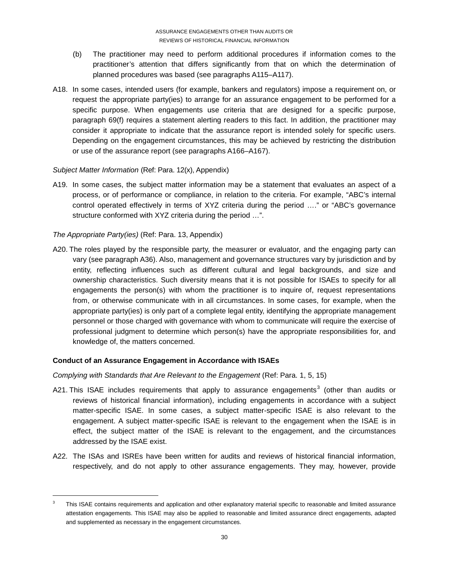- (b) The practitioner may need to perform additional procedures if information comes to the practitioner's attention that differs significantly from that on which the determination of planned procedures was based (see paragraphs A115–A117).
- A18. In some cases, intended users (for example, bankers and regulators) impose a requirement on, or request the appropriate party(ies) to arrange for an assurance engagement to be performed for a specific purpose. When engagements use criteria that are designed for a specific purpose, paragraph 69(f) requires a statement alerting readers to this fact. In addition, the practitioner may consider it appropriate to indicate that the assurance report is intended solely for specific users. Depending on the engagement circumstances, this may be achieved by restricting the distribution or use of the assurance report (see paragraphs A166–A167).

#### *Subject Matter Information* (Ref: Para. 12(x), Appendix)

A19. In some cases, the subject matter information may be a statement that evaluates an aspect of a process, or of performance or compliance, in relation to the criteria. For example, "ABC's internal control operated effectively in terms of XYZ criteria during the period …." or "ABC's governance structure conformed with XYZ criteria during the period …".

#### *The Appropriate Party(ies)* (Ref: Para. 13, Appendix)

 $\overline{\phantom{a}}$ 

A20. The roles played by the responsible party, the measurer or evaluator, and the engaging party can vary (see paragraph A36). Also, management and governance structures vary by jurisdiction and by entity, reflecting influences such as different cultural and legal backgrounds, and size and ownership characteristics. Such diversity means that it is not possible for ISAEs to specify for all engagements the person(s) with whom the practitioner is to inquire of, request representations from, or otherwise communicate with in all circumstances. In some cases, for example, when the appropriate party(ies) is only part of a complete legal entity, identifying the appropriate management personnel or those charged with governance with whom to communicate will require the exercise of professional judgment to determine which person(s) have the appropriate responsibilities for, and knowledge of, the matters concerned.

#### **Conduct of an Assurance Engagement in Accordance with ISAEs**

#### *Complying with Standards that Are Relevant to the Engagement* (Ref: Para. 1, 5, 15)

- A21. This ISAE includes requirements that apply to assurance engagements<sup>[3](#page-5-0)</sup> (other than audits or reviews of historical financial information), including engagements in accordance with a subject matter-specific ISAE. In some cases, a subject matter-specific ISAE is also relevant to the engagement. A subject matter-specific ISAE is relevant to the engagement when the ISAE is in effect, the subject matter of the ISAE is relevant to the engagement, and the circumstances addressed by the ISAE exist.
- A22. The ISAs and ISREs have been written for audits and reviews of historical financial information, respectively, and do not apply to other assurance engagements. They may, however, provide

<sup>&</sup>lt;sup>3</sup> This ISAE contains requirements and application and other explanatory material specific to reasonable and limited assurance attestation engagements. This ISAE may also be applied to reasonable and limited assurance direct engagements, adapted and supplemented as necessary in the engagement circumstances.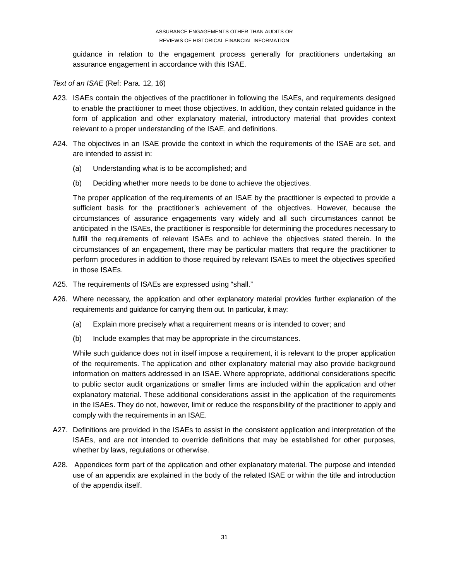guidance in relation to the engagement process generally for practitioners undertaking an assurance engagement in accordance with this ISAE.

*Text of an ISAE* (Ref: Para. 12, 16)

- A23. ISAEs contain the objectives of the practitioner in following the ISAEs, and requirements designed to enable the practitioner to meet those objectives. In addition, they contain related guidance in the form of application and other explanatory material, introductory material that provides context relevant to a proper understanding of the ISAE, and definitions.
- A24. The objectives in an ISAE provide the context in which the requirements of the ISAE are set, and are intended to assist in:
	- (a) Understanding what is to be accomplished; and
	- (b) Deciding whether more needs to be done to achieve the objectives.

The proper application of the requirements of an ISAE by the practitioner is expected to provide a sufficient basis for the practitioner's achievement of the objectives. However, because the circumstances of assurance engagements vary widely and all such circumstances cannot be anticipated in the ISAEs, the practitioner is responsible for determining the procedures necessary to fulfill the requirements of relevant ISAEs and to achieve the objectives stated therein. In the circumstances of an engagement, there may be particular matters that require the practitioner to perform procedures in addition to those required by relevant ISAEs to meet the objectives specified in those ISAEs.

- A25. The requirements of ISAEs are expressed using "shall."
- A26. Where necessary, the application and other explanatory material provides further explanation of the requirements and guidance for carrying them out. In particular, it may:
	- (a) Explain more precisely what a requirement means or is intended to cover; and
	- (b) Include examples that may be appropriate in the circumstances.

While such guidance does not in itself impose a requirement, it is relevant to the proper application of the requirements. The application and other explanatory material may also provide background information on matters addressed in an ISAE. Where appropriate, additional considerations specific to public sector audit organizations or smaller firms are included within the application and other explanatory material. These additional considerations assist in the application of the requirements in the ISAEs. They do not, however, limit or reduce the responsibility of the practitioner to apply and comply with the requirements in an ISAE.

- A27. Definitions are provided in the ISAEs to assist in the consistent application and interpretation of the ISAEs, and are not intended to override definitions that may be established for other purposes, whether by laws, regulations or otherwise.
- A28. Appendices form part of the application and other explanatory material. The purpose and intended use of an appendix are explained in the body of the related ISAE or within the title and introduction of the appendix itself.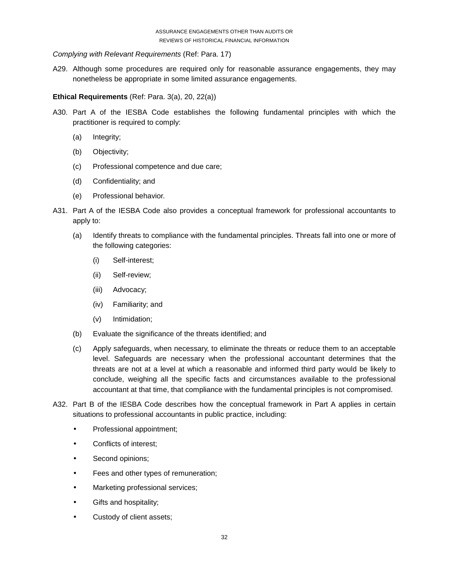#### *Complying with Relevant Requirements* (Ref: Para. 17)

A29. Although some procedures are required only for reasonable assurance engagements, they may nonetheless be appropriate in some limited assurance engagements.

# **Ethical Requirements** (Ref: Para. 3(a), 20, 22(a))

- A30. Part A of the IESBA Code establishes the following fundamental principles with which the practitioner is required to comply:
	- (a) Integrity;
	- (b) Objectivity;
	- (c) Professional competence and due care;
	- (d) Confidentiality; and
	- (e) Professional behavior.
- A31. Part A of the IESBA Code also provides a conceptual framework for professional accountants to apply to:
	- (a) Identify threats to compliance with the fundamental principles. Threats fall into one or more of the following categories:
		- (i) Self-interest;
		- (ii) Self-review;
		- (iii) Advocacy;
		- (iv) Familiarity; and
		- (v) Intimidation;
	- (b) Evaluate the significance of the threats identified; and
	- (c) Apply safeguards, when necessary, to eliminate the threats or reduce them to an acceptable level. Safeguards are necessary when the professional accountant determines that the threats are not at a level at which a reasonable and informed third party would be likely to conclude, weighing all the specific facts and circumstances available to the professional accountant at that time, that compliance with the fundamental principles is not compromised.
- A32. Part B of the IESBA Code describes how the conceptual framework in Part A applies in certain situations to professional accountants in public practice, including:
	- Professional appointment; ä,
	- Conflicts of interest;
	- Second opinions; ÷.
	- Fees and other types of remuneration;  $\mathbf{r}$
	- Marketing professional services;
	- Gifts and hospitality;  $\mathbf{r}$
	- Custody of client assets;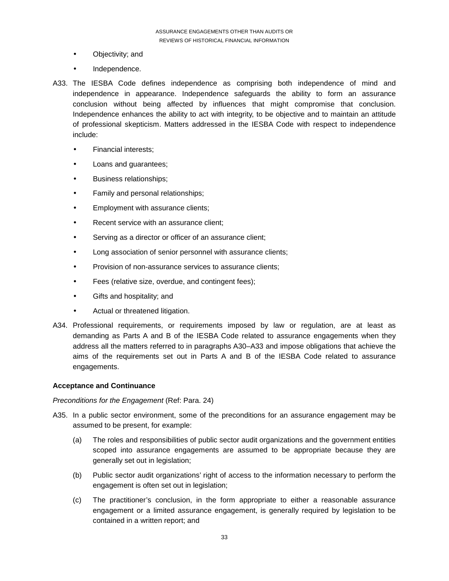- Objectivity; and
- Independence.  $\mathbf{r}$
- A33. The IESBA Code defines independence as comprising both independence of mind and independence in appearance. Independence safeguards the ability to form an assurance conclusion without being affected by influences that might compromise that conclusion. Independence enhances the ability to act with integrity, to be objective and to maintain an attitude of professional skepticism. Matters addressed in the IESBA Code with respect to independence include:
	- Financial interests;
	- Loans and guarantees;
	- Business relationships;
	- Family and personal relationships;
	- Employment with assurance clients;
	- Recent service with an assurance client;
	- Serving as a director or officer of an assurance client; ÷.
	- Long association of senior personnel with assurance clients;
	- Provision of non-assurance services to assurance clients;
	- Fees (relative size, overdue, and contingent fees);
	- Gifts and hospitality; and
	- Actual or threatened litigation.  $\mathbf{r}$
- A34. Professional requirements, or requirements imposed by law or regulation, are at least as demanding as Parts A and B of the IESBA Code related to assurance engagements when they address all the matters referred to in paragraphs A30–A33 and impose obligations that achieve the aims of the requirements set out in Parts A and B of the IESBA Code related to assurance engagements.

# **Acceptance and Continuance**

# *Preconditions for the Engagement* (Ref: Para. 24)

- A35. In a public sector environment, some of the preconditions for an assurance engagement may be assumed to be present, for example:
	- (a) The roles and responsibilities of public sector audit organizations and the government entities scoped into assurance engagements are assumed to be appropriate because they are generally set out in legislation;
	- (b) Public sector audit organizations' right of access to the information necessary to perform the engagement is often set out in legislation;
	- (c) The practitioner's conclusion, in the form appropriate to either a reasonable assurance engagement or a limited assurance engagement, is generally required by legislation to be contained in a written report; and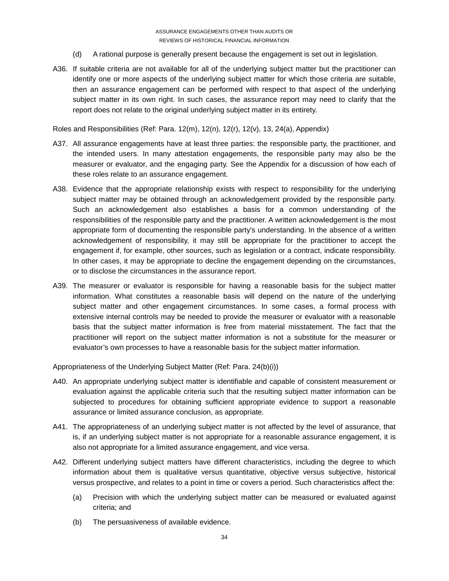- (d) A rational purpose is generally present because the engagement is set out in legislation.
- A36. If suitable criteria are not available for all of the underlying subject matter but the practitioner can identify one or more aspects of the underlying subject matter for which those criteria are suitable, then an assurance engagement can be performed with respect to that aspect of the underlying subject matter in its own right. In such cases, the assurance report may need to clarify that the report does not relate to the original underlying subject matter in its entirety.

Roles and Responsibilities (Ref: Para. 12(m), 12(n), 12(r), 12(v), 13, 24(a), Appendix)

- A37. All assurance engagements have at least three parties: the responsible party, the practitioner, and the intended users. In many attestation engagements, the responsible party may also be the measurer or evaluator, and the engaging party. See the Appendix for a discussion of how each of these roles relate to an assurance engagement.
- A38. Evidence that the appropriate relationship exists with respect to responsibility for the underlying subject matter may be obtained through an acknowledgement provided by the responsible party. Such an acknowledgement also establishes a basis for a common understanding of the responsibilities of the responsible party and the practitioner. A written acknowledgement is the most appropriate form of documenting the responsible party's understanding. In the absence of a written acknowledgement of responsibility, it may still be appropriate for the practitioner to accept the engagement if, for example, other sources, such as legislation or a contract, indicate responsibility. In other cases, it may be appropriate to decline the engagement depending on the circumstances, or to disclose the circumstances in the assurance report.
- A39. The measurer or evaluator is responsible for having a reasonable basis for the subject matter information. What constitutes a reasonable basis will depend on the nature of the underlying subject matter and other engagement circumstances. In some cases, a formal process with extensive internal controls may be needed to provide the measurer or evaluator with a reasonable basis that the subject matter information is free from material misstatement. The fact that the practitioner will report on the subject matter information is not a substitute for the measurer or evaluator's own processes to have a reasonable basis for the subject matter information.

Appropriateness of the Underlying Subject Matter (Ref: Para. 24(b)(i))

- A40. An appropriate underlying subject matter is identifiable and capable of consistent measurement or evaluation against the applicable criteria such that the resulting subject matter information can be subjected to procedures for obtaining sufficient appropriate evidence to support a reasonable assurance or limited assurance conclusion, as appropriate.
- A41. The appropriateness of an underlying subject matter is not affected by the level of assurance, that is, if an underlying subject matter is not appropriate for a reasonable assurance engagement, it is also not appropriate for a limited assurance engagement, and vice versa.
- A42. Different underlying subject matters have different characteristics, including the degree to which information about them is qualitative versus quantitative, objective versus subjective, historical versus prospective, and relates to a point in time or covers a period. Such characteristics affect the:
	- (a) Precision with which the underlying subject matter can be measured or evaluated against criteria; and
	- (b) The persuasiveness of available evidence.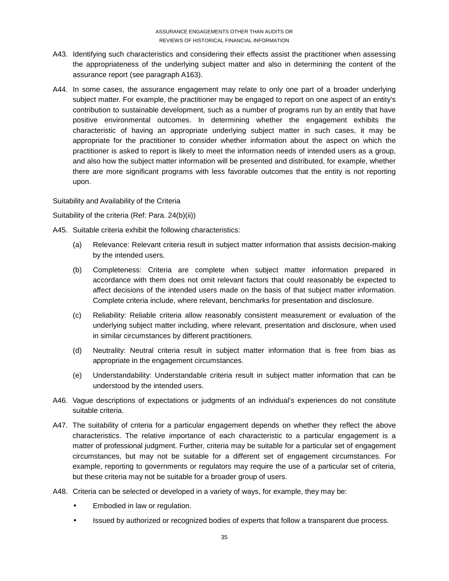- A43. Identifying such characteristics and considering their effects assist the practitioner when assessing the appropriateness of the underlying subject matter and also in determining the content of the assurance report (see paragraph A163).
- A44. In some cases, the assurance engagement may relate to only one part of a broader underlying subject matter. For example, the practitioner may be engaged to report on one aspect of an entity's contribution to sustainable development, such as a number of programs run by an entity that have positive environmental outcomes. In determining whether the engagement exhibits the characteristic of having an appropriate underlying subject matter in such cases, it may be appropriate for the practitioner to consider whether information about the aspect on which the practitioner is asked to report is likely to meet the information needs of intended users as a group, and also how the subject matter information will be presented and distributed, for example, whether there are more significant programs with less favorable outcomes that the entity is not reporting upon.

#### Suitability and Availability of the Criteria

Suitability of the criteria (Ref: Para. 24(b)(ii))

- A45. Suitable criteria exhibit the following characteristics:
	- (a) Relevance: Relevant criteria result in subject matter information that assists decision-making by the intended users.
	- (b) Completeness: Criteria are complete when subject matter information prepared in accordance with them does not omit relevant factors that could reasonably be expected to affect decisions of the intended users made on the basis of that subject matter information. Complete criteria include, where relevant, benchmarks for presentation and disclosure.
	- (c) Reliability: Reliable criteria allow reasonably consistent measurement or evaluation of the underlying subject matter including, where relevant, presentation and disclosure, when used in similar circumstances by different practitioners.
	- (d) Neutrality: Neutral criteria result in subject matter information that is free from bias as appropriate in the engagement circumstances.
	- (e) Understandability: Understandable criteria result in subject matter information that can be understood by the intended users.
- A46. Vague descriptions of expectations or judgments of an individual's experiences do not constitute suitable criteria.
- A47. The suitability of criteria for a particular engagement depends on whether they reflect the above characteristics. The relative importance of each characteristic to a particular engagement is a matter of professional judgment. Further, criteria may be suitable for a particular set of engagement circumstances, but may not be suitable for a different set of engagement circumstances. For example, reporting to governments or regulators may require the use of a particular set of criteria, but these criteria may not be suitable for a broader group of users.
- A48. Criteria can be selected or developed in a variety of ways, for example, they may be:
	- Embodied in law or regulation.
	- Issued by authorized or recognized bodies of experts that follow a transparent due process.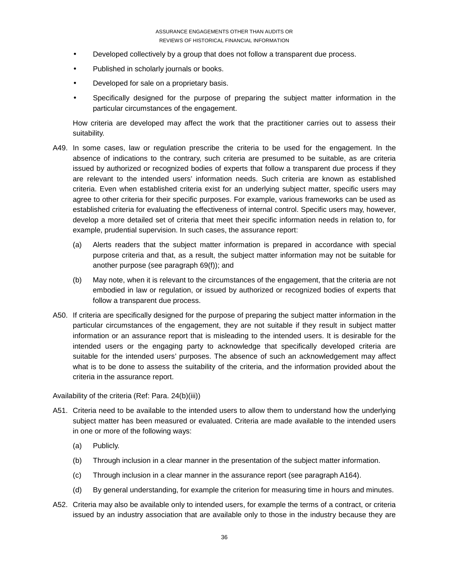- Developed collectively by a group that does not follow a transparent due process.
- Published in scholarly journals or books. ×.
- Developed for sale on a proprietary basis.
- Specifically designed for the purpose of preparing the subject matter information in the  $\mathbf{r}$ particular circumstances of the engagement.

How criteria are developed may affect the work that the practitioner carries out to assess their suitability.

- A49. In some cases, law or regulation prescribe the criteria to be used for the engagement. In the absence of indications to the contrary, such criteria are presumed to be suitable, as are criteria issued by authorized or recognized bodies of experts that follow a transparent due process if they are relevant to the intended users' information needs. Such criteria are known as established criteria. Even when established criteria exist for an underlying subject matter, specific users may agree to other criteria for their specific purposes. For example, various frameworks can be used as established criteria for evaluating the effectiveness of internal control. Specific users may, however, develop a more detailed set of criteria that meet their specific information needs in relation to, for example, prudential supervision. In such cases, the assurance report:
	- (a) Alerts readers that the subject matter information is prepared in accordance with special purpose criteria and that, as a result, the subject matter information may not be suitable for another purpose (see paragraph 69(f)); and
	- (b) May note, when it is relevant to the circumstances of the engagement, that the criteria are not embodied in law or regulation, or issued by authorized or recognized bodies of experts that follow a transparent due process.
- A50. If criteria are specifically designed for the purpose of preparing the subject matter information in the particular circumstances of the engagement, they are not suitable if they result in subject matter information or an assurance report that is misleading to the intended users. It is desirable for the intended users or the engaging party to acknowledge that specifically developed criteria are suitable for the intended users' purposes. The absence of such an acknowledgement may affect what is to be done to assess the suitability of the criteria, and the information provided about the criteria in the assurance report.

Availability of the criteria (Ref: Para. 24(b)(iii))

- A51. Criteria need to be available to the intended users to allow them to understand how the underlying subject matter has been measured or evaluated. Criteria are made available to the intended users in one or more of the following ways:
	- (a) Publicly.
	- (b) Through inclusion in a clear manner in the presentation of the subject matter information.
	- (c) Through inclusion in a clear manner in the assurance report (see paragraph A164).
	- (d) By general understanding, for example the criterion for measuring time in hours and minutes.
- A52. Criteria may also be available only to intended users, for example the terms of a contract, or criteria issued by an industry association that are available only to those in the industry because they are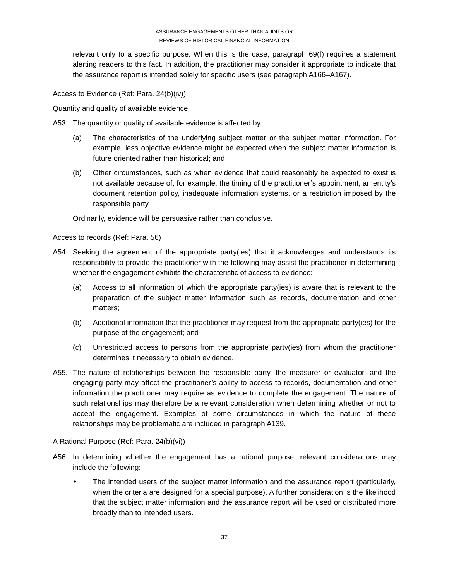relevant only to a specific purpose. When this is the case, paragraph 69(f) requires a statement alerting readers to this fact. In addition, the practitioner may consider it appropriate to indicate that the assurance report is intended solely for specific users (see paragraph A166–A167).

Access to Evidence (Ref: Para. 24(b)(iv))

Quantity and quality of available evidence

- A53. The quantity or quality of available evidence is affected by:
	- (a) The characteristics of the underlying subject matter or the subject matter information. For example, less objective evidence might be expected when the subject matter information is future oriented rather than historical; and
	- (b) Other circumstances, such as when evidence that could reasonably be expected to exist is not available because of, for example, the timing of the practitioner's appointment, an entity's document retention policy, inadequate information systems, or a restriction imposed by the responsible party.

Ordinarily, evidence will be persuasive rather than conclusive.

Access to records (Ref: Para. 56)

- A54. Seeking the agreement of the appropriate party(ies) that it acknowledges and understands its responsibility to provide the practitioner with the following may assist the practitioner in determining whether the engagement exhibits the characteristic of access to evidence:
	- (a) Access to all information of which the appropriate party(ies) is aware that is relevant to the preparation of the subject matter information such as records, documentation and other matters;
	- (b) Additional information that the practitioner may request from the appropriate party(ies) for the purpose of the engagement; and
	- (c) Unrestricted access to persons from the appropriate party(ies) from whom the practitioner determines it necessary to obtain evidence.
- A55. The nature of relationships between the responsible party, the measurer or evaluator, and the engaging party may affect the practitioner's ability to access to records, documentation and other information the practitioner may require as evidence to complete the engagement. The nature of such relationships may therefore be a relevant consideration when determining whether or not to accept the engagement. Examples of some circumstances in which the nature of these relationships may be problematic are included in paragraph A139.

A Rational Purpose (Ref: Para. 24(b)(vi))

- A56. In determining whether the engagement has a rational purpose, relevant considerations may include the following:
	- The intended users of the subject matter information and the assurance report (particularly, when the criteria are designed for a special purpose). A further consideration is the likelihood that the subject matter information and the assurance report will be used or distributed more broadly than to intended users.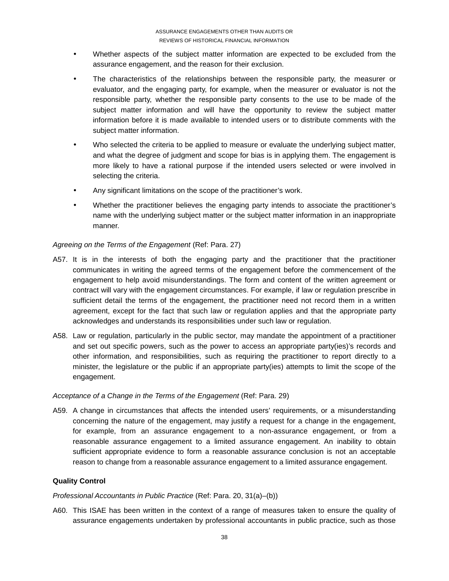- Whether aspects of the subject matter information are expected to be excluded from the assurance engagement, and the reason for their exclusion.
- The characteristics of the relationships between the responsible party, the measurer or evaluator, and the engaging party, for example, when the measurer or evaluator is not the responsible party, whether the responsible party consents to the use to be made of the subject matter information and will have the opportunity to review the subject matter information before it is made available to intended users or to distribute comments with the subject matter information.
- Who selected the criteria to be applied to measure or evaluate the underlying subject matter, and what the degree of judgment and scope for bias is in applying them. The engagement is more likely to have a rational purpose if the intended users selected or were involved in selecting the criteria.
- Any significant limitations on the scope of the practitioner's work.  $\sim$
- Whether the practitioner believes the engaging party intends to associate the practitioner's name with the underlying subject matter or the subject matter information in an inappropriate manner.

#### *Agreeing on the Terms of the Engagement* (Ref: Para. 27)

- A57. It is in the interests of both the engaging party and the practitioner that the practitioner communicates in writing the agreed terms of the engagement before the commencement of the engagement to help avoid misunderstandings. The form and content of the written agreement or contract will vary with the engagement circumstances. For example, if law or regulation prescribe in sufficient detail the terms of the engagement, the practitioner need not record them in a written agreement, except for the fact that such law or regulation applies and that the appropriate party acknowledges and understands its responsibilities under such law or regulation.
- A58. Law or regulation, particularly in the public sector, may mandate the appointment of a practitioner and set out specific powers, such as the power to access an appropriate party(ies)'s records and other information, and responsibilities, such as requiring the practitioner to report directly to a minister, the legislature or the public if an appropriate party(ies) attempts to limit the scope of the engagement.

#### *Acceptance of a Change in the Terms of the Engagement* (Ref: Para. 29)

A59. A change in circumstances that affects the intended users' requirements, or a misunderstanding concerning the nature of the engagement, may justify a request for a change in the engagement, for example, from an assurance engagement to a non-assurance engagement, or from a reasonable assurance engagement to a limited assurance engagement. An inability to obtain sufficient appropriate evidence to form a reasonable assurance conclusion is not an acceptable reason to change from a reasonable assurance engagement to a limited assurance engagement.

#### **Quality Control**

*Professional Accountants in Public Practice* (Ref: Para. 20, 31(a)–(b))

A60. This ISAE has been written in the context of a range of measures taken to ensure the quality of assurance engagements undertaken by professional accountants in public practice, such as those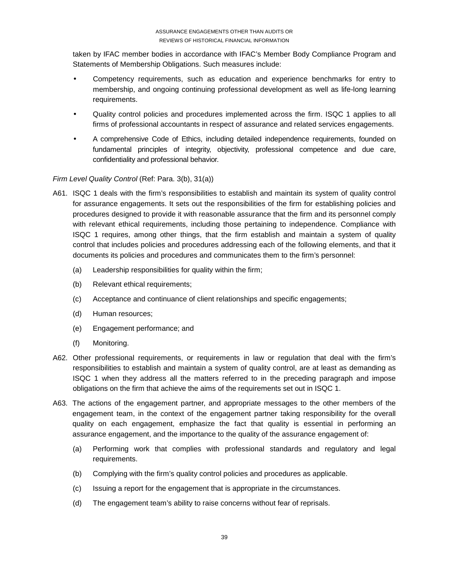taken by IFAC member bodies in accordance with IFAC's Member Body Compliance Program and Statements of Membership Obligations. Such measures include:

- Competency requirements, such as education and experience benchmarks for entry to  $\mathbf{r}$ membership, and ongoing continuing professional development as well as life-long learning requirements.
- Quality control policies and procedures implemented across the firm. ISQC 1 applies to all firms of professional accountants in respect of assurance and related services engagements.
- A comprehensive Code of Ethics, including detailed independence requirements, founded on fundamental principles of integrity, objectivity, professional competence and due care, confidentiality and professional behavior.

#### *Firm Level Quality Control (Ref: Para. 3(b), 31(a))*

- A61. ISQC 1 deals with the firm's responsibilities to establish and maintain its system of quality control for assurance engagements. It sets out the responsibilities of the firm for establishing policies and procedures designed to provide it with reasonable assurance that the firm and its personnel comply with relevant ethical requirements, including those pertaining to independence. Compliance with ISQC 1 requires, among other things, that the firm establish and maintain a system of quality control that includes policies and procedures addressing each of the following elements, and that it documents its policies and procedures and communicates them to the firm's personnel:
	- (a) Leadership responsibilities for quality within the firm;
	- (b) Relevant ethical requirements;
	- (c) Acceptance and continuance of client relationships and specific engagements;
	- (d) Human resources;
	- (e) Engagement performance; and
	- (f) Monitoring.
- A62. Other professional requirements, or requirements in law or regulation that deal with the firm's responsibilities to establish and maintain a system of quality control, are at least as demanding as ISQC 1 when they address all the matters referred to in the preceding paragraph and impose obligations on the firm that achieve the aims of the requirements set out in ISQC 1.
- A63. The actions of the engagement partner, and appropriate messages to the other members of the engagement team, in the context of the engagement partner taking responsibility for the overall quality on each engagement, emphasize the fact that quality is essential in performing an assurance engagement, and the importance to the quality of the assurance engagement of:
	- (a) Performing work that complies with professional standards and regulatory and legal requirements.
	- (b) Complying with the firm's quality control policies and procedures as applicable.
	- (c) Issuing a report for the engagement that is appropriate in the circumstances.
	- (d) The engagement team's ability to raise concerns without fear of reprisals.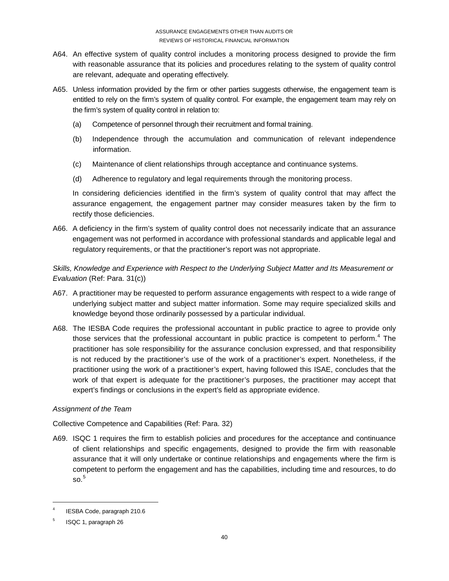- A64. An effective system of quality control includes a monitoring process designed to provide the firm with reasonable assurance that its policies and procedures relating to the system of quality control are relevant, adequate and operating effectively.
- A65. Unless information provided by the firm or other parties suggests otherwise, the engagement team is entitled to rely on the firm's system of quality control. For example, the engagement team may rely on the firm's system of quality control in relation to:
	- (a) Competence of personnel through their recruitment and formal training.
	- (b) Independence through the accumulation and communication of relevant independence information.
	- (c) Maintenance of client relationships through acceptance and continuance systems.
	- (d) Adherence to regulatory and legal requirements through the monitoring process.

In considering deficiencies identified in the firm's system of quality control that may affect the assurance engagement, the engagement partner may consider measures taken by the firm to rectify those deficiencies.

A66. A deficiency in the firm's system of quality control does not necessarily indicate that an assurance engagement was not performed in accordance with professional standards and applicable legal and regulatory requirements, or that the practitioner's report was not appropriate.

# *Skills, Knowledge and Experience with Respect to the Underlying Subject Matter and Its Measurement or Evaluation* (Ref: Para. 31(c))

- A67. A practitioner may be requested to perform assurance engagements with respect to a wide range of underlying subject matter and subject matter information. Some may require specialized skills and knowledge beyond those ordinarily possessed by a particular individual.
- A68. The IESBA Code requires the professional accountant in public practice to agree to provide only those services that the professional accountant in public practice is competent to perform.<sup>[4](#page-29-0)</sup> The practitioner has sole responsibility for the assurance conclusion expressed, and that responsibility is not reduced by the practitioner's use of the work of a practitioner's expert. Nonetheless, if the practitioner using the work of a practitioner's expert, having followed this ISAE, concludes that the work of that expert is adequate for the practitioner's purposes, the practitioner may accept that expert's findings or conclusions in the expert's field as appropriate evidence.

#### *Assignment of the Team*

Collective Competence and Capabilities (Ref: Para. 32)

A69. ISQC 1 requires the firm to establish policies and procedures for the acceptance and continuance of client relationships and specific engagements, designed to provide the firm with reasonable assurance that it will only undertake or continue relationships and engagements where the firm is competent to perform the engagement and has the capabilities, including time and resources, to do so.[5](#page-39-0)

 $\overline{\phantom{a}}$ 

IESBA Code, paragraph 210.6

<span id="page-39-0"></span><sup>5</sup> ISQC 1, paragraph 26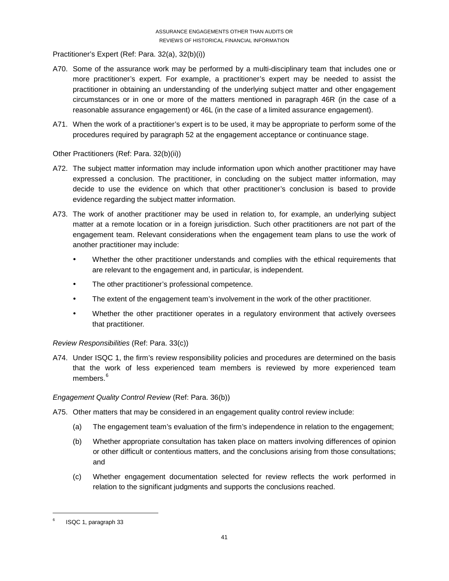Practitioner's Expert (Ref: Para. 32(a), 32(b)(i))

- A70. Some of the assurance work may be performed by a multi-disciplinary team that includes one or more practitioner's expert. For example, a practitioner's expert may be needed to assist the practitioner in obtaining an understanding of the underlying subject matter and other engagement circumstances or in one or more of the matters mentioned in paragraph 46R (in the case of a reasonable assurance engagement) or 46L (in the case of a limited assurance engagement).
- A71. When the work of a practitioner's expert is to be used, it may be appropriate to perform some of the procedures required by paragraph 52 at the engagement acceptance or continuance stage.

Other Practitioners (Ref: Para. 32(b)(ii))

- A72. The subject matter information may include information upon which another practitioner may have expressed a conclusion. The practitioner, in concluding on the subject matter information, may decide to use the evidence on which that other practitioner's conclusion is based to provide evidence regarding the subject matter information.
- A73. The work of another practitioner may be used in relation to, for example, an underlying subject matter at a remote location or in a foreign jurisdiction. Such other practitioners are not part of the engagement team. Relevant considerations when the engagement team plans to use the work of another practitioner may include:
	- Whether the other practitioner understands and complies with the ethical requirements that are relevant to the engagement and, in particular, is independent.
	- The other practitioner's professional competence.
	- The extent of the engagement team's involvement in the work of the other practitioner.  $\sim$
	- Whether the other practitioner operates in a regulatory environment that actively oversees that practitioner.

*Review Responsibilities* (Ref: Para. 33(c))

A74. Under ISQC 1, the firm's review responsibility policies and procedures are determined on the basis that the work of less experienced team members is reviewed by more experienced team members.<sup>[6](#page-39-0)</sup>

*Engagement Quality Control Review* (Ref: Para. 36(b))

- A75. Other matters that may be considered in an engagement quality control review include:
	- (a) The engagement team's evaluation of the firm's independence in relation to the engagement;
	- (b) Whether appropriate consultation has taken place on matters involving differences of opinion or other difficult or contentious matters, and the conclusions arising from those consultations; and
	- (c) Whether engagement documentation selected for review reflects the work performed in relation to the significant judgments and supports the conclusions reached.

<span id="page-40-0"></span> $\overline{\phantom{a}}$ 

<sup>6</sup> ISQC 1, paragraph 33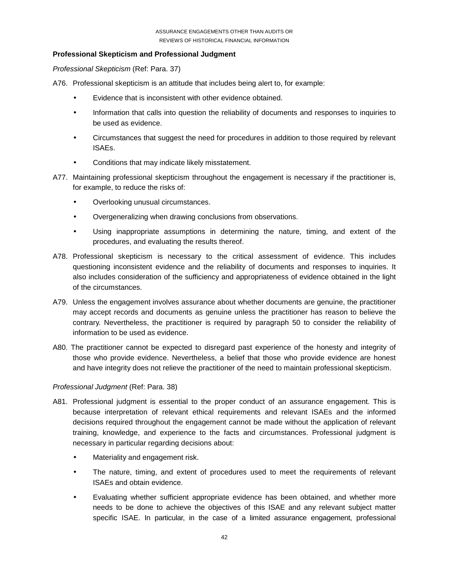#### **Professional Skepticism and Professional Judgment**

*Professional Skepticism* (Ref: Para. 37)

- A76. Professional skepticism is an attitude that includes being alert to, for example:
	- Evidence that is inconsistent with other evidence obtained.  $\mathbf{r}$
	- Information that calls into question the reliability of documents and responses to inquiries to  $\mathbf{r}$ be used as evidence.
	- Circumstances that suggest the need for procedures in addition to those required by relevant ISAEs.
	- Conditions that may indicate likely misstatement.
- A77. Maintaining professional skepticism throughout the engagement is necessary if the practitioner is, for example, to reduce the risks of:
	- Overlooking unusual circumstances.  $\mathbf{r}$
	- Overgeneralizing when drawing conclusions from observations.
	- Using inappropriate assumptions in determining the nature, timing, and extent of the  $\mathbf{r}$ procedures, and evaluating the results thereof.
- A78. Professional skepticism is necessary to the critical assessment of evidence. This includes questioning inconsistent evidence and the reliability of documents and responses to inquiries. It also includes consideration of the sufficiency and appropriateness of evidence obtained in the light of the circumstances.
- A79. Unless the engagement involves assurance about whether documents are genuine, the practitioner may accept records and documents as genuine unless the practitioner has reason to believe the contrary. Nevertheless, the practitioner is required by paragraph 50 to consider the reliability of information to be used as evidence.
- A80. The practitioner cannot be expected to disregard past experience of the honesty and integrity of those who provide evidence. Nevertheless, a belief that those who provide evidence are honest and have integrity does not relieve the practitioner of the need to maintain professional skepticism.

#### *Professional Judgment* (Ref: Para. 38)

- A81. Professional judgment is essential to the proper conduct of an assurance engagement. This is because interpretation of relevant ethical requirements and relevant ISAEs and the informed decisions required throughout the engagement cannot be made without the application of relevant training, knowledge, and experience to the facts and circumstances. Professional judgment is necessary in particular regarding decisions about:
	- Materiality and engagement risk.
	- The nature, timing, and extent of procedures used to meet the requirements of relevant ISAEs and obtain evidence.
	- Evaluating whether sufficient appropriate evidence has been obtained, and whether more needs to be done to achieve the objectives of this ISAE and any relevant subject matter specific ISAE. In particular, in the case of a limited assurance engagement, professional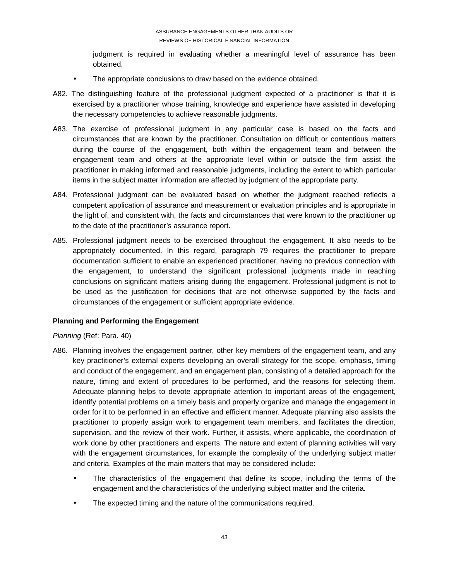judgment is required in evaluating whether a meaningful level of assurance has been obtained.

- The appropriate conclusions to draw based on the evidence obtained.
- A82. The distinguishing feature of the professional judgment expected of a practitioner is that it is exercised by a practitioner whose training, knowledge and experience have assisted in developing the necessary competencies to achieve reasonable judgments.
- A83. The exercise of professional judgment in any particular case is based on the facts and circumstances that are known by the practitioner. Consultation on difficult or contentious matters during the course of the engagement, both within the engagement team and between the engagement team and others at the appropriate level within or outside the firm assist the practitioner in making informed and reasonable judgments, including the extent to which particular items in the subject matter information are affected by judgment of the appropriate party.
- A84. Professional judgment can be evaluated based on whether the judgment reached reflects a competent application of assurance and measurement or evaluation principles and is appropriate in the light of, and consistent with, the facts and circumstances that were known to the practitioner up to the date of the practitioner's assurance report.
- A85. Professional judgment needs to be exercised throughout the engagement. It also needs to be appropriately documented. In this regard, paragraph 79 requires the practitioner to prepare documentation sufficient to enable an experienced practitioner, having no previous connection with the engagement, to understand the significant professional judgments made in reaching conclusions on significant matters arising during the engagement. Professional judgment is not to be used as the justification for decisions that are not otherwise supported by the facts and circumstances of the engagement or sufficient appropriate evidence.

#### **Planning and Performing the Engagement**

#### *Planning* (Ref: Para. 40)

- A86. Planning involves the engagement partner, other key members of the engagement team, and any key practitioner's external experts developing an overall strategy for the scope, emphasis, timing and conduct of the engagement, and an engagement plan, consisting of a detailed approach for the nature, timing and extent of procedures to be performed, and the reasons for selecting them. Adequate planning helps to devote appropriate attention to important areas of the engagement, identify potential problems on a timely basis and properly organize and manage the engagement in order for it to be performed in an effective and efficient manner. Adequate planning also assists the practitioner to properly assign work to engagement team members, and facilitates the direction, supervision, and the review of their work. Further, it assists, where applicable, the coordination of work done by other practitioners and experts. The nature and extent of planning activities will vary with the engagement circumstances, for example the complexity of the underlying subject matter and criteria. Examples of the main matters that may be considered include:
	- The characteristics of the engagement that define its scope, including the terms of the engagement and the characteristics of the underlying subject matter and the criteria.
	- The expected timing and the nature of the communications required.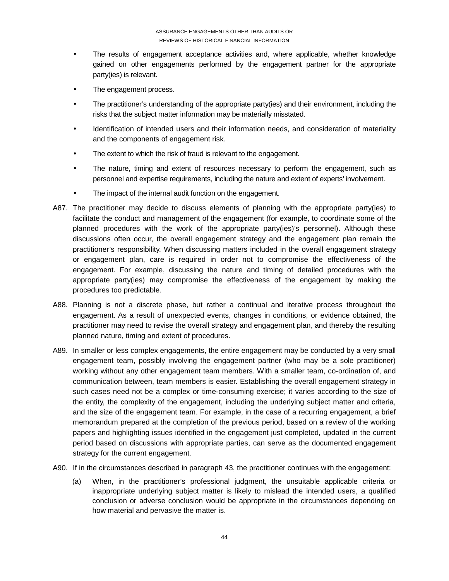- The results of engagement acceptance activities and, where applicable, whether knowledge gained on other engagements performed by the engagement partner for the appropriate party(ies) is relevant.
- The engagement process.
- The practitioner's understanding of the appropriate party(ies) and their environment, including the risks that the subject matter information may be materially misstated.
- Identification of intended users and their information needs, and consideration of materiality and the components of engagement risk.
- The extent to which the risk of fraud is relevant to the engagement.
- The nature, timing and extent of resources necessary to perform the engagement, such as personnel and expertise requirements, including the nature and extent of experts' involvement.
- The impact of the internal audit function on the engagement.
- A87. The practitioner may decide to discuss elements of planning with the appropriate party(ies) to facilitate the conduct and management of the engagement (for example, to coordinate some of the planned procedures with the work of the appropriate party(ies)'s personnel). Although these discussions often occur, the overall engagement strategy and the engagement plan remain the practitioner's responsibility. When discussing matters included in the overall engagement strategy or engagement plan, care is required in order not to compromise the effectiveness of the engagement. For example, discussing the nature and timing of detailed procedures with the appropriate party(ies) may compromise the effectiveness of the engagement by making the procedures too predictable.
- A88. Planning is not a discrete phase, but rather a continual and iterative process throughout the engagement. As a result of unexpected events, changes in conditions, or evidence obtained, the practitioner may need to revise the overall strategy and engagement plan, and thereby the resulting planned nature, timing and extent of procedures.
- A89. In smaller or less complex engagements, the entire engagement may be conducted by a very small engagement team, possibly involving the engagement partner (who may be a sole practitioner) working without any other engagement team members. With a smaller team, co-ordination of, and communication between, team members is easier. Establishing the overall engagement strategy in such cases need not be a complex or time-consuming exercise; it varies according to the size of the entity, the complexity of the engagement, including the underlying subject matter and criteria, and the size of the engagement team. For example, in the case of a recurring engagement, a brief memorandum prepared at the completion of the previous period, based on a review of the working papers and highlighting issues identified in the engagement just completed, updated in the current period based on discussions with appropriate parties, can serve as the documented engagement strategy for the current engagement.
- A90. If in the circumstances described in paragraph 43, the practitioner continues with the engagement:
	- (a) When, in the practitioner's professional judgment, the unsuitable applicable criteria or inappropriate underlying subject matter is likely to mislead the intended users, a qualified conclusion or adverse conclusion would be appropriate in the circumstances depending on how material and pervasive the matter is.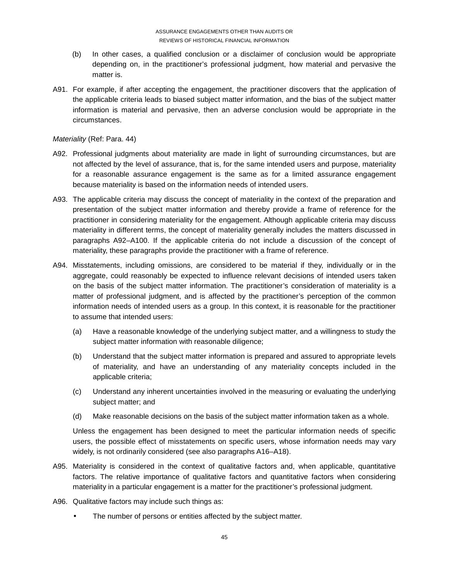- (b) In other cases, a qualified conclusion or a disclaimer of conclusion would be appropriate depending on, in the practitioner's professional judgment, how material and pervasive the matter is.
- A91. For example, if after accepting the engagement, the practitioner discovers that the application of the applicable criteria leads to biased subject matter information, and the bias of the subject matter information is material and pervasive, then an adverse conclusion would be appropriate in the circumstances.

*Materiality* (Ref: Para. 44)

- A92. Professional judgments about materiality are made in light of surrounding circumstances, but are not affected by the level of assurance, that is, for the same intended users and purpose, materiality for a reasonable assurance engagement is the same as for a limited assurance engagement because materiality is based on the information needs of intended users.
- A93. The applicable criteria may discuss the concept of materiality in the context of the preparation and presentation of the subject matter information and thereby provide a frame of reference for the practitioner in considering materiality for the engagement. Although applicable criteria may discuss materiality in different terms, the concept of materiality generally includes the matters discussed in paragraphs A92–A100. If the applicable criteria do not include a discussion of the concept of materiality, these paragraphs provide the practitioner with a frame of reference.
- A94. Misstatements, including omissions, are considered to be material if they, individually or in the aggregate, could reasonably be expected to influence relevant decisions of intended users taken on the basis of the subject matter information. The practitioner's consideration of materiality is a matter of professional judgment, and is affected by the practitioner's perception of the common information needs of intended users as a group. In this context, it is reasonable for the practitioner to assume that intended users:
	- (a) Have a reasonable knowledge of the underlying subject matter, and a willingness to study the subject matter information with reasonable diligence;
	- (b) Understand that the subject matter information is prepared and assured to appropriate levels of materiality, and have an understanding of any materiality concepts included in the applicable criteria;
	- (c) Understand any inherent uncertainties involved in the measuring or evaluating the underlying subject matter; and
	- (d) Make reasonable decisions on the basis of the subject matter information taken as a whole.

Unless the engagement has been designed to meet the particular information needs of specific users, the possible effect of misstatements on specific users, whose information needs may vary widely, is not ordinarily considered (see also paragraphs A16–A18).

- A95. Materiality is considered in the context of qualitative factors and, when applicable, quantitative factors. The relative importance of qualitative factors and quantitative factors when considering materiality in a particular engagement is a matter for the practitioner's professional judgment.
- A96. Qualitative factors may include such things as:
	- The number of persons or entities affected by the subject matter.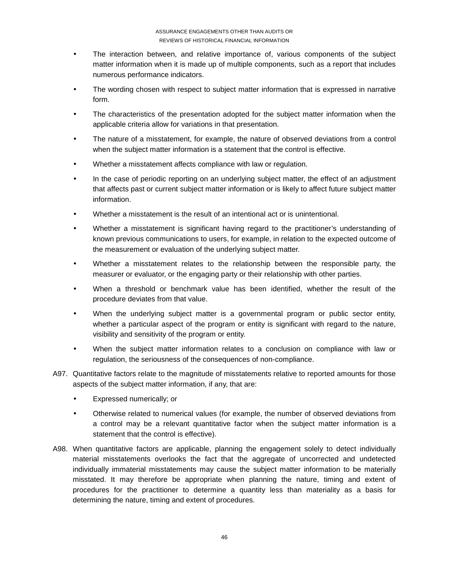- The interaction between, and relative importance of, various components of the subject matter information when it is made up of multiple components, such as a report that includes numerous performance indicators.
- The wording chosen with respect to subject matter information that is expressed in narrative form.
- The characteristics of the presentation adopted for the subject matter information when the applicable criteria allow for variations in that presentation.
- The nature of a misstatement, for example, the nature of observed deviations from a control when the subject matter information is a statement that the control is effective.
- Whether a misstatement affects compliance with law or regulation.
- In the case of periodic reporting on an underlying subject matter, the effect of an adjustment  $\mathbf{r}$ that affects past or current subject matter information or is likely to affect future subject matter information.
- Whether a misstatement is the result of an intentional act or is unintentional.
- Whether a misstatement is significant having regard to the practitioner's understanding of known previous communications to users, for example, in relation to the expected outcome of the measurement or evaluation of the underlying subject matter.
- Whether a misstatement relates to the relationship between the responsible party, the measurer or evaluator, or the engaging party or their relationship with other parties.
- When a threshold or benchmark value has been identified, whether the result of the procedure deviates from that value.
- When the underlying subject matter is a governmental program or public sector entity, whether a particular aspect of the program or entity is significant with regard to the nature, visibility and sensitivity of the program or entity.
- When the subject matter information relates to a conclusion on compliance with law or regulation, the seriousness of the consequences of non-compliance.
- A97. Quantitative factors relate to the magnitude of misstatements relative to reported amounts for those aspects of the subject matter information, if any, that are:
	- Expressed numerically; or
	- Otherwise related to numerical values (for example, the number of observed deviations from a control may be a relevant quantitative factor when the subject matter information is a statement that the control is effective).
- A98. When quantitative factors are applicable, planning the engagement solely to detect individually material misstatements overlooks the fact that the aggregate of uncorrected and undetected individually immaterial misstatements may cause the subject matter information to be materially misstated. It may therefore be appropriate when planning the nature, timing and extent of procedures for the practitioner to determine a quantity less than materiality as a basis for determining the nature, timing and extent of procedures.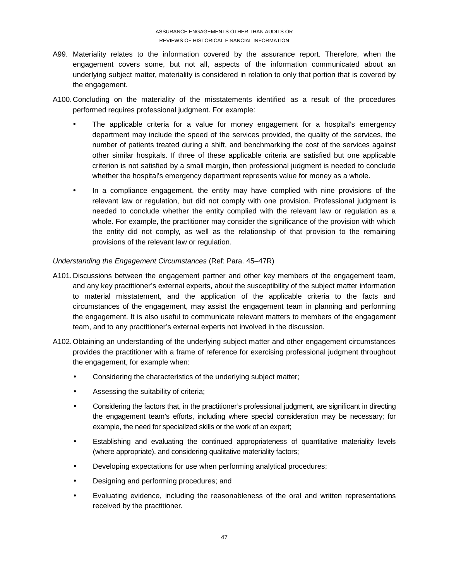- A99. Materiality relates to the information covered by the assurance report. Therefore, when the engagement covers some, but not all, aspects of the information communicated about an underlying subject matter, materiality is considered in relation to only that portion that is covered by the engagement.
- A100.Concluding on the materiality of the misstatements identified as a result of the procedures performed requires professional judgment. For example:
	- The applicable criteria for a value for money engagement for a hospital's emergency department may include the speed of the services provided, the quality of the services, the number of patients treated during a shift, and benchmarking the cost of the services against other similar hospitals. If three of these applicable criteria are satisfied but one applicable criterion is not satisfied by a small margin, then professional judgment is needed to conclude whether the hospital's emergency department represents value for money as a whole.
	- In a compliance engagement, the entity may have complied with nine provisions of the relevant law or regulation, but did not comply with one provision. Professional judgment is needed to conclude whether the entity complied with the relevant law or regulation as a whole. For example, the practitioner may consider the significance of the provision with which the entity did not comply, as well as the relationship of that provision to the remaining provisions of the relevant law or regulation.

#### *Understanding the Engagement Circumstances* (Ref: Para. 45*–*47R)

 $\sim$ 

- A101.Discussions between the engagement partner and other key members of the engagement team, and any key practitioner's external experts, about the susceptibility of the subject matter information to material misstatement, and the application of the applicable criteria to the facts and circumstances of the engagement, may assist the engagement team in planning and performing the engagement. It is also useful to communicate relevant matters to members of the engagement team, and to any practitioner's external experts not involved in the discussion.
- A102.Obtaining an understanding of the underlying subject matter and other engagement circumstances provides the practitioner with a frame of reference for exercising professional judgment throughout the engagement, for example when:
	- Considering the characteristics of the underlying subject matter;  $\mathbf{r}$
	- Assessing the suitability of criteria;
	- Considering the factors that, in the practitioner's professional judgment, are significant in directing  $\mathcal{L}^{\mathcal{L}}$ the engagement team's efforts, including where special consideration may be necessary; for example, the need for specialized skills or the work of an expert;
	- Establishing and evaluating the continued appropriateness of quantitative materiality levels (where appropriate), and considering qualitative materiality factors;
	- Developing expectations for use when performing analytical procedures;
	- Designing and performing procedures; and  $\sim$
	- Evaluating evidence, including the reasonableness of the oral and written representations received by the practitioner.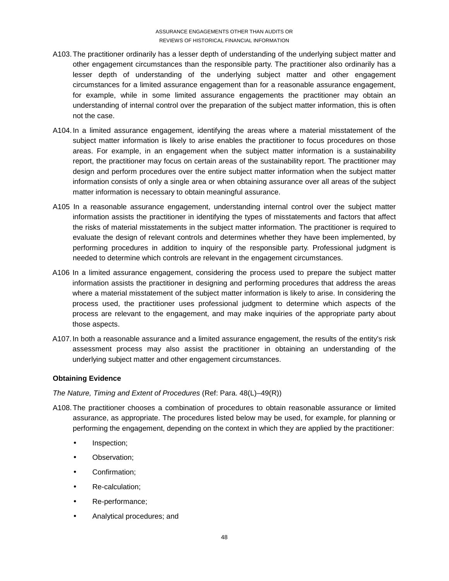- A103.The practitioner ordinarily has a lesser depth of understanding of the underlying subject matter and other engagement circumstances than the responsible party. The practitioner also ordinarily has a lesser depth of understanding of the underlying subject matter and other engagement circumstances for a limited assurance engagement than for a reasonable assurance engagement, for example, while in some limited assurance engagements the practitioner may obtain an understanding of internal control over the preparation of the subject matter information, this is often not the case.
- A104.In a limited assurance engagement, identifying the areas where a material misstatement of the subject matter information is likely to arise enables the practitioner to focus procedures on those areas. For example, in an engagement when the subject matter information is a sustainability report, the practitioner may focus on certain areas of the sustainability report. The practitioner may design and perform procedures over the entire subject matter information when the subject matter information consists of only a single area or when obtaining assurance over all areas of the subject matter information is necessary to obtain meaningful assurance.
- A105 In a reasonable assurance engagement, understanding internal control over the subject matter information assists the practitioner in identifying the types of misstatements and factors that affect the risks of material misstatements in the subject matter information. The practitioner is required to evaluate the design of relevant controls and determines whether they have been implemented, by performing procedures in addition to inquiry of the responsible party. Professional judgment is needed to determine which controls are relevant in the engagement circumstances.
- A106 In a limited assurance engagement, considering the process used to prepare the subject matter information assists the practitioner in designing and performing procedures that address the areas where a material misstatement of the subject matter information is likely to arise. In considering the process used, the practitioner uses professional judgment to determine which aspects of the process are relevant to the engagement, and may make inquiries of the appropriate party about those aspects.
- A107.In both a reasonable assurance and a limited assurance engagement, the results of the entity's risk assessment process may also assist the practitioner in obtaining an understanding of the underlying subject matter and other engagement circumstances.

#### **Obtaining Evidence**

*The Nature, Timing and Extent of Procedures* (Ref: Para. 48(L)–49(R))

- A108.The practitioner chooses a combination of procedures to obtain reasonable assurance or limited assurance, as appropriate. The procedures listed below may be used, for example, for planning or performing the engagement, depending on the context in which they are applied by the practitioner:
	- Inspection;
	- Observation;
	- Confirmation;
	- Re-calculation;
	- Re-performance;
	- $\mathbb{Z}^2$ Analytical procedures; and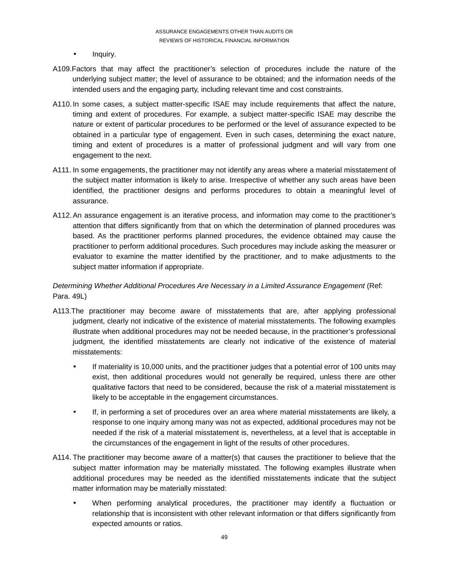Inquiry.

- A109.Factors that may affect the practitioner's selection of procedures include the nature of the underlying subject matter; the level of assurance to be obtained; and the information needs of the intended users and the engaging party, including relevant time and cost constraints.
- A110.In some cases, a subject matter-specific ISAE may include requirements that affect the nature, timing and extent of procedures. For example, a subject matter-specific ISAE may describe the nature or extent of particular procedures to be performed or the level of assurance expected to be obtained in a particular type of engagement. Even in such cases, determining the exact nature, timing and extent of procedures is a matter of professional judgment and will vary from one engagement to the next.
- A111. In some engagements, the practitioner may not identify any areas where a material misstatement of the subject matter information is likely to arise. Irrespective of whether any such areas have been identified, the practitioner designs and performs procedures to obtain a meaningful level of assurance.
- A112.An assurance engagement is an iterative process, and information may come to the practitioner's attention that differs significantly from that on which the determination of planned procedures was based. As the practitioner performs planned procedures, the evidence obtained may cause the practitioner to perform additional procedures. Such procedures may include asking the measurer or evaluator to examine the matter identified by the practitioner, and to make adjustments to the subject matter information if appropriate.

# *Determining Whether Additional Procedures Are Necessary in a Limited Assurance Engagement* (Ref: Para. 49L)

- A113.The practitioner may become aware of misstatements that are, after applying professional judgment, clearly not indicative of the existence of material misstatements. The following examples illustrate when additional procedures may not be needed because, in the practitioner's professional judgment, the identified misstatements are clearly not indicative of the existence of material misstatements:
	- If materiality is 10,000 units, and the practitioner judges that a potential error of 100 units may exist, then additional procedures would not generally be required, unless there are other qualitative factors that need to be considered, because the risk of a material misstatement is likely to be acceptable in the engagement circumstances.
	- If, in performing a set of procedures over an area where material misstatements are likely, a response to one inquiry among many was not as expected, additional procedures may not be needed if the risk of a material misstatement is, nevertheless, at a level that is acceptable in the circumstances of the engagement in light of the results of other procedures.
- A114. The practitioner may become aware of a matter(s) that causes the practitioner to believe that the subject matter information may be materially misstated. The following examples illustrate when additional procedures may be needed as the identified misstatements indicate that the subject matter information may be materially misstated:
	- When performing analytical procedures, the practitioner may identify a fluctuation or relationship that is inconsistent with other relevant information or that differs significantly from expected amounts or ratios.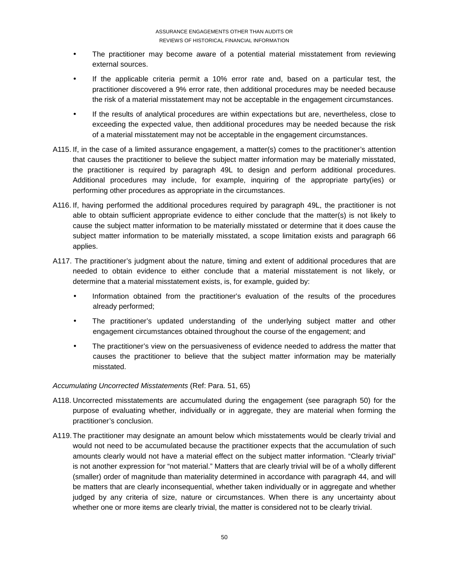- The practitioner may become aware of a potential material misstatement from reviewing external sources.
- If the applicable criteria permit a 10% error rate and, based on a particular test, the practitioner discovered a 9% error rate, then additional procedures may be needed because the risk of a material misstatement may not be acceptable in the engagement circumstances.
- If the results of analytical procedures are within expectations but are, nevertheless, close to exceeding the expected value, then additional procedures may be needed because the risk of a material misstatement may not be acceptable in the engagement circumstances.
- A115. If, in the case of a limited assurance engagement, a matter(s) comes to the practitioner's attention that causes the practitioner to believe the subject matter information may be materially misstated, the practitioner is required by paragraph 49L to design and perform additional procedures. Additional procedures may include, for example, inquiring of the appropriate party(ies) or performing other procedures as appropriate in the circumstances.
- A116. If, having performed the additional procedures required by paragraph 49L, the practitioner is not able to obtain sufficient appropriate evidence to either conclude that the matter(s) is not likely to cause the subject matter information to be materially misstated or determine that it does cause the subject matter information to be materially misstated, a scope limitation exists and paragraph 66 applies.
- A117. The practitioner's judgment about the nature, timing and extent of additional procedures that are needed to obtain evidence to either conclude that a material misstatement is not likely, or determine that a material misstatement exists, is, for example, guided by:
	- Information obtained from the practitioner's evaluation of the results of the procedures  $\mathcal{L}^{\mathcal{L}}$ already performed;
	- The practitioner's updated understanding of the underlying subject matter and other engagement circumstances obtained throughout the course of the engagement; and
	- The practitioner's view on the persuasiveness of evidence needed to address the matter that  $\mathbf{r}$ causes the practitioner to believe that the subject matter information may be materially misstated.

#### *Accumulating Uncorrected Misstatements* (Ref: Para. 51, 65)

- A118. Uncorrected misstatements are accumulated during the engagement (see paragraph 50) for the purpose of evaluating whether, individually or in aggregate, they are material when forming the practitioner's conclusion.
- A119.The practitioner may designate an amount below which misstatements would be clearly trivial and would not need to be accumulated because the practitioner expects that the accumulation of such amounts clearly would not have a material effect on the subject matter information. "Clearly trivial" is not another expression for "not material." Matters that are clearly trivial will be of a wholly different (smaller) order of magnitude than materiality determined in accordance with paragraph 44, and will be matters that are clearly inconsequential, whether taken individually or in aggregate and whether judged by any criteria of size, nature or circumstances. When there is any uncertainty about whether one or more items are clearly trivial, the matter is considered not to be clearly trivial.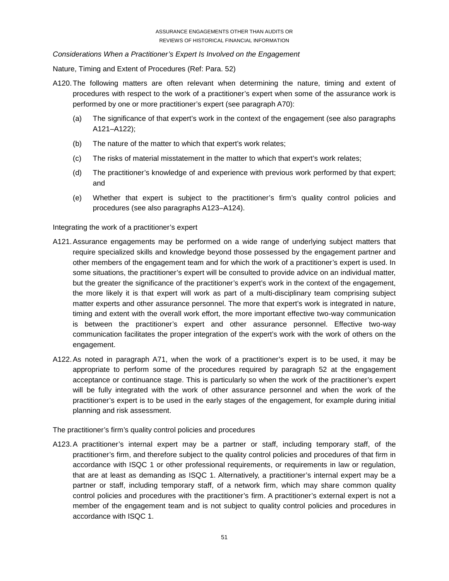*Considerations When a Practitioner's Expert Is Involved on the Engagement*

Nature, Timing and Extent of Procedures (Ref: Para. 52)

- A120.The following matters are often relevant when determining the nature, timing and extent of procedures with respect to the work of a practitioner's expert when some of the assurance work is performed by one or more practitioner's expert (see paragraph A70):
	- (a) The significance of that expert's work in the context of the engagement (see also paragraphs A121–A122);
	- (b) The nature of the matter to which that expert's work relates;
	- (c) The risks of material misstatement in the matter to which that expert's work relates;
	- (d) The practitioner's knowledge of and experience with previous work performed by that expert; and
	- (e) Whether that expert is subject to the practitioner's firm's quality control policies and procedures (see also paragraphs A123–A124).

Integrating the work of a practitioner's expert

- A121.Assurance engagements may be performed on a wide range of underlying subject matters that require specialized skills and knowledge beyond those possessed by the engagement partner and other members of the engagement team and for which the work of a practitioner's expert is used. In some situations, the practitioner's expert will be consulted to provide advice on an individual matter, but the greater the significance of the practitioner's expert's work in the context of the engagement, the more likely it is that expert will work as part of a multi-disciplinary team comprising subject matter experts and other assurance personnel. The more that expert's work is integrated in nature, timing and extent with the overall work effort, the more important effective two-way communication is between the practitioner's expert and other assurance personnel. Effective two-way communication facilitates the proper integration of the expert's work with the work of others on the engagement.
- A122.As noted in paragraph A71, when the work of a practitioner's expert is to be used, it may be appropriate to perform some of the procedures required by paragraph 52 at the engagement acceptance or continuance stage. This is particularly so when the work of the practitioner's expert will be fully integrated with the work of other assurance personnel and when the work of the practitioner's expert is to be used in the early stages of the engagement, for example during initial planning and risk assessment.

The practitioner's firm's quality control policies and procedures

A123.A practitioner's internal expert may be a partner or staff, including temporary staff, of the practitioner's firm, and therefore subject to the quality control policies and procedures of that firm in accordance with ISQC 1 or other professional requirements, or requirements in law or regulation, that are at least as demanding as ISQC 1. Alternatively, a practitioner's internal expert may be a partner or staff, including temporary staff, of a network firm, which may share common quality control policies and procedures with the practitioner's firm. A practitioner's external expert is not a member of the engagement team and is not subject to quality control policies and procedures in accordance with ISQC 1.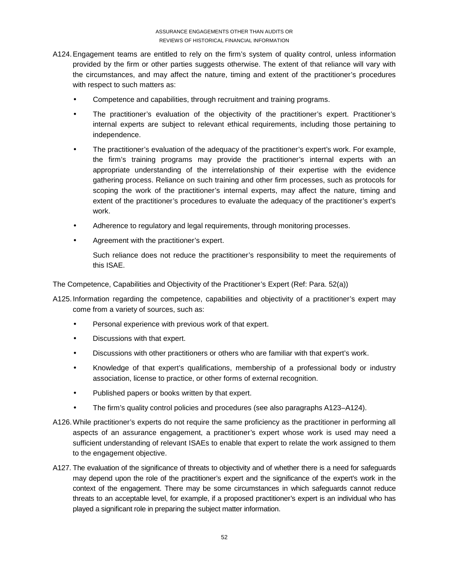- A124.Engagement teams are entitled to rely on the firm's system of quality control, unless information provided by the firm or other parties suggests otherwise. The extent of that reliance will vary with the circumstances, and may affect the nature, timing and extent of the practitioner's procedures with respect to such matters as:
	- Competence and capabilities, through recruitment and training programs.
	- The practitioner's evaluation of the objectivity of the practitioner's expert. Practitioner's internal experts are subject to relevant ethical requirements, including those pertaining to independence.
	- The practitioner's evaluation of the adequacy of the practitioner's expert's work. For example, the firm's training programs may provide the practitioner's internal experts with an appropriate understanding of the interrelationship of their expertise with the evidence gathering process. Reliance on such training and other firm processes, such as protocols for scoping the work of the practitioner's internal experts, may affect the nature, timing and extent of the practitioner's procedures to evaluate the adequacy of the practitioner's expert's work.
	- Adherence to regulatory and legal requirements, through monitoring processes.
	- Agreement with the practitioner's expert.
		- Such reliance does not reduce the practitioner's responsibility to meet the requirements of this ISAE.

The Competence, Capabilities and Objectivity of the Practitioner's Expert (Ref: Para. 52(a))

- A125.Information regarding the competence, capabilities and objectivity of a practitioner's expert may come from a variety of sources, such as:
	- Personal experience with previous work of that expert.
	- Discussions with that expert.
	- Discussions with other practitioners or others who are familiar with that expert's work.  $\mathcal{L}^{\mathcal{L}}$
	- Knowledge of that expert's qualifications, membership of a professional body or industry association, license to practice, or other forms of external recognition.
	- Published papers or books written by that expert.
	- The firm's quality control policies and procedures (see also paragraphs A123–A124).  $\mathbf{r}$
- A126.While practitioner's experts do not require the same proficiency as the practitioner in performing all aspects of an assurance engagement, a practitioner's expert whose work is used may need a sufficient understanding of relevant ISAEs to enable that expert to relate the work assigned to them to the engagement objective.
- A127. The evaluation of the significance of threats to objectivity and of whether there is a need for safeguards may depend upon the role of the practitioner's expert and the significance of the expert's work in the context of the engagement. There may be some circumstances in which safeguards cannot reduce threats to an acceptable level, for example, if a proposed practitioner's expert is an individual who has played a significant role in preparing the subject matter information.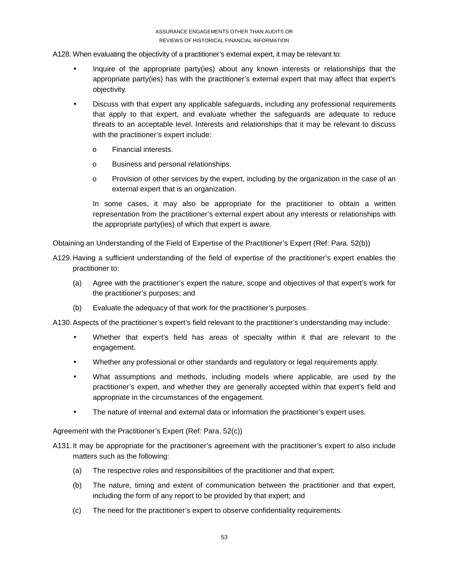A128. When evaluating the objectivity of a practitioner's external expert, it may be relevant to:

- Inquire of the appropriate party(ies) about any known interests or relationships that the appropriate party(ies) has with the practitioner's external expert that may affect that expert's objectivity.
- Discuss with that expert any applicable safeguards, including any professional requirements that apply to that expert, and evaluate whether the safeguards are adequate to reduce threats to an acceptable level. Interests and relationships that it may be relevant to discuss with the practitioner's expert include:
	- o Financial interests.
	- o Business and personal relationships.
	- o Provision of other services by the expert, including by the organization in the case of an external expert that is an organization.

In some cases, it may also be appropriate for the practitioner to obtain a written representation from the practitioner's external expert about any interests or relationships with the appropriate party(ies) of which that expert is aware.

Obtaining an Understanding of the Field of Expertise of the Practitioner's Expert (Ref: Para. 52(b))

- A129.Having a sufficient understanding of the field of expertise of the practitioner's expert enables the practitioner to:
	- (a) Agree with the practitioner's expert the nature, scope and objectives of that expert's work for the practitioner's purposes; and
	- (b) Evaluate the adequacy of that work for the practitioner's purposes.

A130.Aspects of the practitioner's expert's field relevant to the practitioner's understanding may include:

- Whether that expert's field has areas of specialty within it that are relevant to the engagement.
- Whether any professional or other standards and regulatory or legal requirements apply.
- What assumptions and methods, including models where applicable, are used by the  $\sim$ practitioner's expert, and whether they are generally accepted within that expert's field and appropriate in the circumstances of the engagement.
- The nature of internal and external data or information the practitioner's expert uses.  $\mathbf{r}$

Agreement with the Practitioner's Expert (Ref: Para. 52(c))

- A131.It may be appropriate for the practitioner's agreement with the practitioner's expert to also include matters such as the following:
	- (a) The respective roles and responsibilities of the practitioner and that expert;
	- (b) The nature, timing and extent of communication between the practitioner and that expert, including the form of any report to be provided by that expert; and
	- (c) The need for the practitioner's expert to observe confidentiality requirements.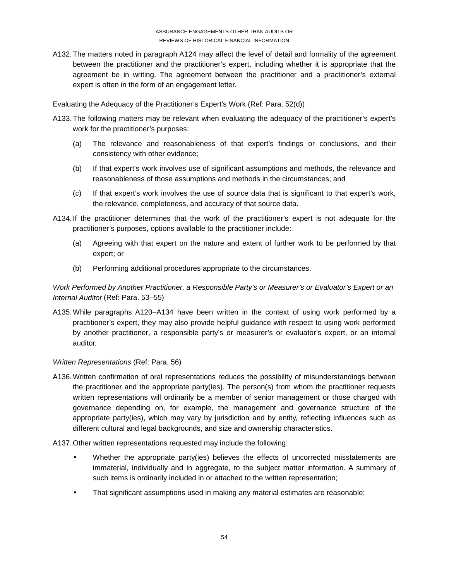A132.The matters noted in paragraph A124 may affect the level of detail and formality of the agreement between the practitioner and the practitioner's expert, including whether it is appropriate that the agreement be in writing. The agreement between the practitioner and a practitioner's external expert is often in the form of an engagement letter.

Evaluating the Adequacy of the Practitioner's Expert's Work (Ref: Para. 52(d))

- A133.The following matters may be relevant when evaluating the adequacy of the practitioner's expert's work for the practitioner's purposes:
	- (a) The relevance and reasonableness of that expert's findings or conclusions, and their consistency with other evidence;
	- (b) If that expert's work involves use of significant assumptions and methods, the relevance and reasonableness of those assumptions and methods in the circumstances; and
	- (c) If that expert's work involves the use of source data that is significant to that expert's work, the relevance, completeness, and accuracy of that source data.
- A134.If the practitioner determines that the work of the practitioner's expert is not adequate for the practitioner's purposes, options available to the practitioner include:
	- (a) Agreeing with that expert on the nature and extent of further work to be performed by that expert; or
	- (b) Performing additional procedures appropriate to the circumstances.

## *Work Performed by Another Practitioner, a Responsible Party's or Measurer's or Evaluator's Expert or an Internal Auditor* (Ref: Para. 53–55)

A135.While paragraphs A120–A134 have been written in the context of using work performed by a practitioner's expert, they may also provide helpful guidance with respect to using work performed by another practitioner, a responsible party's or measurer's or evaluator's expert, or an internal auditor.

#### *Written Representations* (Ref: Para. 56)

- A136.Written confirmation of oral representations reduces the possibility of misunderstandings between the practitioner and the appropriate party(ies). The person(s) from whom the practitioner requests written representations will ordinarily be a member of senior management or those charged with governance depending on, for example, the management and governance structure of the appropriate party(ies), which may vary by jurisdiction and by entity, reflecting influences such as different cultural and legal backgrounds, and size and ownership characteristics.
- A137.Other written representations requested may include the following:
	- Whether the appropriate party(ies) believes the effects of uncorrected misstatements are immaterial, individually and in aggregate, to the subject matter information. A summary of such items is ordinarily included in or attached to the written representation;
	- That significant assumptions used in making any material estimates are reasonable;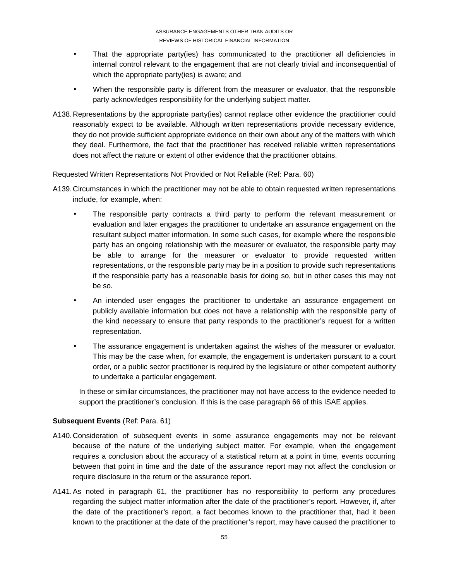- That the appropriate party(ies) has communicated to the practitioner all deficiencies in internal control relevant to the engagement that are not clearly trivial and inconsequential of which the appropriate party(ies) is aware; and
- When the responsible party is different from the measurer or evaluator, that the responsible party acknowledges responsibility for the underlying subject matter.
- A138.Representations by the appropriate party(ies) cannot replace other evidence the practitioner could reasonably expect to be available. Although written representations provide necessary evidence, they do not provide sufficient appropriate evidence on their own about any of the matters with which they deal. Furthermore, the fact that the practitioner has received reliable written representations does not affect the nature or extent of other evidence that the practitioner obtains.

Requested Written Representations Not Provided or Not Reliable (Ref: Para. 60)

- A139.Circumstances in which the practitioner may not be able to obtain requested written representations include, for example, when:
	- The responsible party contracts a third party to perform the relevant measurement or evaluation and later engages the practitioner to undertake an assurance engagement on the resultant subject matter information. In some such cases, for example where the responsible party has an ongoing relationship with the measurer or evaluator, the responsible party may be able to arrange for the measurer or evaluator to provide requested written representations, or the responsible party may be in a position to provide such representations if the responsible party has a reasonable basis for doing so, but in other cases this may not be so.
	- An intended user engages the practitioner to undertake an assurance engagement on publicly available information but does not have a relationship with the responsible party of the kind necessary to ensure that party responds to the practitioner's request for a written representation.
	- The assurance engagement is undertaken against the wishes of the measurer or evaluator. This may be the case when, for example, the engagement is undertaken pursuant to a court order, or a public sector practitioner is required by the legislature or other competent authority to undertake a particular engagement.

In these or similar circumstances, the practitioner may not have access to the evidence needed to support the practitioner's conclusion. If this is the case paragraph 66 of this ISAE applies.

#### **Subsequent Events** (Ref: Para. 61)

- A140.Consideration of subsequent events in some assurance engagements may not be relevant because of the nature of the underlying subject matter. For example, when the engagement requires a conclusion about the accuracy of a statistical return at a point in time, events occurring between that point in time and the date of the assurance report may not affect the conclusion or require disclosure in the return or the assurance report.
- A141.As noted in paragraph 61, the practitioner has no responsibility to perform any procedures regarding the subject matter information after the date of the practitioner's report. However, if, after the date of the practitioner's report, a fact becomes known to the practitioner that, had it been known to the practitioner at the date of the practitioner's report, may have caused the practitioner to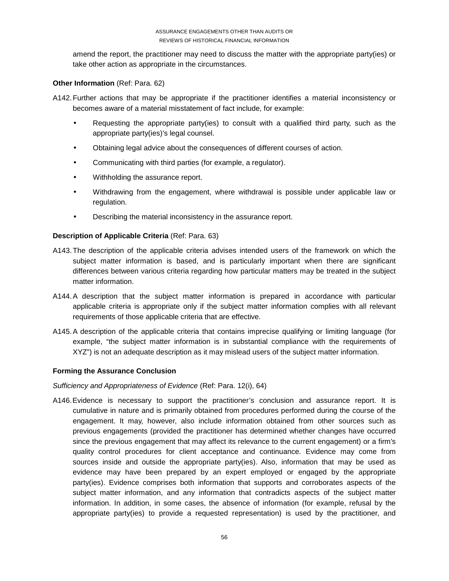amend the report, the practitioner may need to discuss the matter with the appropriate party(ies) or take other action as appropriate in the circumstances.

#### **Other Information** (Ref: Para. 62)

- A142.Further actions that may be appropriate if the practitioner identifies a material inconsistency or becomes aware of a material misstatement of fact include, for example:
	- Requesting the appropriate party(ies) to consult with a qualified third party, such as the appropriate party(ies)'s legal counsel.
	- Obtaining legal advice about the consequences of different courses of action.
	- Communicating with third parties (for example, a regulator).
	- Withholding the assurance report.
	- Withdrawing from the engagement, where withdrawal is possible under applicable law or regulation.
	- Describing the material inconsistency in the assurance report.

#### **Description of Applicable Criteria** (Ref: Para. 63)

- A143.The description of the applicable criteria advises intended users of the framework on which the subject matter information is based, and is particularly important when there are significant differences between various criteria regarding how particular matters may be treated in the subject matter information.
- A144.A description that the subject matter information is prepared in accordance with particular applicable criteria is appropriate only if the subject matter information complies with all relevant requirements of those applicable criteria that are effective.
- A145.A description of the applicable criteria that contains imprecise qualifying or limiting language (for example, "the subject matter information is in substantial compliance with the requirements of XYZ") is not an adequate description as it may mislead users of the subject matter information.

#### **Forming the Assurance Conclusion**

#### *Sufficiency and Appropriateness of Evidence* (Ref: Para. 12(i), 64)

A146.Evidence is necessary to support the practitioner's conclusion and assurance report. It is cumulative in nature and is primarily obtained from procedures performed during the course of the engagement. It may, however, also include information obtained from other sources such as previous engagements (provided the practitioner has determined whether changes have occurred since the previous engagement that may affect its relevance to the current engagement) or a firm's quality control procedures for client acceptance and continuance. Evidence may come from sources inside and outside the appropriate party(ies). Also, information that may be used as evidence may have been prepared by an expert employed or engaged by the appropriate party(ies). Evidence comprises both information that supports and corroborates aspects of the subject matter information, and any information that contradicts aspects of the subject matter information. In addition, in some cases, the absence of information (for example, refusal by the appropriate party(ies) to provide a requested representation) is used by the practitioner, and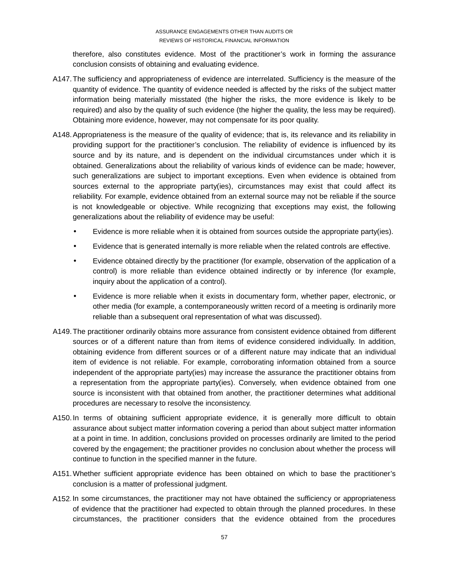therefore, also constitutes evidence. Most of the practitioner's work in forming the assurance conclusion consists of obtaining and evaluating evidence.

- A147.The sufficiency and appropriateness of evidence are interrelated. Sufficiency is the measure of the quantity of evidence. The quantity of evidence needed is affected by the risks of the subject matter information being materially misstated (the higher the risks, the more evidence is likely to be required) and also by the quality of such evidence (the higher the quality, the less may be required). Obtaining more evidence, however, may not compensate for its poor quality.
- A148.Appropriateness is the measure of the quality of evidence; that is, its relevance and its reliability in providing support for the practitioner's conclusion. The reliability of evidence is influenced by its source and by its nature, and is dependent on the individual circumstances under which it is obtained. Generalizations about the reliability of various kinds of evidence can be made; however, such generalizations are subject to important exceptions. Even when evidence is obtained from sources external to the appropriate party(ies), circumstances may exist that could affect its reliability. For example, evidence obtained from an external source may not be reliable if the source is not knowledgeable or objective. While recognizing that exceptions may exist, the following generalizations about the reliability of evidence may be useful:
	- Evidence is more reliable when it is obtained from sources outside the appropriate party(ies).
	- Evidence that is generated internally is more reliable when the related controls are effective.
	- Evidence obtained directly by the practitioner (for example, observation of the application of a control) is more reliable than evidence obtained indirectly or by inference (for example, inquiry about the application of a control).
	- Evidence is more reliable when it exists in documentary form, whether paper, electronic, or other media (for example, a contemporaneously written record of a meeting is ordinarily more reliable than a subsequent oral representation of what was discussed).
- A149.The practitioner ordinarily obtains more assurance from consistent evidence obtained from different sources or of a different nature than from items of evidence considered individually. In addition, obtaining evidence from different sources or of a different nature may indicate that an individual item of evidence is not reliable. For example, corroborating information obtained from a source independent of the appropriate party(ies) may increase the assurance the practitioner obtains from a representation from the appropriate party(ies). Conversely, when evidence obtained from one source is inconsistent with that obtained from another, the practitioner determines what additional procedures are necessary to resolve the inconsistency.
- A150.In terms of obtaining sufficient appropriate evidence, it is generally more difficult to obtain assurance about subject matter information covering a period than about subject matter information at a point in time. In addition, conclusions provided on processes ordinarily are limited to the period covered by the engagement; the practitioner provides no conclusion about whether the process will continue to function in the specified manner in the future.
- A151.Whether sufficient appropriate evidence has been obtained on which to base the practitioner's conclusion is a matter of professional judgment.
- A152. In some circumstances, the practitioner may not have obtained the sufficiency or appropriateness of evidence that the practitioner had expected to obtain through the planned procedures. In these circumstances, the practitioner considers that the evidence obtained from the procedures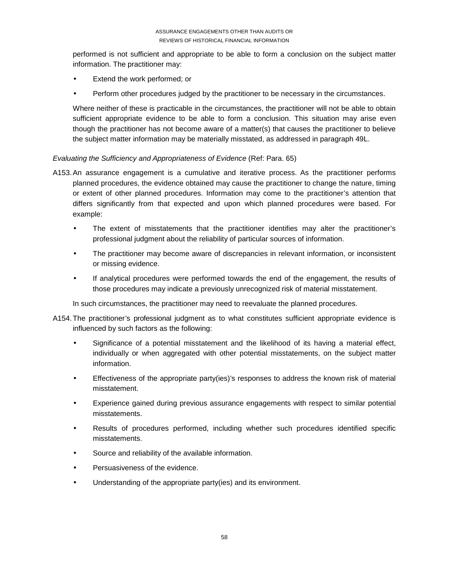performed is not sufficient and appropriate to be able to form a conclusion on the subject matter information. The practitioner may:

- Extend the work performed; or ÷.
- Perform other procedures judged by the practitioner to be necessary in the circumstances.  $\mathbf{r}$

Where neither of these is practicable in the circumstances, the practitioner will not be able to obtain sufficient appropriate evidence to be able to form a conclusion. This situation may arise even though the practitioner has not become aware of a matter(s) that causes the practitioner to believe the subject matter information may be materially misstated, as addressed in paragraph 49L.

#### *Evaluating the Sufficiency and Appropriateness of Evidence* (Ref: Para. 65)

- A153.An assurance engagement is a cumulative and iterative process. As the practitioner performs planned procedures, the evidence obtained may cause the practitioner to change the nature, timing or extent of other planned procedures. Information may come to the practitioner's attention that differs significantly from that expected and upon which planned procedures were based. For example:
	- The extent of misstatements that the practitioner identifies may alter the practitioner's professional judgment about the reliability of particular sources of information.
	- The practitioner may become aware of discrepancies in relevant information, or inconsistent or missing evidence.
	- If analytical procedures were performed towards the end of the engagement, the results of those procedures may indicate a previously unrecognized risk of material misstatement.

In such circumstances, the practitioner may need to reevaluate the planned procedures.

- A154.The practitioner's professional judgment as to what constitutes sufficient appropriate evidence is influenced by such factors as the following:
	- Significance of a potential misstatement and the likelihood of its having a material effect, individually or when aggregated with other potential misstatements, on the subject matter information.
	- Effectiveness of the appropriate party(ies)'s responses to address the known risk of material misstatement.
	- Experience gained during previous assurance engagements with respect to similar potential misstatements.
	- Results of procedures performed, including whether such procedures identified specific misstatements.
	- Source and reliability of the available information.
	- Persuasiveness of the evidence.
	- Understanding of the appropriate party(ies) and its environment.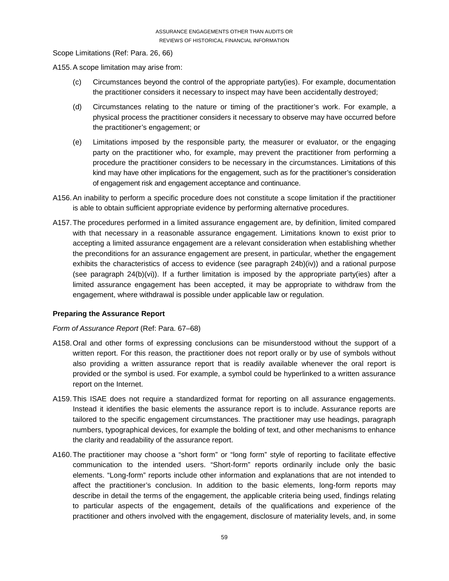Scope Limitations (Ref: Para. 26, 66)

A155.A scope limitation may arise from:

- (c) Circumstances beyond the control of the appropriate party(ies). For example, documentation the practitioner considers it necessary to inspect may have been accidentally destroyed;
- (d) Circumstances relating to the nature or timing of the practitioner's work. For example, a physical process the practitioner considers it necessary to observe may have occurred before the practitioner's engagement; or
- (e) Limitations imposed by the responsible party, the measurer or evaluator, or the engaging party on the practitioner who, for example, may prevent the practitioner from performing a procedure the practitioner considers to be necessary in the circumstances. Limitations of this kind may have other implications for the engagement, such as for the practitioner's consideration of engagement risk and engagement acceptance and continuance.
- A156.An inability to perform a specific procedure does not constitute a scope limitation if the practitioner is able to obtain sufficient appropriate evidence by performing alternative procedures.
- A157.The procedures performed in a limited assurance engagement are, by definition, limited compared with that necessary in a reasonable assurance engagement. Limitations known to exist prior to accepting a limited assurance engagement are a relevant consideration when establishing whether the preconditions for an assurance engagement are present, in particular, whether the engagement exhibits the characteristics of access to evidence (see paragraph 24b)(iv)) and a rational purpose (see paragraph 24(b)(vi)). If a further limitation is imposed by the appropriate party(ies) after a limited assurance engagement has been accepted, it may be appropriate to withdraw from the engagement, where withdrawal is possible under applicable law or regulation.

#### **Preparing the Assurance Report**

#### *Form of Assurance Report* (Ref: Para. 67–68)

- A158.Oral and other forms of expressing conclusions can be misunderstood without the support of a written report. For this reason, the practitioner does not report orally or by use of symbols without also providing a written assurance report that is readily available whenever the oral report is provided or the symbol is used. For example, a symbol could be hyperlinked to a written assurance report on the Internet.
- A159.This ISAE does not require a standardized format for reporting on all assurance engagements. Instead it identifies the basic elements the assurance report is to include. Assurance reports are tailored to the specific engagement circumstances. The practitioner may use headings, paragraph numbers, typographical devices, for example the bolding of text, and other mechanisms to enhance the clarity and readability of the assurance report.
- A160.The practitioner may choose a "short form" or "long form" style of reporting to facilitate effective communication to the intended users. "Short-form" reports ordinarily include only the basic elements. "Long-form" reports include other information and explanations that are not intended to affect the practitioner's conclusion. In addition to the basic elements, long-form reports may describe in detail the terms of the engagement, the applicable criteria being used, findings relating to particular aspects of the engagement, details of the qualifications and experience of the practitioner and others involved with the engagement, disclosure of materiality levels, and, in some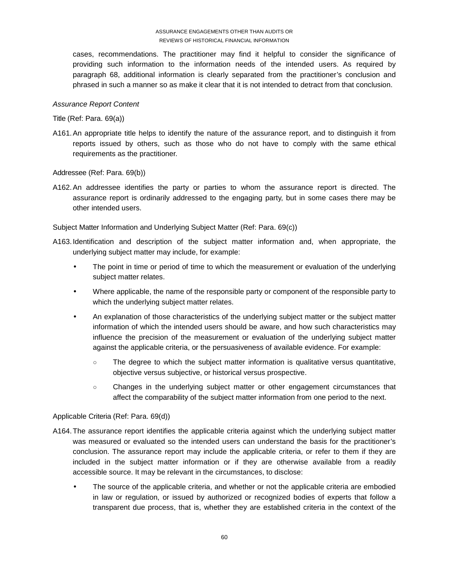cases, recommendations. The practitioner may find it helpful to consider the significance of providing such information to the information needs of the intended users. As required by paragraph 68, additional information is clearly separated from the practitioner's conclusion and phrased in such a manner so as make it clear that it is not intended to detract from that conclusion.

#### *Assurance Report Content*

Title (Ref: Para. 69(a))

A161.An appropriate title helps to identify the nature of the assurance report, and to distinguish it from reports issued by others, such as those who do not have to comply with the same ethical requirements as the practitioner.

Addressee (Ref: Para. 69(b))

A162.An addressee identifies the party or parties to whom the assurance report is directed. The assurance report is ordinarily addressed to the engaging party, but in some cases there may be other intended users.

Subject Matter Information and Underlying Subject Matter (Ref: Para. 69(c))

- A163.Identification and description of the subject matter information and, when appropriate, the underlying subject matter may include, for example:
	- The point in time or period of time to which the measurement or evaluation of the underlying subject matter relates.
	- Where applicable, the name of the responsible party or component of the responsible party to which the underlying subject matter relates.
	- An explanation of those characteristics of the underlying subject matter or the subject matter information of which the intended users should be aware, and how such characteristics may influence the precision of the measurement or evaluation of the underlying subject matter against the applicable criteria, or the persuasiveness of available evidence. For example:
		- The degree to which the subject matter information is qualitative versus quantitative, objective versus subjective, or historical versus prospective.
		- Changes in the underlying subject matter or other engagement circumstances that affect the comparability of the subject matter information from one period to the next.

#### Applicable Criteria (Ref: Para. 69(d))

- A164.The assurance report identifies the applicable criteria against which the underlying subject matter was measured or evaluated so the intended users can understand the basis for the practitioner's conclusion. The assurance report may include the applicable criteria, or refer to them if they are included in the subject matter information or if they are otherwise available from a readily accessible source. It may be relevant in the circumstances, to disclose:
	- The source of the applicable criteria, and whether or not the applicable criteria are embodied in law or regulation, or issued by authorized or recognized bodies of experts that follow a transparent due process, that is, whether they are established criteria in the context of the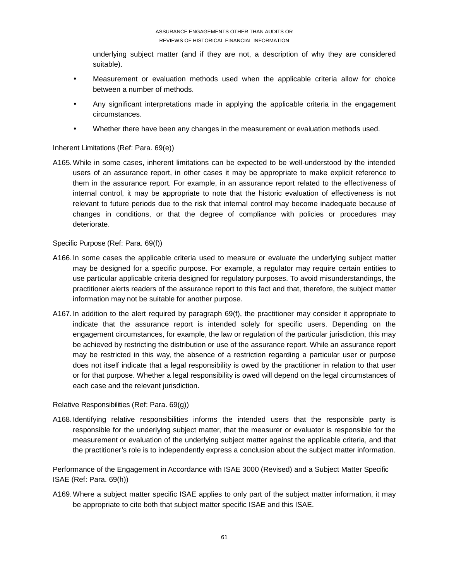underlying subject matter (and if they are not, a description of why they are considered suitable).

- Measurement or evaluation methods used when the applicable criteria allow for choice between a number of methods.
- Any significant interpretations made in applying the applicable criteria in the engagement circumstances.
- Whether there have been any changes in the measurement or evaluation methods used.  $\mathcal{L}^{\mathcal{L}}$

#### Inherent Limitations (Ref: Para. 69(e))

A165.While in some cases, inherent limitations can be expected to be well-understood by the intended users of an assurance report, in other cases it may be appropriate to make explicit reference to them in the assurance report. For example, in an assurance report related to the effectiveness of internal control, it may be appropriate to note that the historic evaluation of effectiveness is not relevant to future periods due to the risk that internal control may become inadequate because of changes in conditions, or that the degree of compliance with policies or procedures may deteriorate.

#### Specific Purpose (Ref: Para. 69(f))

- A166.In some cases the applicable criteria used to measure or evaluate the underlying subject matter may be designed for a specific purpose. For example, a regulator may require certain entities to use particular applicable criteria designed for regulatory purposes. To avoid misunderstandings, the practitioner alerts readers of the assurance report to this fact and that, therefore, the subject matter information may not be suitable for another purpose.
- A167.In addition to the alert required by paragraph 69(f), the practitioner may consider it appropriate to indicate that the assurance report is intended solely for specific users. Depending on the engagement circumstances, for example, the law or regulation of the particular jurisdiction, this may be achieved by restricting the distribution or use of the assurance report. While an assurance report may be restricted in this way, the absence of a restriction regarding a particular user or purpose does not itself indicate that a legal responsibility is owed by the practitioner in relation to that user or for that purpose. Whether a legal responsibility is owed will depend on the legal circumstances of each case and the relevant jurisdiction.

#### Relative Responsibilities (Ref: Para. 69(g))

A168.Identifying relative responsibilities informs the intended users that the responsible party is responsible for the underlying subject matter, that the measurer or evaluator is responsible for the measurement or evaluation of the underlying subject matter against the applicable criteria, and that the practitioner's role is to independently express a conclusion about the subject matter information.

Performance of the Engagement in Accordance with ISAE 3000 (Revised) and a Subject Matter Specific ISAE (Ref: Para. 69(h))

A169.Where a subject matter specific ISAE applies to only part of the subject matter information, it may be appropriate to cite both that subject matter specific ISAE and this ISAE.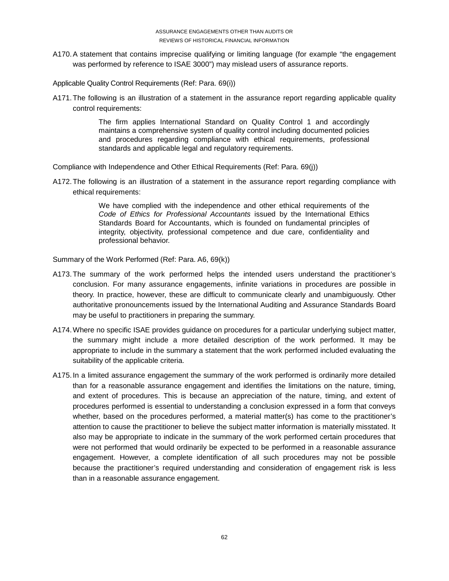A170.A statement that contains imprecise qualifying or limiting language (for example "the engagement was performed by reference to ISAE 3000") may mislead users of assurance reports.

Applicable Quality Control Requirements (Ref: Para. 69(i))

A171.The following is an illustration of a statement in the assurance report regarding applicable quality control requirements:

> The firm applies International Standard on Quality Control 1 and accordingly maintains a comprehensive system of quality control including documented policies and procedures regarding compliance with ethical requirements, professional standards and applicable legal and regulatory requirements.

Compliance with Independence and Other Ethical Requirements (Ref: Para. 69(j))

A172.The following is an illustration of a statement in the assurance report regarding compliance with ethical requirements:

> We have complied with the independence and other ethical requirements of the *Code of Ethics for Professional Accountants* issued by the International Ethics Standards Board for Accountants, which is founded on fundamental principles of integrity, objectivity, professional competence and due care, confidentiality and professional behavior.

Summary of the Work Performed (Ref: Para. A6, 69(k))

- A173.The summary of the work performed helps the intended users understand the practitioner's conclusion. For many assurance engagements, infinite variations in procedures are possible in theory. In practice, however, these are difficult to communicate clearly and unambiguously. Other authoritative pronouncements issued by the International Auditing and Assurance Standards Board may be useful to practitioners in preparing the summary.
- A174.Where no specific ISAE provides guidance on procedures for a particular underlying subject matter, the summary might include a more detailed description of the work performed. It may be appropriate to include in the summary a statement that the work performed included evaluating the suitability of the applicable criteria.
- A175.In a limited assurance engagement the summary of the work performed is ordinarily more detailed than for a reasonable assurance engagement and identifies the limitations on the nature, timing, and extent of procedures. This is because an appreciation of the nature, timing, and extent of procedures performed is essential to understanding a conclusion expressed in a form that conveys whether, based on the procedures performed, a material matter(s) has come to the practitioner's attention to cause the practitioner to believe the subject matter information is materially misstated. It also may be appropriate to indicate in the summary of the work performed certain procedures that were not performed that would ordinarily be expected to be performed in a reasonable assurance engagement. However, a complete identification of all such procedures may not be possible because the practitioner's required understanding and consideration of engagement risk is less than in a reasonable assurance engagement.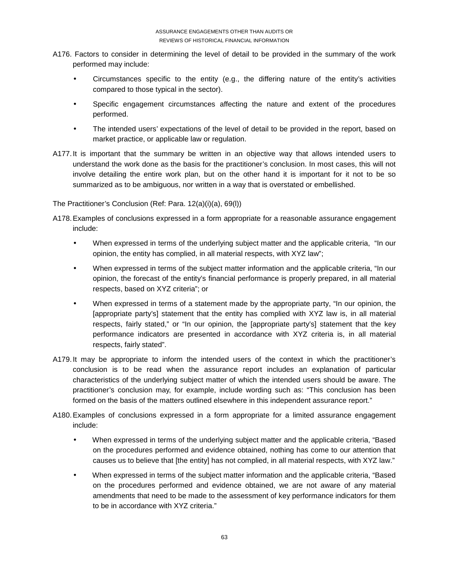- A176. Factors to consider in determining the level of detail to be provided in the summary of the work performed may include:
	- Circumstances specific to the entity (e.g., the differing nature of the entity's activities  $\mathcal{L}^{\mathcal{L}}$ compared to those typical in the sector).
	- Specific engagement circumstances affecting the nature and extent of the procedures performed.
	- The intended users' expectations of the level of detail to be provided in the report, based on  $\mathbf{r}$ market practice, or applicable law or regulation.
- A177.It is important that the summary be written in an objective way that allows intended users to understand the work done as the basis for the practitioner's conclusion. In most cases, this will not involve detailing the entire work plan, but on the other hand it is important for it not to be so summarized as to be ambiguous, nor written in a way that is overstated or embellished.

The Practitioner's Conclusion (Ref: Para. 12(a)(i)(a), 69(l))

- A178.Examples of conclusions expressed in a form appropriate for a reasonable assurance engagement include:
	- When expressed in terms of the underlying subject matter and the applicable criteria, "In our opinion, the entity has complied, in all material respects, with XYZ law";
	- When expressed in terms of the subject matter information and the applicable criteria, "In our  $\sim$ opinion, the forecast of the entity's financial performance is properly prepared, in all material respects, based on XYZ criteria"; or
	- When expressed in terms of a statement made by the appropriate party, "In our opinion, the [appropriate party's] statement that the entity has complied with XYZ law is, in all material respects, fairly stated," or "In our opinion, the [appropriate party's] statement that the key performance indicators are presented in accordance with XYZ criteria is, in all material respects, fairly stated".
- A179.It may be appropriate to inform the intended users of the context in which the practitioner's conclusion is to be read when the assurance report includes an explanation of particular characteristics of the underlying subject matter of which the intended users should be aware. The practitioner's conclusion may, for example, include wording such as: "This conclusion has been formed on the basis of the matters outlined elsewhere in this independent assurance report."
- A180.Examples of conclusions expressed in a form appropriate for a limited assurance engagement include:
	- When expressed in terms of the underlying subject matter and the applicable criteria, "Based on the procedures performed and evidence obtained, nothing has come to our attention that causes us to believe that [the entity] has not complied, in all material respects, with XYZ law."
	- When expressed in terms of the subject matter information and the applicable criteria, "Based on the procedures performed and evidence obtained, we are not aware of any material amendments that need to be made to the assessment of key performance indicators for them to be in accordance with XYZ criteria."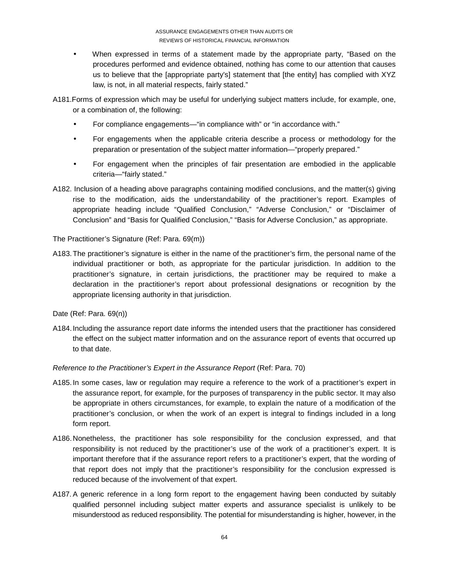- When expressed in terms of a statement made by the appropriate party, "Based on the procedures performed and evidence obtained, nothing has come to our attention that causes us to believe that the [appropriate party's] statement that [the entity] has complied with XYZ law, is not, in all material respects, fairly stated."
- A181.Forms of expression which may be useful for underlying subject matters include, for example, one, or a combination of, the following:
	- For compliance engagements—"in compliance with" or "in accordance with."  $\mathcal{L}^{\mathcal{L}}$
	- For engagements when the applicable criteria describe a process or methodology for the preparation or presentation of the subject matter information—"properly prepared."
	- $\mathbf{r}$ For engagement when the principles of fair presentation are embodied in the applicable criteria—"fairly stated."
- A182. Inclusion of a heading above paragraphs containing modified conclusions, and the matter(s) giving rise to the modification, aids the understandability of the practitioner's report. Examples of appropriate heading include "Qualified Conclusion," "Adverse Conclusion," or "Disclaimer of Conclusion" and "Basis for Qualified Conclusion," "Basis for Adverse Conclusion," as appropriate.

The Practitioner's Signature (Ref: Para. 69(m))

A183.The practitioner's signature is either in the name of the practitioner's firm, the personal name of the individual practitioner or both, as appropriate for the particular jurisdiction. In addition to the practitioner's signature, in certain jurisdictions, the practitioner may be required to make a declaration in the practitioner's report about professional designations or recognition by the appropriate licensing authority in that jurisdiction.

Date (Ref: Para. 69(n))

A184.Including the assurance report date informs the intended users that the practitioner has considered the effect on the subject matter information and on the assurance report of events that occurred up to that date.

*Reference to the Practitioner's Expert in the Assurance Report (Ref: Para. 70)* 

- A185.In some cases, law or regulation may require a reference to the work of a practitioner's expert in the assurance report, for example, for the purposes of transparency in the public sector. It may also be appropriate in others circumstances, for example, to explain the nature of a modification of the practitioner's conclusion, or when the work of an expert is integral to findings included in a long form report.
- A186.Nonetheless, the practitioner has sole responsibility for the conclusion expressed, and that responsibility is not reduced by the practitioner's use of the work of a practitioner's expert. It is important therefore that if the assurance report refers to a practitioner's expert, that the wording of that report does not imply that the practitioner's responsibility for the conclusion expressed is reduced because of the involvement of that expert.
- A187. A generic reference in a long form report to the engagement having been conducted by suitably qualified personnel including subject matter experts and assurance specialist is unlikely to be misunderstood as reduced responsibility. The potential for misunderstanding is higher, however, in the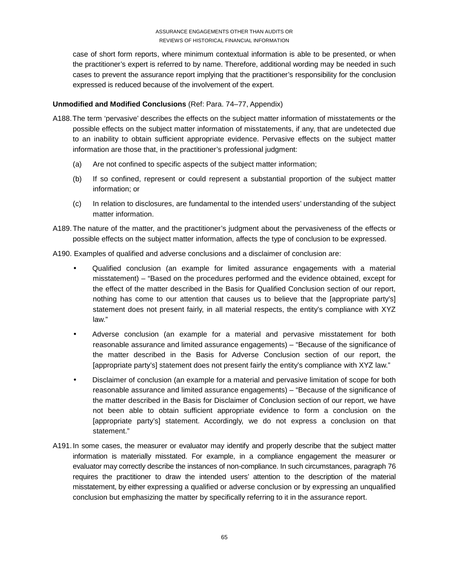case of short form reports, where minimum contextual information is able to be presented, or when the practitioner's expert is referred to by name. Therefore, additional wording may be needed in such cases to prevent the assurance report implying that the practitioner's responsibility for the conclusion expressed is reduced because of the involvement of the expert.

#### **Unmodified and Modified Conclusions** (Ref: Para. 74–77, Appendix)

- A188.The term 'pervasive' describes the effects on the subject matter information of misstatements or the possible effects on the subject matter information of misstatements, if any, that are undetected due to an inability to obtain sufficient appropriate evidence. Pervasive effects on the subject matter information are those that, in the practitioner's professional judgment:
	- (a) Are not confined to specific aspects of the subject matter information;
	- (b) If so confined, represent or could represent a substantial proportion of the subject matter information; or
	- (c) In relation to disclosures, are fundamental to the intended users' understanding of the subject matter information.
- A189.The nature of the matter, and the practitioner's judgment about the pervasiveness of the effects or possible effects on the subject matter information, affects the type of conclusion to be expressed.
- A190. Examples of qualified and adverse conclusions and a disclaimer of conclusion are:
	- Qualified conclusion (an example for limited assurance engagements with a material misstatement) – "Based on the procedures performed and the evidence obtained, except for the effect of the matter described in the Basis for Qualified Conclusion section of our report, nothing has come to our attention that causes us to believe that the [appropriate party's] statement does not present fairly, in all material respects, the entity's compliance with XYZ law."
	- Adverse conclusion (an example for a material and pervasive misstatement for both reasonable assurance and limited assurance engagements) – "Because of the significance of the matter described in the Basis for Adverse Conclusion section of our report, the [appropriate party's] statement does not present fairly the entity's compliance with XYZ law."
	- Disclaimer of conclusion (an example for a material and pervasive limitation of scope for both reasonable assurance and limited assurance engagements) – "Because of the significance of the matter described in the Basis for Disclaimer of Conclusion section of our report, we have not been able to obtain sufficient appropriate evidence to form a conclusion on the [appropriate party's] statement. Accordingly, we do not express a conclusion on that statement."
- A191.In some cases, the measurer or evaluator may identify and properly describe that the subject matter information is materially misstated. For example, in a compliance engagement the measurer or evaluator may correctly describe the instances of non-compliance. In such circumstances, paragraph 76 requires the practitioner to draw the intended users' attention to the description of the material misstatement, by either expressing a qualified or adverse conclusion or by expressing an unqualified conclusion but emphasizing the matter by specifically referring to it in the assurance report.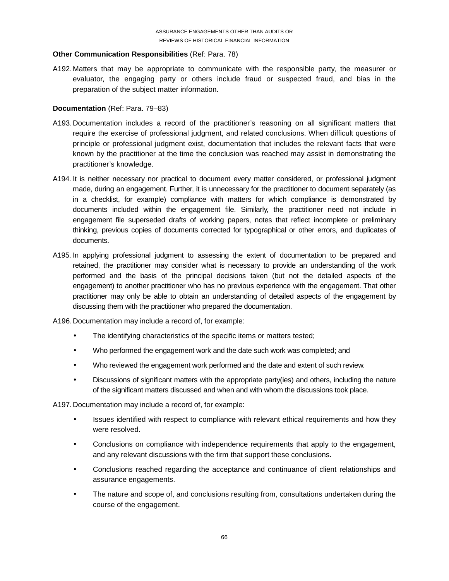#### **Other Communication Responsibilities** (Ref: Para. 78)

A192.Matters that may be appropriate to communicate with the responsible party, the measurer or evaluator, the engaging party or others include fraud or suspected fraud, and bias in the preparation of the subject matter information.

#### **Documentation** (Ref: Para. 79–83)

- A193.Documentation includes a record of the practitioner's reasoning on all significant matters that require the exercise of professional judgment, and related conclusions. When difficult questions of principle or professional judgment exist, documentation that includes the relevant facts that were known by the practitioner at the time the conclusion was reached may assist in demonstrating the practitioner's knowledge.
- A194. It is neither necessary nor practical to document every matter considered, or professional judgment made, during an engagement. Further, it is unnecessary for the practitioner to document separately (as in a checklist, for example) compliance with matters for which compliance is demonstrated by documents included within the engagement file. Similarly, the practitioner need not include in engagement file superseded drafts of working papers, notes that reflect incomplete or preliminary thinking, previous copies of documents corrected for typographical or other errors, and duplicates of documents.
- A195. In applying professional judgment to assessing the extent of documentation to be prepared and retained, the practitioner may consider what is necessary to provide an understanding of the work performed and the basis of the principal decisions taken (but not the detailed aspects of the engagement) to another practitioner who has no previous experience with the engagement. That other practitioner may only be able to obtain an understanding of detailed aspects of the engagement by discussing them with the practitioner who prepared the documentation.
- A196.Documentation may include a record of, for example:
	- The identifying characteristics of the specific items or matters tested;
	- Who performed the engagement work and the date such work was completed; and
	- Who reviewed the engagement work performed and the date and extent of such review.  $\mathbf{r}$
	- Discussions of significant matters with the appropriate party(ies) and others, including the nature of the significant matters discussed and when and with whom the discussions took place.

A197.Documentation may include a record of, for example:

- Issues identified with respect to compliance with relevant ethical requirements and how they  $\mathbf{r}$ were resolved.
- Conclusions on compliance with independence requirements that apply to the engagement, and any relevant discussions with the firm that support these conclusions.
- Conclusions reached regarding the acceptance and continuance of client relationships and assurance engagements.
- The nature and scope of, and conclusions resulting from, consultations undertaken during the course of the engagement.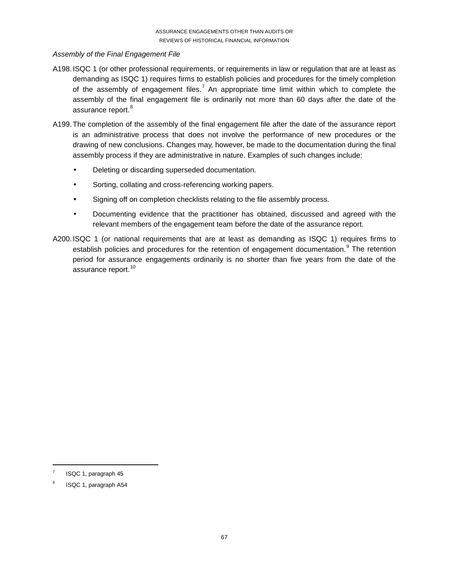#### *Assembly of the Final Engagement File*

- A198.ISQC 1 (or other professional requirements, or requirements in law or regulation that are at least as demanding as ISQC 1) requires firms to establish policies and procedures for the timely completion of the assembly of engagement files.<sup>[7](#page-40-0)</sup> An appropriate time limit within which to complete the assembly of the final engagement file is ordinarily not more than 60 days after the date of the assurance report.<sup>[8](#page-66-0)</sup>
- A199.The completion of the assembly of the final engagement file after the date of the assurance report is an administrative process that does not involve the performance of new procedures or the drawing of new conclusions. Changes may, however, be made to the documentation during the final assembly process if they are administrative in nature. Examples of such changes include:
	- Deleting or discarding superseded documentation.
	- Sorting, collating and cross-referencing working papers.
	- Signing off on completion checklists relating to the file assembly process.
	- Documenting evidence that the practitioner has obtained, discussed and agreed with the  $\blacksquare$ relevant members of the engagement team before the date of the assurance report.
- A200.ISQC 1 (or national requirements that are at least as demanding as ISQC 1) requires firms to establish policies and procedures for the retention of engagement documentation.<sup>[9](#page-66-1)</sup> The retention period for assurance engagements ordinarily is no shorter than five years from the date of the assurance report.<sup>[10](#page-66-2)</sup>

l

<sup>7</sup> ISQC 1, paragraph 45

<span id="page-66-3"></span><span id="page-66-2"></span><span id="page-66-1"></span><span id="page-66-0"></span><sup>8</sup> ISQC 1, paragraph A54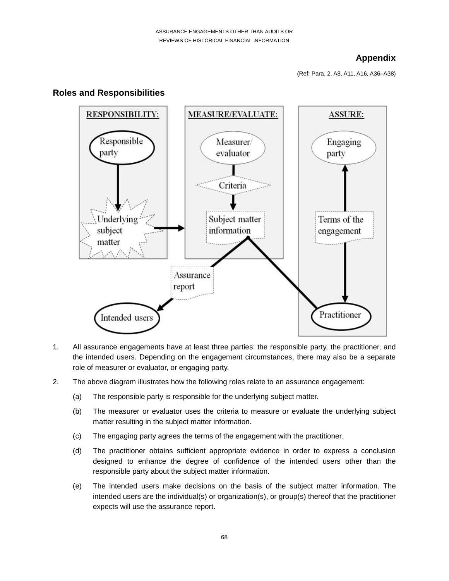# **Appendix**

(Ref: Para. 2, A8, A11, A16, A36–A38)

# **Roles and Responsibilities**



- 1. All assurance engagements have at least three parties: the responsible party, the practitioner, and the intended users. Depending on the engagement circumstances, there may also be a separate role of measurer or evaluator, or engaging party.
- 2. The above diagram illustrates how the following roles relate to an assurance engagement:
	- (a) The responsible party is responsible for the underlying subject matter.
	- (b) The measurer or evaluator uses the criteria to measure or evaluate the underlying subject matter resulting in the subject matter information.
	- (c) The engaging party agrees the terms of the engagement with the practitioner.
	- (d) The practitioner obtains sufficient appropriate evidence in order to express a conclusion designed to enhance the degree of confidence of the intended users other than the responsible party about the subject matter information.
	- (e) The intended users make decisions on the basis of the subject matter information. The intended users are the individual(s) or organization(s), or group(s) thereof that the practitioner expects will use the assurance report.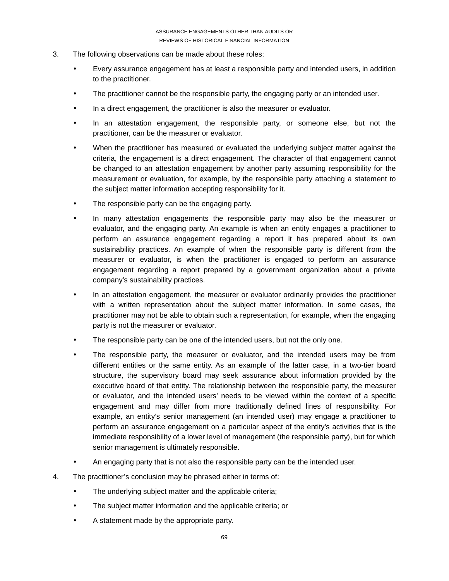- 3. The following observations can be made about these roles:
	- Every assurance engagement has at least a responsible party and intended users, in addition  $\mathbf{r}$ to the practitioner.
	- The practitioner cannot be the responsible party, the engaging party or an intended user.
	- In a direct engagement, the practitioner is also the measurer or evaluator.
	- In an attestation engagement, the responsible party, or someone else, but not the practitioner, can be the measurer or evaluator.
	- When the practitioner has measured or evaluated the underlying subject matter against the criteria, the engagement is a direct engagement. The character of that engagement cannot be changed to an attestation engagement by another party assuming responsibility for the measurement or evaluation, for example, by the responsible party attaching a statement to the subject matter information accepting responsibility for it.
	- The responsible party can be the engaging party.
	- In many attestation engagements the responsible party may also be the measurer or evaluator, and the engaging party. An example is when an entity engages a practitioner to perform an assurance engagement regarding a report it has prepared about its own sustainability practices. An example of when the responsible party is different from the measurer or evaluator, is when the practitioner is engaged to perform an assurance engagement regarding a report prepared by a government organization about a private company's sustainability practices.
	- In an attestation engagement, the measurer or evaluator ordinarily provides the practitioner with a written representation about the subject matter information. In some cases, the practitioner may not be able to obtain such a representation, for example, when the engaging party is not the measurer or evaluator.
	- The responsible party can be one of the intended users, but not the only one.
	- The responsible party, the measurer or evaluator, and the intended users may be from different entities or the same entity. As an example of the latter case, in a two-tier board structure, the supervisory board may seek assurance about information provided by the executive board of that entity. The relationship between the responsible party, the measurer or evaluator, and the intended users' needs to be viewed within the context of a specific engagement and may differ from more traditionally defined lines of responsibility. For example, an entity's senior management (an intended user) may engage a practitioner to perform an assurance engagement on a particular aspect of the entity's activities that is the immediate responsibility of a lower level of management (the responsible party), but for which senior management is ultimately responsible.
	- An engaging party that is not also the responsible party can be the intended user.
- 4. The practitioner's conclusion may be phrased either in terms of:
	- The underlying subject matter and the applicable criteria;  $\mathbf{r}$
	- The subject matter information and the applicable criteria; or
	- A statement made by the appropriate party.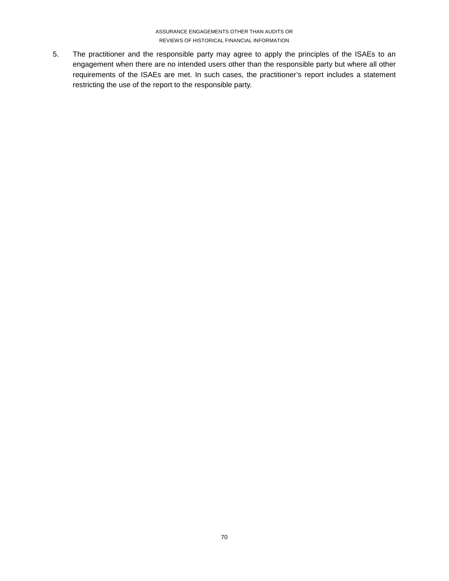5. The practitioner and the responsible party may agree to apply the principles of the ISAEs to an engagement when there are no intended users other than the responsible party but where all other requirements of the ISAEs are met. In such cases, the practitioner's report includes a statement restricting the use of the report to the responsible party.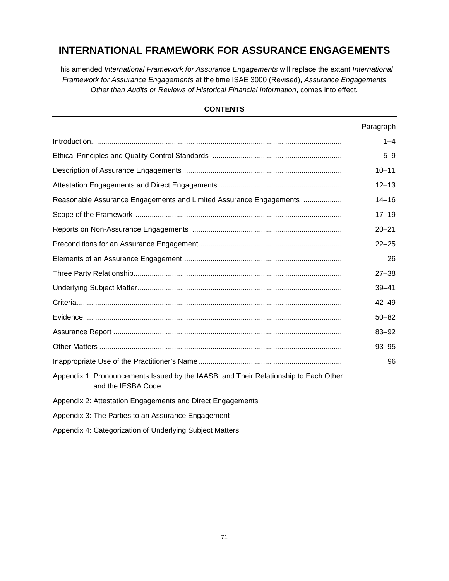# **INTERNATIONAL FRAMEWORK FOR ASSURANCE ENGAGEMENTS**

This amended *International Framework for Assurance Engagements* will replace the extant *International Framework for Assurance Engagements* at the time ISAE 3000 (Revised), *Assurance Engagements Other than Audits or Reviews of Historical Financial Information*, comes into effect.

#### **CONTENTS**

|                                                                                                            | Paragraph |
|------------------------------------------------------------------------------------------------------------|-----------|
|                                                                                                            | $1 - 4$   |
|                                                                                                            | $5 - 9$   |
|                                                                                                            | $10 - 11$ |
|                                                                                                            | $12 - 13$ |
| Reasonable Assurance Engagements and Limited Assurance Engagements                                         | $14 - 16$ |
|                                                                                                            | $17 - 19$ |
|                                                                                                            | $20 - 21$ |
|                                                                                                            | $22 - 25$ |
|                                                                                                            | 26        |
|                                                                                                            | $27 - 38$ |
|                                                                                                            | $39 - 41$ |
|                                                                                                            | $42 - 49$ |
|                                                                                                            | $50 - 82$ |
|                                                                                                            | $83 - 92$ |
|                                                                                                            | $93 - 95$ |
|                                                                                                            | 96        |
| Appendix 1: Pronouncements Issued by the IAASB, and Their Relationship to Each Other<br>and the IESBA Code |           |
| Appendix 2: Attestation Engagements and Direct Engagements                                                 |           |
| Appendix 3: The Parties to an Assurance Engagement                                                         |           |

Appendix 4: Categorization of Underlying Subject Matters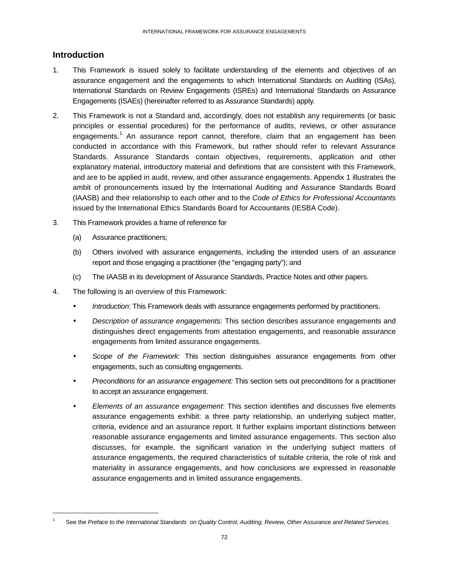# **Introduction**

 $\overline{\phantom{a}}$ 

- 1. This Framework is issued solely to facilitate understanding of the elements and objectives of an assurance engagement and the engagements to which International Standards on Auditing (ISAs), International Standards on Review Engagements (ISREs) and International Standards on Assurance Engagements (ISAEs) (hereinafter referred to as Assurance Standards) apply.
- 2. This Framework is not a Standard and, accordingly, does not establish any requirements (or basic principles or essential procedures) for the performance of audits, reviews, or other assurance engagements.<sup>[1](#page-66-3)</sup> An assurance report cannot, therefore, claim that an engagement has been conducted in accordance with this Framework, but rather should refer to relevant Assurance Standards. Assurance Standards contain objectives, requirements, application and other explanatory material, introductory material and definitions that are consistent with this Framework, and are to be applied in audit, review, and other assurance engagements. Appendix 1 illustrates the ambit of pronouncements issued by the International Auditing and Assurance Standards Board (IAASB) and their relationship to each other and to the *Code of Ethics for Professional Accountants* issued by the International Ethics Standards Board for Accountants (IESBA Code).
- 3. This Framework provides a frame of reference for
	- (a) Assurance practitioners;
	- (b) Others involved with assurance engagements, including the intended users of an assurance report and those engaging a practitioner (the "engaging party"); and
	- (c) The IAASB in its development of Assurance Standards, Practice Notes and other papers.
- 4. The following is an overview of this Framework:
	- *Introduction*: This Framework deals with assurance engagements performed by practitioners.
	- *Description of assurance engagements*: This section describes assurance engagements and distinguishes direct engagements from attestation engagements, and reasonable assurance engagements from limited assurance engagements.
	- *Scope of the Framework:* This section distinguishes assurance engagements from other engagements, such as consulting engagements.
	- *Preconditions for an assurance engagement:* This section sets out preconditions for a practitioner to accept an assurance engagement.
	- *Elements of an assurance engagement*: This section identifies and discusses five elements assurance engagements exhibit: a three party relationship, an underlying subject matter, criteria, evidence and an assurance report. It further explains important distinctions between reasonable assurance engagements and limited assurance engagements. This section also discusses, for example, the significant variation in the underlying subject matters of assurance engagements, the required characteristics of suitable criteria, the role of risk and materiality in assurance engagements, and how conclusions are expressed in reasonable assurance engagements and in limited assurance engagements.

<sup>1</sup> See the *Preface to the International Standards on Quality Control, Auditing, Review, Other Assurance and Related Services.*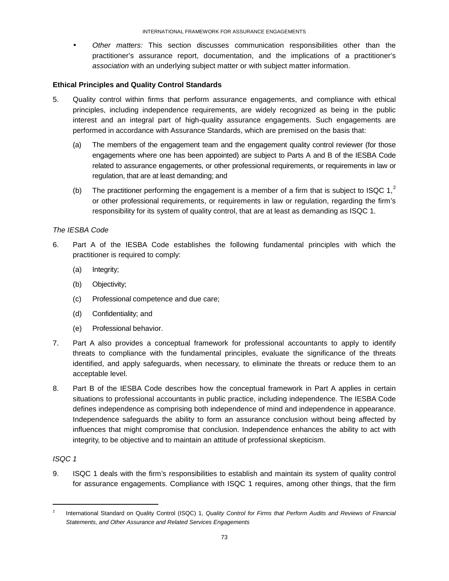*Other matters:* This section discusses communication responsibilities other than the practitioner's assurance report, documentation, and the implications of a practitioner's *association* with an underlying subject matter or with subject matter information.

### **Ethical Principles and Quality Control Standards**

- 5. Quality control within firms that perform assurance engagements, and compliance with ethical principles, including independence requirements, are widely recognized as being in the public interest and an integral part of high-quality assurance engagements. Such engagements are performed in accordance with Assurance Standards, which are premised on the basis that:
	- (a) The members of the engagement team and the engagement quality control reviewer (for those engagements where one has been appointed) are subject to Parts A and B of the IESBA Code related to assurance engagements, or other professional requirements, or requirements in law or regulation, that are at least demanding; and
	- (b) The practitioner performing the engagement is a member of a firm that is subject to ISQC  $1<sup>2</sup>$  $1<sup>2</sup>$  $1<sup>2</sup>$ or other professional requirements, or requirements in law or regulation, regarding the firm's responsibility for its system of quality control, that are at least as demanding as ISQC 1.

### *The IESBA Code*

- 6. Part A of the IESBA Code establishes the following fundamental principles with which the practitioner is required to comply:
	- (a) Integrity;
	- (b) Objectivity;
	- (c) Professional competence and due care;
	- (d) Confidentiality; and
	- (e) Professional behavior.
- 7. Part A also provides a conceptual framework for professional accountants to apply to identify threats to compliance with the fundamental principles, evaluate the significance of the threats identified, and apply safeguards, when necessary, to eliminate the threats or reduce them to an acceptable level.
- 8. Part B of the IESBA Code describes how the conceptual framework in Part A applies in certain situations to professional accountants in public practice, including independence. The IESBA Code defines independence as comprising both independence of mind and independence in appearance. Independence safeguards the ability to form an assurance conclusion without being affected by influences that might compromise that conclusion. Independence enhances the ability to act with integrity, to be objective and to maintain an attitude of professional skepticism.

# <span id="page-72-0"></span>*ISQC 1*

 $\overline{\phantom{a}}$ 

9. ISQC 1 deals with the firm's responsibilities to establish and maintain its system of quality control for assurance engagements. Compliance with ISQC 1 requires, among other things, that the firm

<sup>2</sup> International Standard on Quality Control (ISQC) 1, *Quality Control for Firms that Perform Audits and Reviews of Financial Statements, and Other Assurance and Related Services Engagements*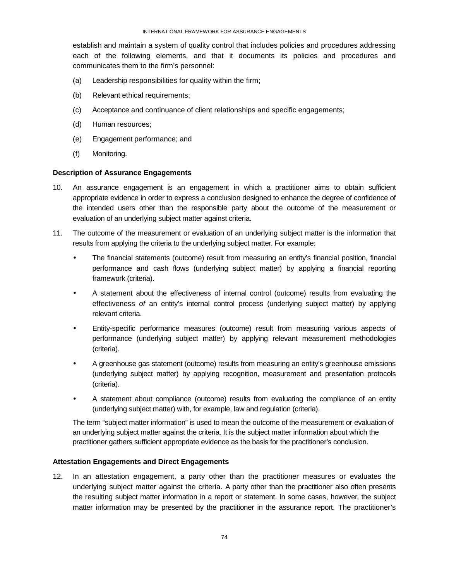establish and maintain a system of quality control that includes policies and procedures addressing each of the following elements, and that it documents its policies and procedures and communicates them to the firm's personnel:

- (a) Leadership responsibilities for quality within the firm;
- (b) Relevant ethical requirements;
- (c) Acceptance and continuance of client relationships and specific engagements;
- (d) Human resources;
- (e) Engagement performance; and
- (f) Monitoring.

### **Description of Assurance Engagements**

- 10. An assurance engagement is an engagement in which a practitioner aims to obtain sufficient appropriate evidence in order to express a conclusion designed to enhance the degree of confidence of the intended users other than the responsible party about the outcome of the measurement or evaluation of an underlying subject matter against criteria.
- 11. The outcome of the measurement or evaluation of an underlying subject matter is the information that results from applying the criteria to the underlying subject matter. For example:
	- The financial statements (outcome) result from measuring an entity's financial position, financial performance and cash flows (underlying subject matter) by applying a financial reporting framework (criteria).
	- A statement about the effectiveness of internal control (outcome) results from evaluating the effectiveness *of* an entity's internal control process (underlying subject matter) by applying relevant criteria.
	- Entity-specific performance measures (outcome) result from measuring various aspects of performance (underlying subject matter) by applying relevant measurement methodologies (criteria).
	- A greenhouse gas statement (outcome) results from measuring an entity's greenhouse emissions (underlying subject matter) by applying recognition, measurement and presentation protocols (criteria).
	- A statement about compliance (outcome) results from evaluating the compliance of an entity (underlying subject matter) with, for example, law and regulation (criteria).

The term "subject matter information" is used to mean the outcome of the measurement or evaluation of an underlying subject matter against the criteria. It is the subject matter information about which the practitioner gathers sufficient appropriate evidence as the basis for the practitioner's conclusion.

### **Attestation Engagements and Direct Engagements**

12. In an attestation engagement, a party other than the practitioner measures or evaluates the underlying subject matter against the criteria. A party other than the practitioner also often presents the resulting subject matter information in a report or statement. In some cases, however, the subject matter information may be presented by the practitioner in the assurance report. The practitioner's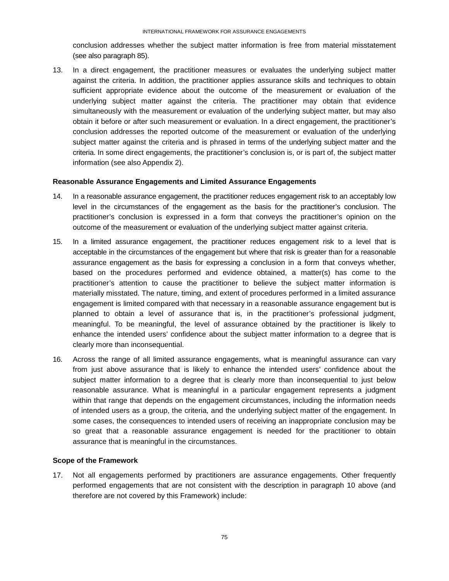conclusion addresses whether the subject matter information is free from material misstatement (see also paragraph 85).

13. In a direct engagement, the practitioner measures or evaluates the underlying subject matter against the criteria. In addition, the practitioner applies assurance skills and techniques to obtain sufficient appropriate evidence about the outcome of the measurement or evaluation of the underlying subject matter against the criteria. The practitioner may obtain that evidence simultaneously with the measurement or evaluation of the underlying subject matter, but may also obtain it before or after such measurement or evaluation. In a direct engagement, the practitioner's conclusion addresses the reported outcome of the measurement or evaluation of the underlying subject matter against the criteria and is phrased in terms of the underlying subject matter and the criteria. In some direct engagements, the practitioner's conclusion is, or is part of, the subject matter information (see also Appendix 2).

#### **Reasonable Assurance Engagements and Limited Assurance Engagements**

- 14. In a reasonable assurance engagement, the practitioner reduces engagement risk to an acceptably low level in the circumstances of the engagement as the basis for the practitioner's conclusion. The practitioner's conclusion is expressed in a form that conveys the practitioner's opinion on the outcome of the measurement or evaluation of the underlying subject matter against criteria.
- 15. In a limited assurance engagement, the practitioner reduces engagement risk to a level that is acceptable in the circumstances of the engagement but where that risk is greater than for a reasonable assurance engagement as the basis for expressing a conclusion in a form that conveys whether, based on the procedures performed and evidence obtained, a matter(s) has come to the practitioner's attention to cause the practitioner to believe the subject matter information is materially misstated. The nature, timing, and extent of procedures performed in a limited assurance engagement is limited compared with that necessary in a reasonable assurance engagement but is planned to obtain a level of assurance that is, in the practitioner's professional judgment, meaningful. To be meaningful, the level of assurance obtained by the practitioner is likely to enhance the intended users' confidence about the subject matter information to a degree that is clearly more than inconsequential.
- 16. Across the range of all limited assurance engagements, what is meaningful assurance can vary from just above assurance that is likely to enhance the intended users' confidence about the subject matter information to a degree that is clearly more than inconsequential to just below reasonable assurance. What is meaningful in a particular engagement represents a judgment within that range that depends on the engagement circumstances, including the information needs of intended users as a group, the criteria, and the underlying subject matter of the engagement. In some cases, the consequences to intended users of receiving an inappropriate conclusion may be so great that a reasonable assurance engagement is needed for the practitioner to obtain assurance that is meaningful in the circumstances.

#### **Scope of the Framework**

17. Not all engagements performed by practitioners are assurance engagements. Other frequently performed engagements that are not consistent with the description in paragraph 10 above (and therefore are not covered by this Framework) include: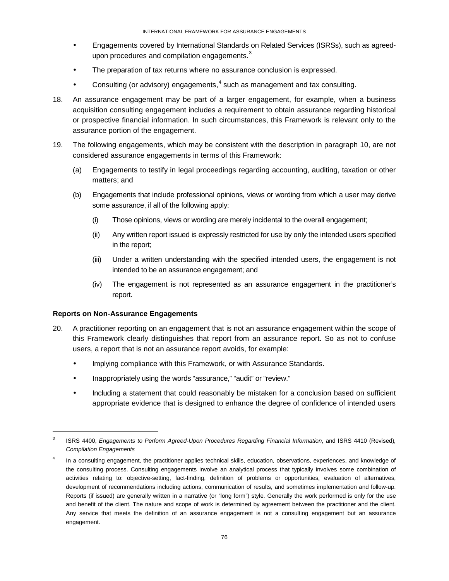- Engagements covered by International Standards on Related Services (ISRSs), such as agreed-upon procedures and compilation engagements.<sup>[3](#page-72-0)</sup>
- The preparation of tax returns where no assurance conclusion is expressed.
- Consulting (or advisory) engagements,  $4$  such as management and tax consulting.
- 18. An assurance engagement may be part of a larger engagement, for example, when a business acquisition consulting engagement includes a requirement to obtain assurance regarding historical or prospective financial information. In such circumstances, this Framework is relevant only to the assurance portion of the engagement.
- 19. The following engagements, which may be consistent with the description in paragraph 10, are not considered assurance engagements in terms of this Framework:
	- (a) Engagements to testify in legal proceedings regarding accounting, auditing, taxation or other matters; and
	- (b) Engagements that include professional opinions, views or wording from which a user may derive some assurance, if all of the following apply:
		- (i) Those opinions, views or wording are merely incidental to the overall engagement;
		- (ii) Any written report issued is expressly restricted for use by only the intended users specified in the report;
		- (iii) Under a written understanding with the specified intended users, the engagement is not intended to be an assurance engagement; and
		- (iv) The engagement is not represented as an assurance engagement in the practitioner's report.

### **Reports on Non-Assurance Engagements**

 $\overline{\phantom{a}}$ 

- 20. A practitioner reporting on an engagement that is not an assurance engagement within the scope of this Framework clearly distinguishes that report from an assurance report. So as not to confuse users, a report that is not an assurance report avoids, for example:
	- Implying compliance with this Framework, or with Assurance Standards.
	- Inappropriately using the words "assurance," "audit" or "review."  $\mathbf{r}$
	- Including a statement that could reasonably be mistaken for a conclusion based on sufficient  $\epsilon$ appropriate evidence that is designed to enhance the degree of confidence of intended users

<sup>3</sup> ISRS 4400, *Engagements to Perform Agreed-Upon Procedures Regarding Financial Information*, and ISRS 4410 (Revised)*, Compilation Engagements*

<span id="page-75-1"></span><span id="page-75-0"></span>In a consulting engagement, the practitioner applies technical skills, education, observations, experiences, and knowledge of the consulting process. Consulting engagements involve an analytical process that typically involves some combination of activities relating to: objective-setting, fact-finding, definition of problems or opportunities, evaluation of alternatives, development of recommendations including actions, communication of results, and sometimes implementation and follow-up. Reports (if issued) are generally written in a narrative (or "long form") style. Generally the work performed is only for the use and benefit of the client. The nature and scope of work is determined by agreement between the practitioner and the client. Any service that meets the definition of an assurance engagement is not a consulting engagement but an assurance engagement.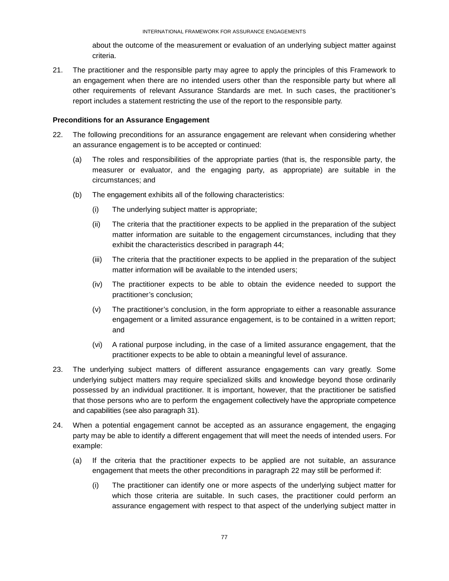about the outcome of the measurement or evaluation of an underlying subject matter against criteria.

21. The practitioner and the responsible party may agree to apply the principles of this Framework to an engagement when there are no intended users other than the responsible party but where all other requirements of relevant Assurance Standards are met. In such cases, the practitioner's report includes a statement restricting the use of the report to the responsible party.

### **Preconditions for an Assurance Engagement**

- 22. The following preconditions for an assurance engagement are relevant when considering whether an assurance engagement is to be accepted or continued:
	- (a) The roles and responsibilities of the appropriate parties (that is, the responsible party, the measurer or evaluator, and the engaging party, as appropriate) are suitable in the circumstances; and
	- (b) The engagement exhibits all of the following characteristics:
		- (i) The underlying subject matter is appropriate;
		- (ii) The criteria that the practitioner expects to be applied in the preparation of the subject matter information are suitable to the engagement circumstances, including that they exhibit the characteristics described in paragraph 44;
		- (iii) The criteria that the practitioner expects to be applied in the preparation of the subject matter information will be available to the intended users;
		- (iv) The practitioner expects to be able to obtain the evidence needed to support the practitioner's conclusion;
		- (v) The practitioner's conclusion, in the form appropriate to either a reasonable assurance engagement or a limited assurance engagement, is to be contained in a written report; and
		- (vi) A rational purpose including, in the case of a limited assurance engagement, that the practitioner expects to be able to obtain a meaningful level of assurance.
- 23. The underlying subject matters of different assurance engagements can vary greatly. Some underlying subject matters may require specialized skills and knowledge beyond those ordinarily possessed by an individual practitioner. It is important, however, that the practitioner be satisfied that those persons who are to perform the engagement collectively have the appropriate competence and capabilities (see also paragraph 31).
- 24. When a potential engagement cannot be accepted as an assurance engagement, the engaging party may be able to identify a different engagement that will meet the needs of intended users. For example:
	- (a) If the criteria that the practitioner expects to be applied are not suitable, an assurance engagement that meets the other preconditions in paragraph 22 may still be performed if:
		- (i) The practitioner can identify one or more aspects of the underlying subject matter for which those criteria are suitable. In such cases, the practitioner could perform an assurance engagement with respect to that aspect of the underlying subject matter in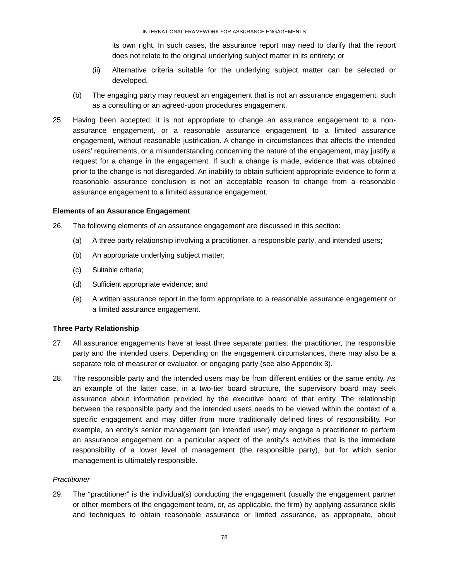its own right. In such cases, the assurance report may need to clarify that the report does not relate to the original underlying subject matter in its entirety; or

- (ii) Alternative criteria suitable for the underlying subject matter can be selected or developed.
- (b) The engaging party may request an engagement that is not an assurance engagement, such as a consulting or an agreed-upon procedures engagement.
- 25. Having been accepted, it is not appropriate to change an assurance engagement to a nonassurance engagement, or a reasonable assurance engagement to a limited assurance engagement, without reasonable justification. A change in circumstances that affects the intended users' requirements, or a misunderstanding concerning the nature of the engagement, may justify a request for a change in the engagement. If such a change is made, evidence that was obtained prior to the change is not disregarded. An inability to obtain sufficient appropriate evidence to form a reasonable assurance conclusion is not an acceptable reason to change from a reasonable assurance engagement to a limited assurance engagement.

### **Elements of an Assurance Engagement**

- 26. The following elements of an assurance engagement are discussed in this section:
	- (a) A three party relationship involving a practitioner, a responsible party, and intended users;
	- (b) An appropriate underlying subject matter;
	- (c) Suitable criteria;
	- (d) Sufficient appropriate evidence; and
	- (e) A written assurance report in the form appropriate to a reasonable assurance engagement or a limited assurance engagement.

#### **Three Party Relationship**

- 27. All assurance engagements have at least three separate parties: the practitioner, the responsible party and the intended users. Depending on the engagement circumstances, there may also be a separate role of measurer or evaluator, or engaging party (see also Appendix 3).
- 28. The responsible party and the intended users may be from different entities or the same entity. As an example of the latter case, in a two-tier board structure, the supervisory board may seek assurance about information provided by the executive board of that entity. The relationship between the responsible party and the intended users needs to be viewed within the context of a specific engagement and may differ from more traditionally defined lines of responsibility. For example, an entity's senior management (an intended user) may engage a practitioner to perform an assurance engagement on a particular aspect of the entity's activities that is the immediate responsibility of a lower level of management (the responsible party), but for which senior management is ultimately responsible.

#### *Practitioner*

29. The "practitioner" is the individual(s) conducting the engagement (usually the engagement partner or other members of the engagement team, or, as applicable, the firm) by applying assurance skills and techniques to obtain reasonable assurance or limited assurance, as appropriate, about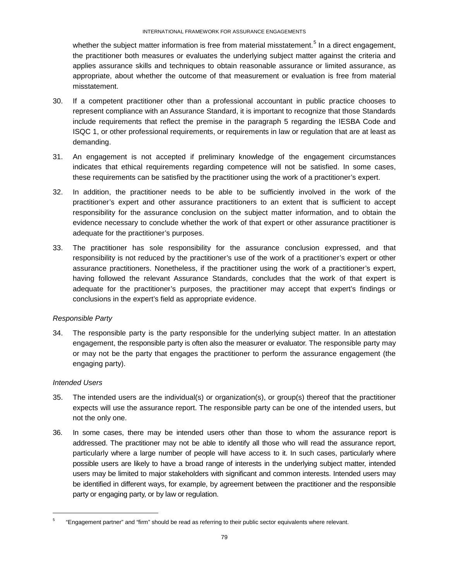whether the subject matter information is free from material misstatement.<sup>[5](#page-75-1)</sup> In a direct engagement, the practitioner both measures or evaluates the underlying subject matter against the criteria and applies assurance skills and techniques to obtain reasonable assurance or limited assurance, as appropriate, about whether the outcome of that measurement or evaluation is free from material misstatement.

- 30. If a competent practitioner other than a professional accountant in public practice chooses to represent compliance with an Assurance Standard, it is important to recognize that those Standards include requirements that reflect the premise in the paragraph 5 regarding the IESBA Code and ISQC 1, or other professional requirements, or requirements in law or regulation that are at least as demanding.
- 31. An engagement is not accepted if preliminary knowledge of the engagement circumstances indicates that ethical requirements regarding competence will not be satisfied. In some cases, these requirements can be satisfied by the practitioner using the work of a practitioner's expert.
- 32. In addition, the practitioner needs to be able to be sufficiently involved in the work of the practitioner's expert and other assurance practitioners to an extent that is sufficient to accept responsibility for the assurance conclusion on the subject matter information, and to obtain the evidence necessary to conclude whether the work of that expert or other assurance practitioner is adequate for the practitioner's purposes.
- 33. The practitioner has sole responsibility for the assurance conclusion expressed, and that responsibility is not reduced by the practitioner's use of the work of a practitioner's expert or other assurance practitioners. Nonetheless, if the practitioner using the work of a practitioner's expert, having followed the relevant Assurance Standards, concludes that the work of that expert is adequate for the practitioner's purposes, the practitioner may accept that expert's findings or conclusions in the expert's field as appropriate evidence.

### *Responsible Party*

34. The responsible party is the party responsible for the underlying subject matter. In an attestation engagement, the responsible party is often also the measurer or evaluator. The responsible party may or may not be the party that engages the practitioner to perform the assurance engagement (the engaging party).

### *Intended Users*

 $\overline{\phantom{a}}$ 

- 35. The intended users are the individual(s) or organization(s), or group(s) thereof that the practitioner expects will use the assurance report. The responsible party can be one of the intended users, but not the only one.
- 36. In some cases, there may be intended users other than those to whom the assurance report is addressed. The practitioner may not be able to identify all those who will read the assurance report, particularly where a large number of people will have access to it. In such cases, particularly where possible users are likely to have a broad range of interests in the underlying subject matter, intended users may be limited to major stakeholders with significant and common interests. Intended users may be identified in different ways, for example, by agreement between the practitioner and the responsible party or engaging party, or by law or regulation.

 $5$  "Engagement partner" and "firm" should be read as referring to their public sector equivalents where relevant.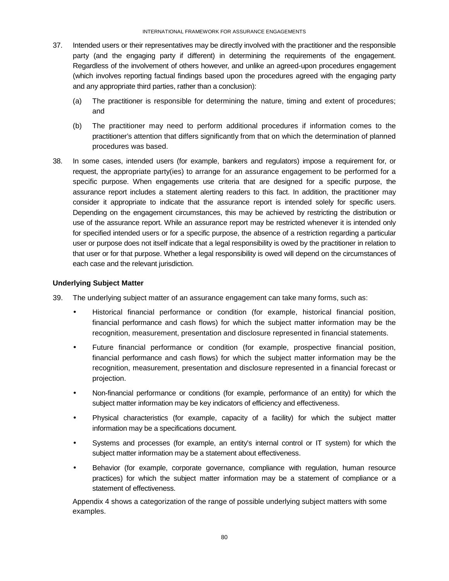- 37. Intended users or their representatives may be directly involved with the practitioner and the responsible party (and the engaging party if different) in determining the requirements of the engagement. Regardless of the involvement of others however, and unlike an agreed-upon procedures engagement (which involves reporting factual findings based upon the procedures agreed with the engaging party and any appropriate third parties, rather than a conclusion):
	- (a) The practitioner is responsible for determining the nature, timing and extent of procedures; and
	- (b) The practitioner may need to perform additional procedures if information comes to the practitioner's attention that differs significantly from that on which the determination of planned procedures was based.
- 38. In some cases, intended users (for example, bankers and regulators) impose a requirement for, or request, the appropriate party(ies) to arrange for an assurance engagement to be performed for a specific purpose. When engagements use criteria that are designed for a specific purpose, the assurance report includes a statement alerting readers to this fact. In addition, the practitioner may consider it appropriate to indicate that the assurance report is intended solely for specific users. Depending on the engagement circumstances, this may be achieved by restricting the distribution or use of the assurance report. While an assurance report may be restricted whenever it is intended only for specified intended users or for a specific purpose, the absence of a restriction regarding a particular user or purpose does not itself indicate that a legal responsibility is owed by the practitioner in relation to that user or for that purpose. Whether a legal responsibility is owed will depend on the circumstances of each case and the relevant jurisdiction.

### **Underlying Subject Matter**

- 39. The underlying subject matter of an assurance engagement can take many forms, such as:
	- Historical financial performance or condition (for example, historical financial position, financial performance and cash flows) for which the subject matter information may be the recognition, measurement, presentation and disclosure represented in financial statements.
	- Future financial performance or condition (for example, prospective financial position, financial performance and cash flows) for which the subject matter information may be the recognition, measurement, presentation and disclosure represented in a financial forecast or projection.
	- Non-financial performance or conditions (for example, performance of an entity) for which the subject matter information may be key indicators of efficiency and effectiveness.
	- Physical characteristics (for example, capacity of a facility) for which the subject matter information may be a specifications document.
	- Systems and processes (for example, an entity's internal control or IT system) for which the subject matter information may be a statement about effectiveness.
	- Behavior (for example, corporate governance, compliance with regulation, human resource practices) for which the subject matter information may be a statement of compliance or a statement of effectiveness.

Appendix 4 shows a categorization of the range of possible underlying subject matters with some examples.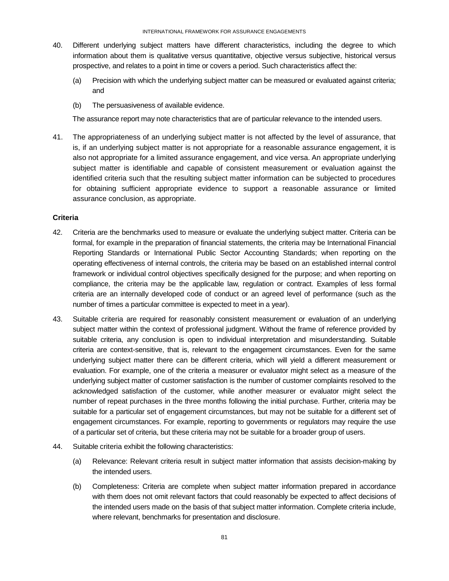- 40. Different underlying subject matters have different characteristics, including the degree to which information about them is qualitative versus quantitative, objective versus subjective, historical versus prospective, and relates to a point in time or covers a period. Such characteristics affect the:
	- (a) Precision with which the underlying subject matter can be measured or evaluated against criteria; and
	- (b) The persuasiveness of available evidence.

The assurance report may note characteristics that are of particular relevance to the intended users.

41. The appropriateness of an underlying subject matter is not affected by the level of assurance, that is, if an underlying subject matter is not appropriate for a reasonable assurance engagement, it is also not appropriate for a limited assurance engagement, and vice versa. An appropriate underlying subject matter is identifiable and capable of consistent measurement or evaluation against the identified criteria such that the resulting subject matter information can be subjected to procedures for obtaining sufficient appropriate evidence to support a reasonable assurance or limited assurance conclusion, as appropriate.

### **Criteria**

- 42. Criteria are the benchmarks used to measure or evaluate the underlying subject matter. Criteria can be formal, for example in the preparation of financial statements, the criteria may be International Financial Reporting Standards or International Public Sector Accounting Standards; when reporting on the operating effectiveness of internal controls, the criteria may be based on an established internal control framework or individual control objectives specifically designed for the purpose; and when reporting on compliance, the criteria may be the applicable law, regulation or contract. Examples of less formal criteria are an internally developed code of conduct or an agreed level of performance (such as the number of times a particular committee is expected to meet in a year).
- 43. Suitable criteria are required for reasonably consistent measurement or evaluation of an underlying subject matter within the context of professional judgment. Without the frame of reference provided by suitable criteria, any conclusion is open to individual interpretation and misunderstanding. Suitable criteria are context-sensitive, that is, relevant to the engagement circumstances. Even for the same underlying subject matter there can be different criteria, which will yield a different measurement or evaluation. For example, one of the criteria a measurer or evaluator might select as a measure of the underlying subject matter of customer satisfaction is the number of customer complaints resolved to the acknowledged satisfaction of the customer, while another measurer or evaluator might select the number of repeat purchases in the three months following the initial purchase. Further, criteria may be suitable for a particular set of engagement circumstances, but may not be suitable for a different set of engagement circumstances. For example, reporting to governments or regulators may require the use of a particular set of criteria, but these criteria may not be suitable for a broader group of users.
- 44. Suitable criteria exhibit the following characteristics:
	- (a) Relevance: Relevant criteria result in subject matter information that assists decision-making by the intended users.
	- (b) Completeness: Criteria are complete when subject matter information prepared in accordance with them does not omit relevant factors that could reasonably be expected to affect decisions of the intended users made on the basis of that subject matter information. Complete criteria include, where relevant, benchmarks for presentation and disclosure.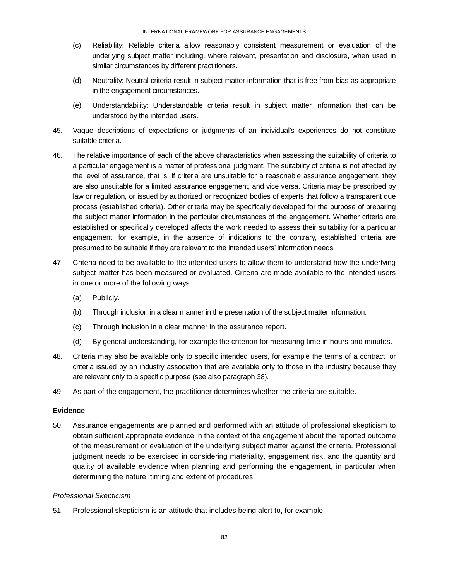- (c) Reliability: Reliable criteria allow reasonably consistent measurement or evaluation of the underlying subject matter including, where relevant, presentation and disclosure, when used in similar circumstances by different practitioners.
- (d) Neutrality: Neutral criteria result in subject matter information that is free from bias as appropriate in the engagement circumstances.
- (e) Understandability: Understandable criteria result in subject matter information that can be understood by the intended users.
- 45. Vague descriptions of expectations or judgments of an individual's experiences do not constitute suitable criteria.
- 46. The relative importance of each of the above characteristics when assessing the suitability of criteria to a particular engagement is a matter of professional judgment. The suitability of criteria is not affected by the level of assurance, that is, if criteria are unsuitable for a reasonable assurance engagement, they are also unsuitable for a limited assurance engagement, and vice versa. Criteria may be prescribed by law or regulation, or issued by authorized or recognized bodies of experts that follow a transparent due process (established criteria). Other criteria may be specifically developed for the purpose of preparing the subject matter information in the particular circumstances of the engagement. Whether criteria are established or specifically developed affects the work needed to assess their suitability for a particular engagement, for example, in the absence of indications to the contrary, established criteria are presumed to be suitable if they are relevant to the intended users' information needs.
- 47. Criteria need to be available to the intended users to allow them to understand how the underlying subject matter has been measured or evaluated. Criteria are made available to the intended users in one or more of the following ways:
	- (a) Publicly.
	- (b) Through inclusion in a clear manner in the presentation of the subject matter information.
	- (c) Through inclusion in a clear manner in the assurance report.
	- (d) By general understanding, for example the criterion for measuring time in hours and minutes.
- 48. Criteria may also be available only to specific intended users, for example the terms of a contract, or criteria issued by an industry association that are available only to those in the industry because they are relevant only to a specific purpose (see also paragraph 38).
- 49. As part of the engagement, the practitioner determines whether the criteria are suitable.

### **Evidence**

50. Assurance engagements are planned and performed with an attitude of professional skepticism to obtain sufficient appropriate evidence in the context of the engagement about the reported outcome of the measurement or evaluation of the underlying subject matter against the criteria. Professional judgment needs to be exercised in considering materiality, engagement risk, and the quantity and quality of available evidence when planning and performing the engagement, in particular when determining the nature, timing and extent of procedures.

### *Professional Skepticism*

51. Professional skepticism is an attitude that includes being alert to, for example: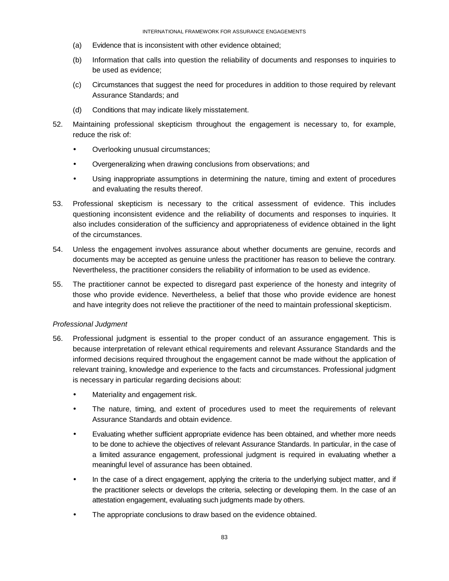- (a) Evidence that is inconsistent with other evidence obtained;
- (b) Information that calls into question the reliability of documents and responses to inquiries to be used as evidence;
- (c) Circumstances that suggest the need for procedures in addition to those required by relevant Assurance Standards; and
- (d) Conditions that may indicate likely misstatement.
- 52. Maintaining professional skepticism throughout the engagement is necessary to, for example, reduce the risk of:
	- Overlooking unusual circumstances;
	- Overgeneralizing when drawing conclusions from observations; and  $\mathbf{r}$
	- Using inappropriate assumptions in determining the nature, timing and extent of procedures and evaluating the results thereof.
- 53. Professional skepticism is necessary to the critical assessment of evidence. This includes questioning inconsistent evidence and the reliability of documents and responses to inquiries. It also includes consideration of the sufficiency and appropriateness of evidence obtained in the light of the circumstances.
- 54. Unless the engagement involves assurance about whether documents are genuine, records and documents may be accepted as genuine unless the practitioner has reason to believe the contrary. Nevertheless, the practitioner considers the reliability of information to be used as evidence.
- 55. The practitioner cannot be expected to disregard past experience of the honesty and integrity of those who provide evidence. Nevertheless, a belief that those who provide evidence are honest and have integrity does not relieve the practitioner of the need to maintain professional skepticism.

#### *Professional Judgment*

- 56. Professional judgment is essential to the proper conduct of an assurance engagement. This is because interpretation of relevant ethical requirements and relevant Assurance Standards and the informed decisions required throughout the engagement cannot be made without the application of relevant training, knowledge and experience to the facts and circumstances. Professional judgment is necessary in particular regarding decisions about:
	- Materiality and engagement risk.
	- The nature, timing, and extent of procedures used to meet the requirements of relevant Assurance Standards and obtain evidence.
	- Evaluating whether sufficient appropriate evidence has been obtained, and whether more needs to be done to achieve the objectives of relevant Assurance Standards. In particular, in the case of a limited assurance engagement, professional judgment is required in evaluating whether a meaningful level of assurance has been obtained.
	- In the case of a direct engagement, applying the criteria to the underlying subject matter, and if the practitioner selects or develops the criteria, selecting or developing them. In the case of an attestation engagement, evaluating such judgments made by others.
	- The appropriate conclusions to draw based on the evidence obtained.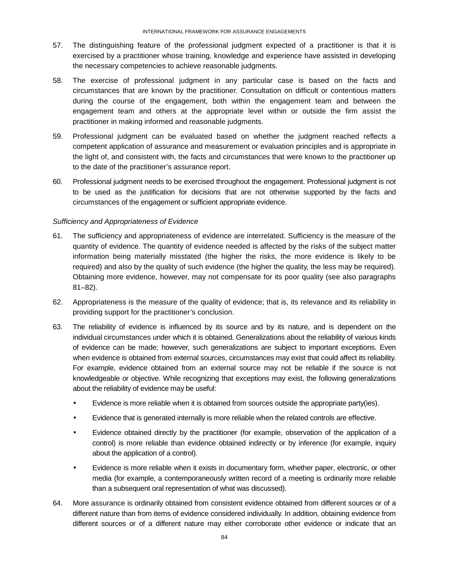- 57. The distinguishing feature of the professional judgment expected of a practitioner is that it is exercised by a practitioner whose training, knowledge and experience have assisted in developing the necessary competencies to achieve reasonable judgments.
- 58. The exercise of professional judgment in any particular case is based on the facts and circumstances that are known by the practitioner. Consultation on difficult or contentious matters during the course of the engagement, both within the engagement team and between the engagement team and others at the appropriate level within or outside the firm assist the practitioner in making informed and reasonable judgments.
- 59. Professional judgment can be evaluated based on whether the judgment reached reflects a competent application of assurance and measurement or evaluation principles and is appropriate in the light of, and consistent with, the facts and circumstances that were known to the practitioner up to the date of the practitioner's assurance report.
- 60. Professional judgment needs to be exercised throughout the engagement. Professional judgment is not to be used as the justification for decisions that are not otherwise supported by the facts and circumstances of the engagement or sufficient appropriate evidence.

### *Sufficiency and Appropriateness of Evidence*

- 61. The sufficiency and appropriateness of evidence are interrelated. Sufficiency is the measure of the quantity of evidence. The quantity of evidence needed is affected by the risks of the subject matter information being materially misstated (the higher the risks, the more evidence is likely to be required) and also by the quality of such evidence (the higher the quality, the less may be required). Obtaining more evidence, however, may not compensate for its poor quality (see also paragraphs 81–82).
- 62. Appropriateness is the measure of the quality of evidence; that is, its relevance and its reliability in providing support for the practitioner's conclusion.
- 63. The reliability of evidence is influenced by its source and by its nature, and is dependent on the individual circumstances under which it is obtained. Generalizations about the reliability of various kinds of evidence can be made; however, such generalizations are subject to important exceptions. Even when evidence is obtained from external sources, circumstances may exist that could affect its reliability. For example, evidence obtained from an external source may not be reliable if the source is not knowledgeable or objective. While recognizing that exceptions may exist, the following generalizations about the reliability of evidence may be useful:
	- Evidence is more reliable when it is obtained from sources outside the appropriate party(ies).
	- Evidence that is generated internally is more reliable when the related controls are effective.
	- Evidence obtained directly by the practitioner (for example, observation of the application of a control) is more reliable than evidence obtained indirectly or by inference (for example, inquiry about the application of a control).
	- Evidence is more reliable when it exists in documentary form, whether paper, electronic, or other media (for example, a contemporaneously written record of a meeting is ordinarily more reliable than a subsequent oral representation of what was discussed).
- 64. More assurance is ordinarily obtained from consistent evidence obtained from different sources or of a different nature than from items of evidence considered individually. In addition, obtaining evidence from different sources or of a different nature may either corroborate other evidence or indicate that an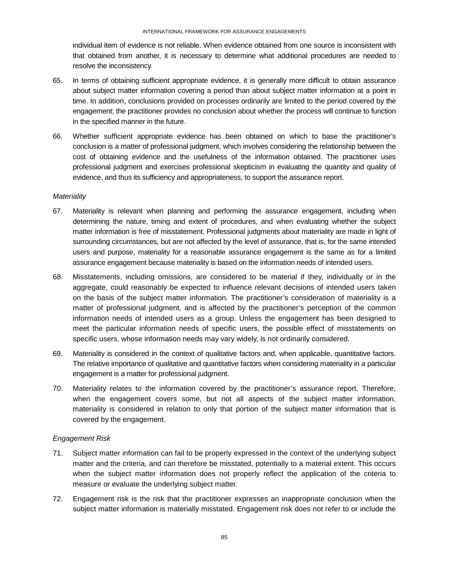individual item of evidence is not reliable. When evidence obtained from one source is inconsistent with that obtained from another, it is necessary to determine what additional procedures are needed to resolve the inconsistency.

- 65. In terms of obtaining sufficient appropriate evidence, it is generally more difficult to obtain assurance about subject matter information covering a period than about subject matter information at a point in time. In addition, conclusions provided on processes ordinarily are limited to the period covered by the engagement; the practitioner provides no conclusion about whether the process will continue to function in the specified manner in the future.
- 66. Whether sufficient appropriate evidence has been obtained on which to base the practitioner's conclusion is a matter of professional judgment, which involves considering the relationship between the cost of obtaining evidence and the usefulness of the information obtained. The practitioner uses professional judgment and exercises professional skepticism in evaluating the quantity and quality of evidence, and thus its sufficiency and appropriateness, to support the assurance report.

### *Materiality*

- 67. Materiality is relevant when planning and performing the assurance engagement, including when determining the nature, timing and extent of procedures, and when evaluating whether the subject matter information is free of misstatement. Professional judgments about materiality are made in light of surrounding circumstances, but are not affected by the level of assurance, that is, for the same intended users and purpose, materiality for a reasonable assurance engagement is the same as for a limited assurance engagement because materiality is based on the information needs of intended users.
- 68. Misstatements, including omissions, are considered to be material if they, individually or in the aggregate, could reasonably be expected to influence relevant decisions of intended users taken on the basis of the subject matter information. The practitioner's consideration of materiality is a matter of professional judgment, and is affected by the practitioner's perception of the common information needs of intended users as a group. Unless the engagement has been designed to meet the particular information needs of specific users, the possible effect of misstatements on specific users, whose information needs may vary widely, is not ordinarily considered.
- 69. Materiality is considered in the context of qualitative factors and, when applicable, quantitative factors. The relative importance of qualitative and quantitative factors when considering materiality in a particular engagement is a matter for professional judgment.
- 70. Materiality relates to the information covered by the practitioner's assurance report. Therefore, when the engagement covers some, but not all aspects of the subject matter information, materiality is considered in relation to only that portion of the subject matter information that is covered by the engagement.

### *Engagement Risk*

- 71. Subject matter information can fail to be properly expressed in the context of the underlying subject matter and the criteria, and can therefore be misstated, potentially to a material extent. This occurs when the subject matter information does not properly reflect the application of the criteria to measure or evaluate the underlying subject matter.
- 72. Engagement risk is the risk that the practitioner expresses an inappropriate conclusion when the subject matter information is materially misstated. Engagement risk does not refer to or include the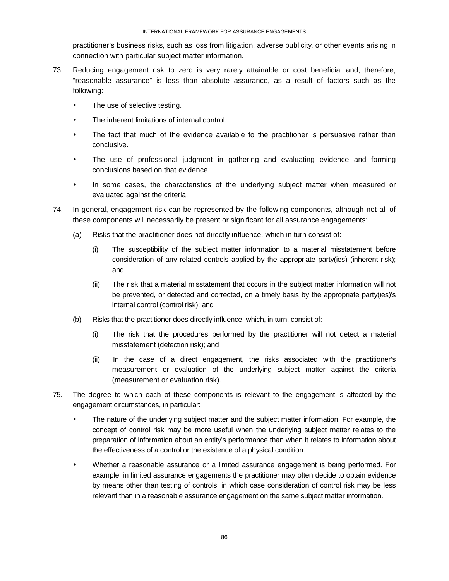practitioner's business risks, such as loss from litigation, adverse publicity, or other events arising in connection with particular subject matter information.

- 73. Reducing engagement risk to zero is very rarely attainable or cost beneficial and, therefore, "reasonable assurance" is less than absolute assurance, as a result of factors such as the following:
	- The use of selective testing.
	- The inherent limitations of internal control.
	- The fact that much of the evidence available to the practitioner is persuasive rather than conclusive.
	- The use of professional judgment in gathering and evaluating evidence and forming conclusions based on that evidence.
	- In some cases, the characteristics of the underlying subject matter when measured or evaluated against the criteria.
- 74. In general, engagement risk can be represented by the following components, although not all of these components will necessarily be present or significant for all assurance engagements:
	- (a) Risks that the practitioner does not directly influence, which in turn consist of:
		- (i) The susceptibility of the subject matter information to a material misstatement before consideration of any related controls applied by the appropriate party(ies) (inherent risk); and
		- (ii) The risk that a material misstatement that occurs in the subject matter information will not be prevented, or detected and corrected, on a timely basis by the appropriate party(ies)'s internal control (control risk); and
	- (b) Risks that the practitioner does directly influence, which, in turn, consist of:
		- (i) The risk that the procedures performed by the practitioner will not detect a material misstatement (detection risk); and
		- (ii) In the case of a direct engagement, the risks associated with the practitioner's measurement or evaluation of the underlying subject matter against the criteria (measurement or evaluation risk).
- 75. The degree to which each of these components is relevant to the engagement is affected by the engagement circumstances, in particular:
	- The nature of the underlying subject matter and the subject matter information. For example, the concept of control risk may be more useful when the underlying subject matter relates to the preparation of information about an entity's performance than when it relates to information about the effectiveness of a control or the existence of a physical condition.
	- Whether a reasonable assurance or a limited assurance engagement is being performed. For example, in limited assurance engagements the practitioner may often decide to obtain evidence by means other than testing of controls, in which case consideration of control risk may be less relevant than in a reasonable assurance engagement on the same subject matter information.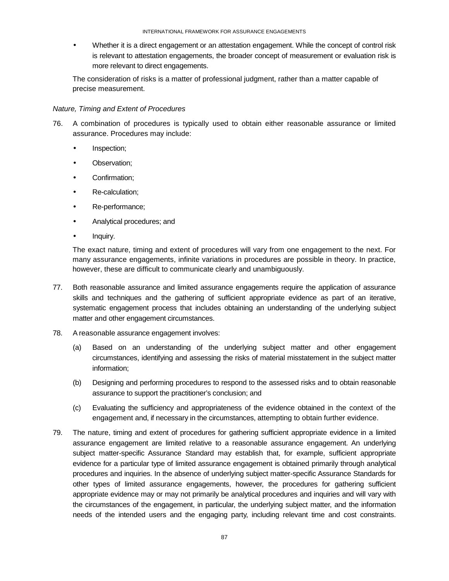Whether it is a direct engagement or an attestation engagement. While the concept of control risk is relevant to attestation engagements, the broader concept of measurement or evaluation risk is more relevant to direct engagements.

The consideration of risks is a matter of professional judgment, rather than a matter capable of precise measurement.

### *Nature, Timing and Extent of Procedures*

- 76. A combination of procedures is typically used to obtain either reasonable assurance or limited assurance. Procedures may include:
	- Inspection;
	- Observation;
	- Confirmation;
	- Re-calculation;
	- Re-performance;
	- Analytical procedures; and
	- Inquiry.

The exact nature, timing and extent of procedures will vary from one engagement to the next. For many assurance engagements, infinite variations in procedures are possible in theory. In practice, however, these are difficult to communicate clearly and unambiguously.

- 77. Both reasonable assurance and limited assurance engagements require the application of assurance skills and techniques and the gathering of sufficient appropriate evidence as part of an iterative, systematic engagement process that includes obtaining an understanding of the underlying subject matter and other engagement circumstances.
- 78. A reasonable assurance engagement involves:
	- (a) Based on an understanding of the underlying subject matter and other engagement circumstances, identifying and assessing the risks of material misstatement in the subject matter information;
	- (b) Designing and performing procedures to respond to the assessed risks and to obtain reasonable assurance to support the practitioner's conclusion; and
	- (c) Evaluating the sufficiency and appropriateness of the evidence obtained in the context of the engagement and, if necessary in the circumstances, attempting to obtain further evidence.
- 79. The nature, timing and extent of procedures for gathering sufficient appropriate evidence in a limited assurance engagement are limited relative to a reasonable assurance engagement. An underlying subject matter-specific Assurance Standard may establish that, for example, sufficient appropriate evidence for a particular type of limited assurance engagement is obtained primarily through analytical procedures and inquiries. In the absence of underlying subject matter-specific Assurance Standards for other types of limited assurance engagements, however, the procedures for gathering sufficient appropriate evidence may or may not primarily be analytical procedures and inquiries and will vary with the circumstances of the engagement, in particular, the underlying subject matter, and the information needs of the intended users and the engaging party, including relevant time and cost constraints.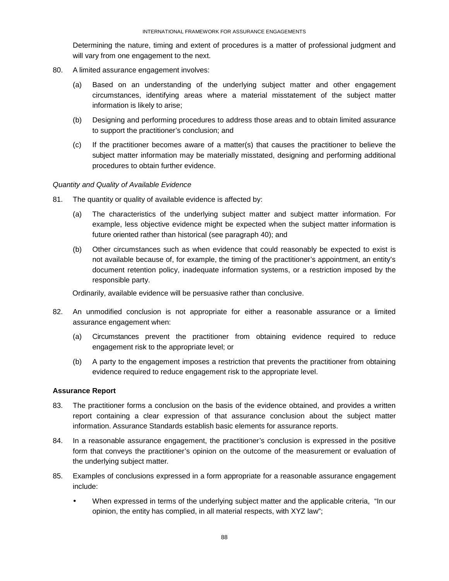Determining the nature, timing and extent of procedures is a matter of professional judgment and will vary from one engagement to the next.

- 80. A limited assurance engagement involves:
	- (a) Based on an understanding of the underlying subject matter and other engagement circumstances, identifying areas where a material misstatement of the subject matter information is likely to arise;
	- (b) Designing and performing procedures to address those areas and to obtain limited assurance to support the practitioner's conclusion; and
	- (c) If the practitioner becomes aware of a matter(s) that causes the practitioner to believe the subject matter information may be materially misstated, designing and performing additional procedures to obtain further evidence.

# *Quantity and Quality of Available Evidence*

- 81. The quantity or quality of available evidence is affected by:
	- (a) The characteristics of the underlying subject matter and subject matter information. For example, less objective evidence might be expected when the subject matter information is future oriented rather than historical (see paragraph 40); and
	- (b) Other circumstances such as when evidence that could reasonably be expected to exist is not available because of, for example, the timing of the practitioner's appointment, an entity's document retention policy, inadequate information systems, or a restriction imposed by the responsible party.

Ordinarily, available evidence will be persuasive rather than conclusive.

- 82. An unmodified conclusion is not appropriate for either a reasonable assurance or a limited assurance engagement when:
	- (a) Circumstances prevent the practitioner from obtaining evidence required to reduce engagement risk to the appropriate level; or
	- (b) A party to the engagement imposes a restriction that prevents the practitioner from obtaining evidence required to reduce engagement risk to the appropriate level.

#### **Assurance Report**

- 83. The practitioner forms a conclusion on the basis of the evidence obtained, and provides a written report containing a clear expression of that assurance conclusion about the subject matter information. Assurance Standards establish basic elements for assurance reports.
- 84. In a reasonable assurance engagement, the practitioner's conclusion is expressed in the positive form that conveys the practitioner's opinion on the outcome of the measurement or evaluation of the underlying subject matter.
- 85. Examples of conclusions expressed in a form appropriate for a reasonable assurance engagement include:
	- When expressed in terms of the underlying subject matter and the applicable criteria, "In our  $\mathbf{r}$ opinion, the entity has complied, in all material respects, with XYZ law";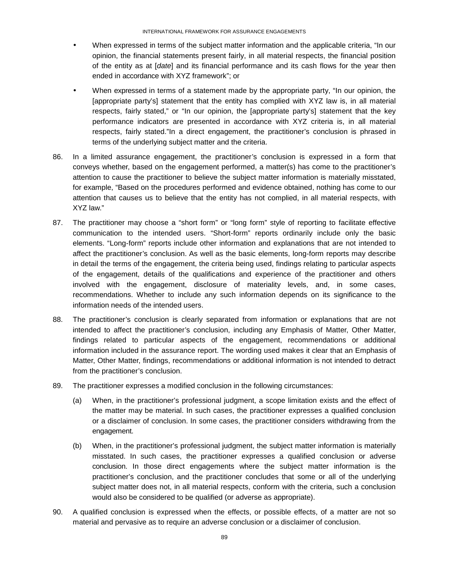- When expressed in terms of the subject matter information and the applicable criteria, "In our opinion, the financial statements present fairly, in all material respects, the financial position of the entity as at [*date*] and its financial performance and its cash flows for the year then ended in accordance with XYZ framework"; or
- When expressed in terms of a statement made by the appropriate party, "In our opinion, the [appropriate party's] statement that the entity has complied with XYZ law is, in all material respects, fairly stated," or "In our opinion, the [appropriate party's] statement that the key performance indicators are presented in accordance with XYZ criteria is, in all material respects, fairly stated."In a direct engagement, the practitioner's conclusion is phrased in terms of the underlying subject matter and the criteria.
- 86. In a limited assurance engagement, the practitioner's conclusion is expressed in a form that conveys whether, based on the engagement performed, a matter(s) has come to the practitioner's attention to cause the practitioner to believe the subject matter information is materially misstated, for example, "Based on the procedures performed and evidence obtained, nothing has come to our attention that causes us to believe that the entity has not complied, in all material respects, with XYZ law."
- 87. The practitioner may choose a "short form" or "long form" style of reporting to facilitate effective communication to the intended users. "Short-form" reports ordinarily include only the basic elements. "Long-form" reports include other information and explanations that are not intended to affect the practitioner's conclusion. As well as the basic elements, long-form reports may describe in detail the terms of the engagement, the criteria being used, findings relating to particular aspects of the engagement, details of the qualifications and experience of the practitioner and others involved with the engagement, disclosure of materiality levels, and, in some cases, recommendations. Whether to include any such information depends on its significance to the information needs of the intended users.
- 88. The practitioner's conclusion is clearly separated from information or explanations that are not intended to affect the practitioner's conclusion, including any Emphasis of Matter, Other Matter, findings related to particular aspects of the engagement, recommendations or additional information included in the assurance report. The wording used makes it clear that an Emphasis of Matter, Other Matter, findings, recommendations or additional information is not intended to detract from the practitioner's conclusion.
- 89. The practitioner expresses a modified conclusion in the following circumstances:
	- (a) When, in the practitioner's professional judgment, a scope limitation exists and the effect of the matter may be material. In such cases, the practitioner expresses a qualified conclusion or a disclaimer of conclusion. In some cases, the practitioner considers withdrawing from the engagement.
	- (b) When, in the practitioner's professional judgment, the subject matter information is materially misstated. In such cases, the practitioner expresses a qualified conclusion or adverse conclusion. In those direct engagements where the subject matter information is the practitioner's conclusion, and the practitioner concludes that some or all of the underlying subject matter does not, in all material respects, conform with the criteria, such a conclusion would also be considered to be qualified (or adverse as appropriate).
- 90. A qualified conclusion is expressed when the effects, or possible effects, of a matter are not so material and pervasive as to require an adverse conclusion or a disclaimer of conclusion.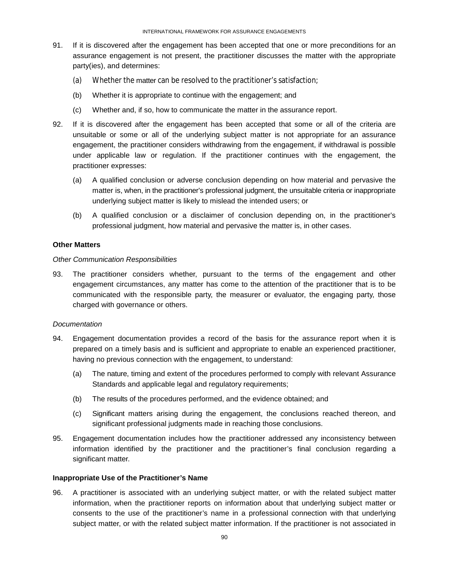- 91. If it is discovered after the engagement has been accepted that one or more preconditions for an assurance engagement is not present, the practitioner discusses the matter with the appropriate party(ies), and determines:
	- (a) Whether the matter can be resolved to the practitioner's satisfaction;
	- (b) Whether it is appropriate to continue with the engagement; and
	- (c) Whether and, if so, how to communicate the matter in the assurance report.
- 92. If it is discovered after the engagement has been accepted that some or all of the criteria are unsuitable or some or all of the underlying subject matter is not appropriate for an assurance engagement, the practitioner considers withdrawing from the engagement, if withdrawal is possible under applicable law or regulation. If the practitioner continues with the engagement, the practitioner expresses:
	- (a) A qualified conclusion or adverse conclusion depending on how material and pervasive the matter is, when, in the practitioner's professional judgment, the unsuitable criteria or inappropriate underlying subject matter is likely to mislead the intended users; or
	- (b) A qualified conclusion or a disclaimer of conclusion depending on, in the practitioner's professional judgment, how material and pervasive the matter is, in other cases.

### **Other Matters**

### *Other Communication Responsibilities*

93. The practitioner considers whether, pursuant to the terms of the engagement and other engagement circumstances, any matter has come to the attention of the practitioner that is to be communicated with the responsible party, the measurer or evaluator, the engaging party, those charged with governance or others.

### *Documentation*

- 94. Engagement documentation provides a record of the basis for the assurance report when it is prepared on a timely basis and is sufficient and appropriate to enable an experienced practitioner, having no previous connection with the engagement, to understand:
	- (a) The nature, timing and extent of the procedures performed to comply with relevant Assurance Standards and applicable legal and regulatory requirements;
	- (b) The results of the procedures performed, and the evidence obtained; and
	- (c) Significant matters arising during the engagement, the conclusions reached thereon, and significant professional judgments made in reaching those conclusions.
- 95. Engagement documentation includes how the practitioner addressed any inconsistency between information identified by the practitioner and the practitioner's final conclusion regarding a significant matter.

### **Inappropriate Use of the Practitioner's Name**

96. A practitioner is associated with an underlying subject matter, or with the related subject matter information, when the practitioner reports on information about that underlying subject matter or consents to the use of the practitioner's name in a professional connection with that underlying subject matter, or with the related subject matter information. If the practitioner is not associated in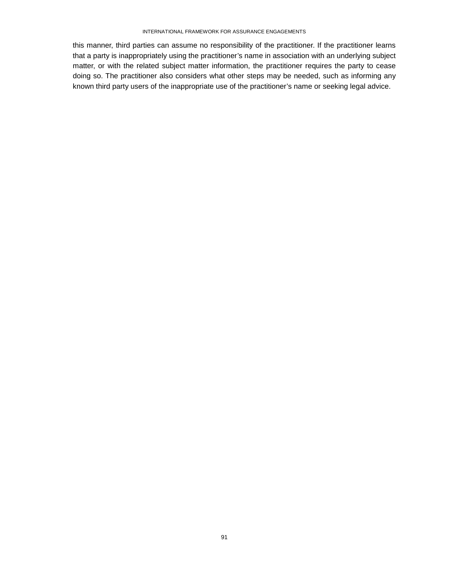#### INTERNATIONAL FRAMEWORK FOR ASSURANCE ENGAGEMENTS

this manner, third parties can assume no responsibility of the practitioner. If the practitioner learns that a party is inappropriately using the practitioner's name in association with an underlying subject matter, or with the related subject matter information, the practitioner requires the party to cease doing so. The practitioner also considers what other steps may be needed, such as informing any known third party users of the inappropriate use of the practitioner's name or seeking legal advice.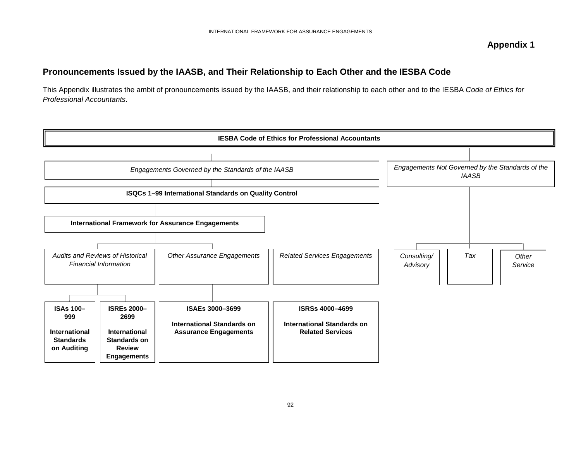**Appendix 1**

# **Pronouncements Issued by the IAASB, and Their Relationship to Each Other and the IESBA Code**

This Appendix illustrates the ambit of pronouncements issued by the IAASB, and their relationship to each other and to the IESBA *Code of Ethics for Professional Accountants*.

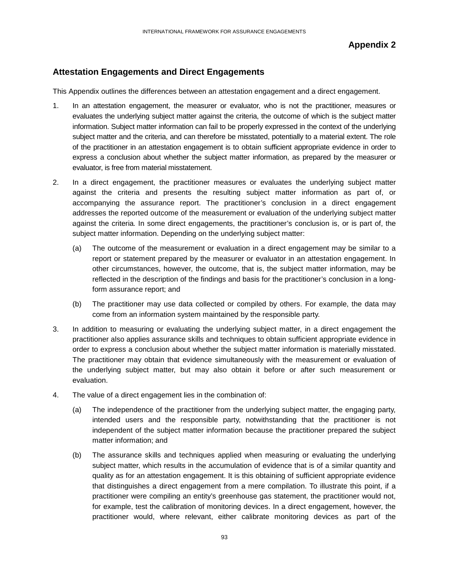# **Attestation Engagements and Direct Engagements**

This Appendix outlines the differences between an attestation engagement and a direct engagement.

- 1. In an attestation engagement, the measurer or evaluator, who is not the practitioner, measures or evaluates the underlying subject matter against the criteria, the outcome of which is the subject matter information. Subject matter information can fail to be properly expressed in the context of the underlying subject matter and the criteria, and can therefore be misstated, potentially to a material extent. The role of the practitioner in an attestation engagement is to obtain sufficient appropriate evidence in order to express a conclusion about whether the subject matter information, as prepared by the measurer or evaluator, is free from material misstatement.
- 2. In a direct engagement, the practitioner measures or evaluates the underlying subject matter against the criteria and presents the resulting subject matter information as part of, or accompanying the assurance report. The practitioner's conclusion in a direct engagement addresses the reported outcome of the measurement or evaluation of the underlying subject matter against the criteria*.* In some direct engagements, the practitioner's conclusion is, or is part of, the subject matter information. Depending on the underlying subject matter:
	- (a) The outcome of the measurement or evaluation in a direct engagement may be similar to a report or statement prepared by the measurer or evaluator in an attestation engagement. In other circumstances, however, the outcome, that is, the subject matter information, may be reflected in the description of the findings and basis for the practitioner's conclusion in a longform assurance report; and
	- (b) The practitioner may use data collected or compiled by others. For example, the data may come from an information system maintained by the responsible party.
- 3. In addition to measuring or evaluating the underlying subject matter, in a direct engagement the practitioner also applies assurance skills and techniques to obtain sufficient appropriate evidence in order to express a conclusion about whether the subject matter information is materially misstated. The practitioner may obtain that evidence simultaneously with the measurement or evaluation of the underlying subject matter, but may also obtain it before or after such measurement or evaluation.
- 4. The value of a direct engagement lies in the combination of:
	- (a) The independence of the practitioner from the underlying subject matter, the engaging party, intended users and the responsible party, notwithstanding that the practitioner is not independent of the subject matter information because the practitioner prepared the subject matter information; and
	- (b) The assurance skills and techniques applied when measuring or evaluating the underlying subject matter, which results in the accumulation of evidence that is of a similar quantity and quality as for an attestation engagement. It is this obtaining of sufficient appropriate evidence that distinguishes a direct engagement from a mere compilation. To illustrate this point, if a practitioner were compiling an entity's greenhouse gas statement, the practitioner would not, for example, test the calibration of monitoring devices. In a direct engagement, however, the practitioner would, where relevant, either calibrate monitoring devices as part of the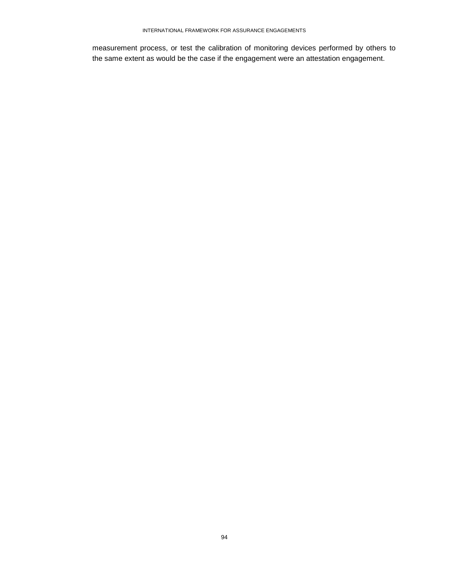measurement process, or test the calibration of monitoring devices performed by others to the same extent as would be the case if the engagement were an attestation engagement.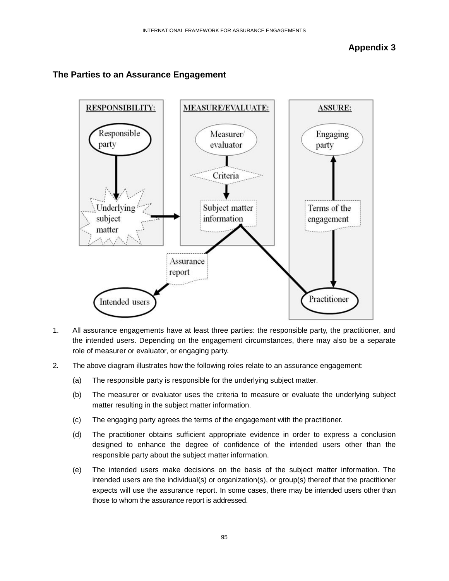

# **The Parties to an Assurance Engagement**

- 1. All assurance engagements have at least three parties: the responsible party, the practitioner, and the intended users. Depending on the engagement circumstances, there may also be a separate role of measurer or evaluator, or engaging party.
- 2. The above diagram illustrates how the following roles relate to an assurance engagement:
	- (a) The responsible party is responsible for the underlying subject matter.
	- (b) The measurer or evaluator uses the criteria to measure or evaluate the underlying subject matter resulting in the subject matter information.
	- (c) The engaging party agrees the terms of the engagement with the practitioner.
	- (d) The practitioner obtains sufficient appropriate evidence in order to express a conclusion designed to enhance the degree of confidence of the intended users other than the responsible party about the subject matter information.
	- (e) The intended users make decisions on the basis of the subject matter information. The intended users are the individual(s) or organization(s), or group(s) thereof that the practitioner expects will use the assurance report. In some cases, there may be intended users other than those to whom the assurance report is addressed.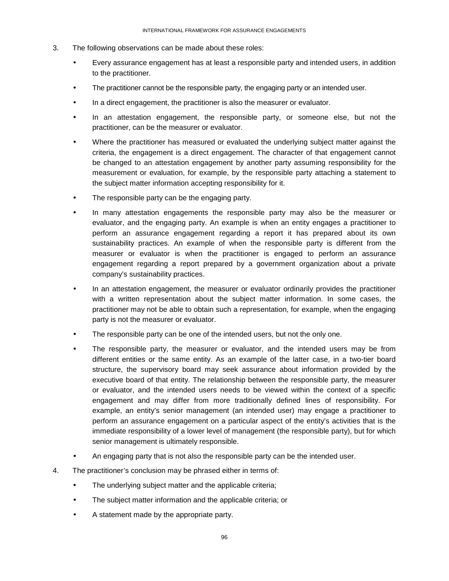- 3. The following observations can be made about these roles:
	- Every assurance engagement has at least a responsible party and intended users, in addition to the practitioner.
	- The practitioner cannot be the responsible party, the engaging party or an intended user.
	- In a direct engagement, the practitioner is also the measurer or evaluator.
	- In an attestation engagement, the responsible party, or someone else, but not the practitioner, can be the measurer or evaluator.
	- Where the practitioner has measured or evaluated the underlying subject matter against the criteria, the engagement is a direct engagement. The character of that engagement cannot be changed to an attestation engagement by another party assuming responsibility for the measurement or evaluation, for example, by the responsible party attaching a statement to the subject matter information accepting responsibility for it.
	- The responsible party can be the engaging party.
	- In many attestation engagements the responsible party may also be the measurer or evaluator, and the engaging party. An example is when an entity engages a practitioner to perform an assurance engagement regarding a report it has prepared about its own sustainability practices. An example of when the responsible party is different from the measurer or evaluator is when the practitioner is engaged to perform an assurance engagement regarding a report prepared by a government organization about a private company's sustainability practices.
	- In an attestation engagement, the measurer or evaluator ordinarily provides the practitioner with a written representation about the subject matter information. In some cases, the practitioner may not be able to obtain such a representation, for example, when the engaging party is not the measurer or evaluator.
	- The responsible party can be one of the intended users, but not the only one.
	- The responsible party, the measurer or evaluator, and the intended users may be from different entities or the same entity. As an example of the latter case, in a two-tier board structure, the supervisory board may seek assurance about information provided by the executive board of that entity. The relationship between the responsible party, the measurer or evaluator, and the intended users needs to be viewed within the context of a specific engagement and may differ from more traditionally defined lines of responsibility. For example, an entity's senior management (an intended user) may engage a practitioner to perform an assurance engagement on a particular aspect of the entity's activities that is the immediate responsibility of a lower level of management (the responsible party), but for which senior management is ultimately responsible.
	- An engaging party that is not also the responsible party can be the intended user.
- 4. The practitioner's conclusion may be phrased either in terms of:
	- $\epsilon$ The underlying subject matter and the applicable criteria;
	- The subject matter information and the applicable criteria; or  $\mathbf{r}$
	- A statement made by the appropriate party. $\mathbf{r}$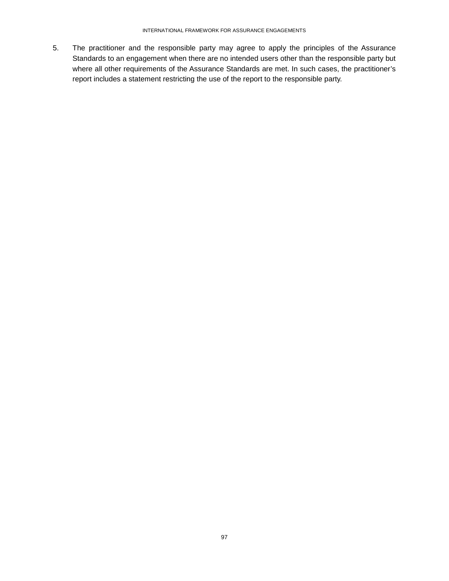5. The practitioner and the responsible party may agree to apply the principles of the Assurance Standards to an engagement when there are no intended users other than the responsible party but where all other requirements of the Assurance Standards are met. In such cases, the practitioner's report includes a statement restricting the use of the report to the responsible party.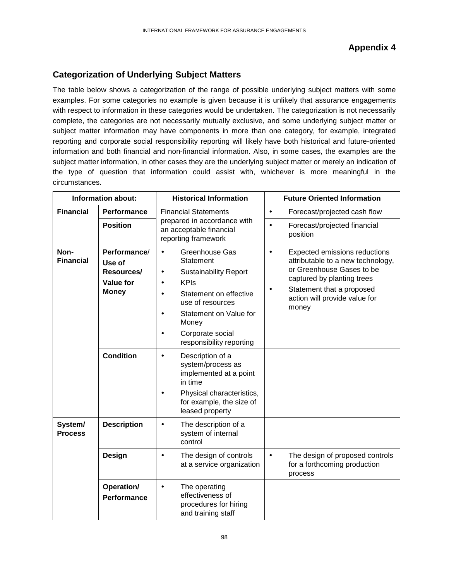# **Categorization of Underlying Subject Matters**

The table below shows a categorization of the range of possible underlying subject matters with some examples. For some categories no example is given because it is unlikely that assurance engagements with respect to information in these categories would be undertaken. The categorization is not necessarily complete, the categories are not necessarily mutually exclusive, and some underlying subject matter or subject matter information may have components in more than one category, for example, integrated reporting and corporate social responsibility reporting will likely have both historical and future-oriented information and both financial and non-financial information. Also, in some cases, the examples are the subject matter information, in other cases they are the underlying subject matter or merely an indication of the type of question that information could assist with, whichever is more meaningful in the circumstances.

| <b>Information about:</b> |                                                                                              | <b>Historical Information</b>                                                                                                                                                                                                                                                                                                                                                                     | <b>Future Oriented Information</b>                                                                                                                                                                        |  |
|---------------------------|----------------------------------------------------------------------------------------------|---------------------------------------------------------------------------------------------------------------------------------------------------------------------------------------------------------------------------------------------------------------------------------------------------------------------------------------------------------------------------------------------------|-----------------------------------------------------------------------------------------------------------------------------------------------------------------------------------------------------------|--|
| <b>Financial</b>          | <b>Performance</b>                                                                           | <b>Financial Statements</b>                                                                                                                                                                                                                                                                                                                                                                       | Forecast/projected cash flow<br>$\blacksquare$                                                                                                                                                            |  |
|                           | <b>Position</b>                                                                              | prepared in accordance with<br>an acceptable financial<br>reporting framework                                                                                                                                                                                                                                                                                                                     | Forecast/projected financial<br>$\blacksquare$<br>position                                                                                                                                                |  |
| Non-<br><b>Financial</b>  | Performance/<br>Use of<br>Resources/<br><b>Value for</b><br><b>Money</b><br><b>Condition</b> | Greenhouse Gas<br>Statement<br><b>Sustainability Report</b><br>$\cdot$<br><b>KPIs</b><br>ä,<br>Statement on effective<br>use of resources<br>Statement on Value for<br>Ĭ.<br>Money<br>Corporate social<br>responsibility reporting<br>Description of a<br>ï<br>system/process as<br>implemented at a point<br>in time<br>Physical characteristics,<br>for example, the size of<br>leased property | Expected emissions reductions<br>×<br>attributable to a new technology,<br>or Greenhouse Gases to be<br>captured by planting trees<br>Statement that a proposed<br>action will provide value for<br>money |  |
| System/<br><b>Process</b> | <b>Description</b>                                                                           | The description of a<br>system of internal<br>control                                                                                                                                                                                                                                                                                                                                             |                                                                                                                                                                                                           |  |
|                           | <b>Design</b>                                                                                | The design of controls<br>at a service organization                                                                                                                                                                                                                                                                                                                                               | The design of proposed controls<br>$\blacksquare$<br>for a forthcoming production<br>process                                                                                                              |  |
|                           | Operation/<br><b>Performance</b>                                                             | The operating<br>effectiveness of<br>procedures for hiring<br>and training staff                                                                                                                                                                                                                                                                                                                  |                                                                                                                                                                                                           |  |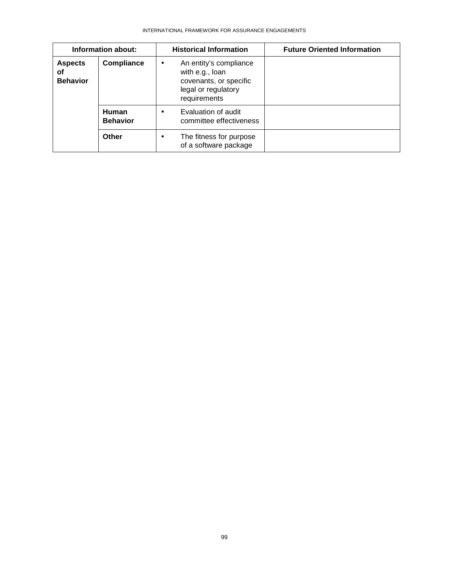| Information about:                      |                          | <b>Historical Information</b>                                                                                   | <b>Future Oriented Information</b> |
|-----------------------------------------|--------------------------|-----------------------------------------------------------------------------------------------------------------|------------------------------------|
| <b>Aspects</b><br>оf<br><b>Behavior</b> | <b>Compliance</b>        | An entity's compliance<br>٠<br>with e.g., loan<br>covenants, or specific<br>legal or regulatory<br>requirements |                                    |
|                                         | Human<br><b>Behavior</b> | Evaluation of audit<br>committee effectiveness                                                                  |                                    |
|                                         | Other                    | The fitness for purpose<br>٠<br>of a software package                                                           |                                    |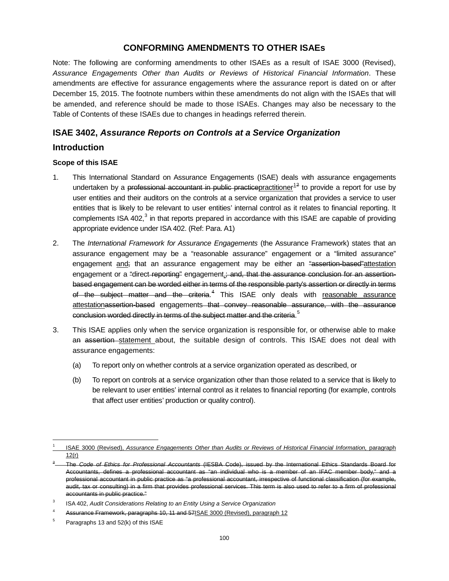# **CONFORMING AMENDMENTS TO OTHER ISAEs**

Note: The following are conforming amendments to other ISAEs as a result of ISAE 3000 (Revised), *Assurance Engagements Other than Audits or Reviews of Historical Financial Information*. These amendments are effective for assurance engagements where the assurance report is dated on or after December 15, 2015. The footnote numbers within these amendments do not align with the ISAEs that will be amended, and reference should be made to those ISAEs. Changes may also be necessary to the Table of Contents of these ISAEs due to changes in headings referred therein.

# **ISAE 3402,** *Assurance Reports on Controls at a Service Organization*

# **Introduction**

# **Scope of this ISAE**

- 1. This International Standard on Assurance Engagements (ISAE) deals with assurance engagements undertaken by a professional accountant in public practicepractitioner<sup>[1](#page-99-0)[2](#page-99-1)</sup> to provide a report for use by user entities and their auditors on the controls at a service organization that provides a service to user entities that is likely to be relevant to user entities' internal control as it relates to financial reporting. It complements ISA 402,<sup>[3](#page-99-2)</sup> in that reports prepared in accordance with this ISAE are capable of providing appropriate evidence under ISA 402. (Ref: Para. A1)
- 2. The *International Framework for Assurance Engagements* (the Assurance Framework) states that an assurance engagement may be a "reasonable assurance" engagement or a "limited assurance" engagement and; that an assurance engagement may be either an "assertion-based"attestation engagement or a "direct-reporting" engagement.; and, that the assurance conclusion for an assertionbased engagement can be worded either in terms of the responsible party's assertion or directly in terms of the subject matter and the criteria.<sup>[4](#page-99-3)</sup> This ISAE only deals with <u>reasonable assurance</u> attestationassertion-based engagements that convey reasonable assurance, with the assurance conclusion worded directly in terms of the subject matter and the criteria. $^{\rm 5}$  $^{\rm 5}$  $^{\rm 5}$
- 3. This ISAE applies only when the service organization is responsible for, or otherwise able to make an assertion statement about, the suitable design of controls. This ISAE does not deal with assurance engagements:
	- (a) To report only on whether controls at a service organization operated as described, or
	- (b) To report on controls at a service organization other than those related to a service that is likely to be relevant to user entities' internal control as it relates to financial reporting (for example, controls that affect user entities' production or quality control).

<span id="page-99-0"></span>l <sup>1</sup> ISAE 3000 (Revised), *Assurance Engagements Other than Audits or Reviews of Historical Financial Information,* paragraph  $12(r)$ 

<span id="page-99-1"></span><sup>2</sup> The *Code of Ethics for Professional Accountants* (IESBA Code), issued by the International Ethics Standards Board for Accountants, defines a professional accountant as "an individual who is a member of an IFAC member body," and a professional accountant in public practice as "a professional accountant, irrespective of functional classification (for example, audit, tax or consulting) in a firm that provides professional services. This term is also used to refer to a firm of professional accountants in public practice."

<span id="page-99-5"></span><span id="page-99-2"></span><sup>3</sup> ISA 402, *Audit Considerations Relating to an Entity Using a Service Organization*

<span id="page-99-3"></span><sup>&</sup>lt;sup>4</sup> Assurance Framework, paragraphs 10, 11 and 57ISAE 3000 (Revised), paragraph 12

<span id="page-99-4"></span> $5$  Paragraphs 13 and 52(k) of this ISAE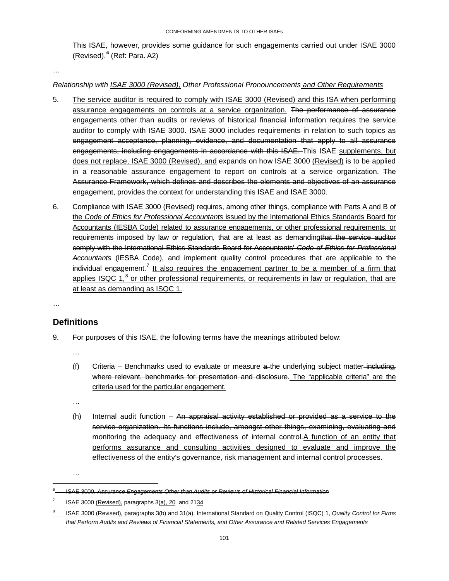This ISAE, however, provides some guidance for such engagements carried out under ISAE 3000 (Revised). [6](#page-99-5) (Ref: Para. A2)

…

*Relationship with ISAE 3000 (Revised), Other Professional Pronouncements and Other Requirements* 

- 5. The service auditor is required to comply with ISAE 3000 (Revised) and this ISA when performing assurance engagements on controls at a service organization. The performance of assurance engagements other than audits or reviews of historical financial information requires the service auditor to comply with ISAE 3000. ISAE 3000 includes requirements in relation to such topics as engagement acceptance, planning, evidence, and documentation that apply to all assurance engagements, including engagements in accordance with this ISAE. This ISAE supplements, but does not replace, ISAE 3000 (Revised), and expands on how ISAE 3000 (Revised) is to be applied in a reasonable assurance engagement to report on controls at a service organization. The Assurance Framework, which defines and describes the elements and objectives of an assurance engagement, provides the context for understanding this ISAE and ISAE 3000.
- 6. Compliance with ISAE 3000 (Revised) requires, among other things, compliance with Parts A and B of the *Code of Ethics for Professional Accountants* issued by the International Ethics Standards Board for Accountants (IESBA Code) related to assurance engagements, or other professional requirements, or requirements imposed by law or regulation, that are at least as demandingthat the service auditor comply with the International Ethics Standards Board for Accountants' *Code of Ethics for Professional Accountants* (IESBA Code), and implement quality control procedures that are applicable to the individual engagement.<sup>[7](#page-100-0)</sup> It also requires the engagement partner to be a member of a firm that applies ISQC  $1$ ,<sup>[8](#page-100-1)</sup> or other professional requirements, or requirements in law or regulation, that are at least as demanding as ISQC 1.

…

# **Definitions**

9. For purposes of this ISAE, the following terms have the meanings attributed below:

…

(f) Criteria – Benchmarks used to evaluate or measure  $a$ -the underlying subject matter-including, where relevant, benchmarks for presentation and disclosure. The "applicable criteria" are the criteria used for the particular engagement.

…

(h) Internal audit function – An appraisal activity established or provided as a service to the service organization. Its functions include, amongst other things, examining, evaluating and monitoring the adequacy and effectiveness of internal control.A function of an entity that performs assurance and consulting activities designed to evaluate and improve the effectiveness of the entity's governance, risk management and internal control processes.

<sup>…</sup>

l <sup>6</sup> ISAE 3000, *Assurance Engagements Other than Audits or Reviews of Historical Financial Information*

<span id="page-100-0"></span>ISAE 3000 (Revised), paragraphs 3(a), 20 and 2134

<span id="page-100-2"></span><span id="page-100-1"></span><sup>8</sup> ISAE 3000 (Revised), paragraphs 3(b) and 31(a). International Standard on Quality Control (ISQC) 1, *Quality Control for Firms that Perform Audits and Reviews of Financial Statements, and Other Assurance and Related Services Engagements*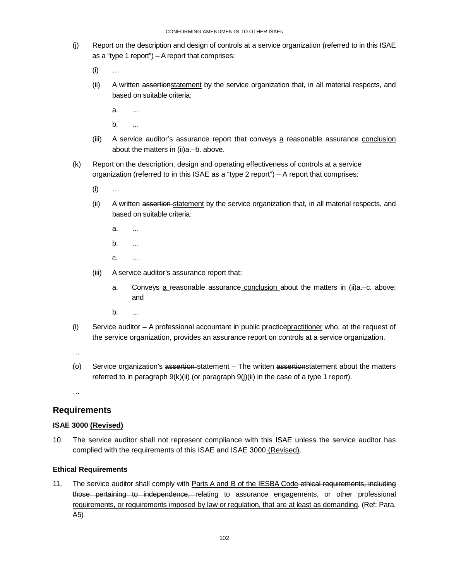- (j) Report on the description and design of controls at a service organization (referred to in this ISAE as a "type 1 report") – A report that comprises:
	- (i) …
	- (ii) A written assertionstatement by the service organization that, in all material respects, and based on suitable criteria:
		- a. …
		- b. …
	- (iii) A service auditor's assurance report that conveys a reasonable assurance conclusion about the matters in (ii)a.–b. above.
- (k) Report on the description, design and operating effectiveness of controls at a service organization (referred to in this ISAE as a "type 2 report") – A report that comprises:
	- (i) …
	- (ii) A written assertion statement by the service organization that, in all material respects, and based on suitable criteria:
		- a. …
		- b. …
		- c. …
	- (iii) A service auditor's assurance report that:
		- a. Conveys a reasonable assurance conclusion about the matters in (ii)a.–c. above; and
		- b. …
- (I) Service auditor A professional accountant in public practice practitioner who, at the request of the service organization, provides an assurance report on controls at a service organization.
- …
- (o) Service organization's assertion statement The written assertionstatement about the matters referred to in paragraph  $9(k)(ii)$  (or paragraph  $9(i)(ii)$  in the case of a type 1 report).
- …

# **Requirements**

### **ISAE 3000 (Revised)**

10. The service auditor shall not represent compliance with this ISAE unless the service auditor has complied with the requirements of this ISAE and ISAE 3000 (Revised).

### **Ethical Requirements**

11. The service auditor shall comply with Parts A and B of the IESBA Code ethical requirements, including those pertaining to independence, relating to assurance engagements, or other professional requirements, or requirements imposed by law or regulation, that are at least as demanding. (Ref: Para. A5)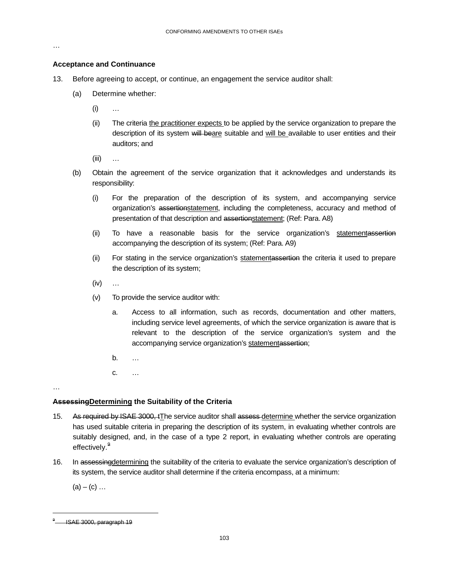# **Acceptance and Continuance**

…

- 13. Before agreeing to accept, or continue, an engagement the service auditor shall:
	- (a) Determine whether:
		- (i) …
		- (ii) The criteria the practitioner expects to be applied by the service organization to prepare the description of its system will beare suitable and will be available to user entities and their auditors; and
		- (iii) …
	- (b) Obtain the agreement of the service organization that it acknowledges and understands its responsibility:
		- (i) For the preparation of the description of its system, and accompanying service organization's assertionstatement, including the completeness, accuracy and method of presentation of that description and assertionstatement; (Ref: Para. A8)
		- (ii) To have a reasonable basis for the service organization's statementassertion accompanying the description of its system; (Ref: Para. A9)
		- (ii) For stating in the service organization's statementassertion the criteria it used to prepare the description of its system;
		- (iv) …
		- (v) To provide the service auditor with:
			- a. Access to all information, such as records, documentation and other matters, including service level agreements, of which the service organization is aware that is relevant to the description of the service organization's system and the accompanying service organization's statementassertion;
			- b. …
			- c. …

…

<span id="page-102-0"></span> $\overline{\phantom{a}}$ 

# **AssessingDetermining the Suitability of the Criteria**

- 15. As required by ISAE 3000, tThe service auditor shall assess determine whether the service organization has used suitable criteria in preparing the description of its system, in evaluating whether controls are suitably designed, and, in the case of a type 2 report, in evaluating whether controls are operating effectively.<sup>[9](#page-100-2)</sup>
- 16. In assessing determining the suitability of the criteria to evaluate the service organization's description of its system, the service auditor shall determine if the criteria encompass, at a minimum:

 $(a) - (c) \dots$ 

ISAE 3000, paragraph 19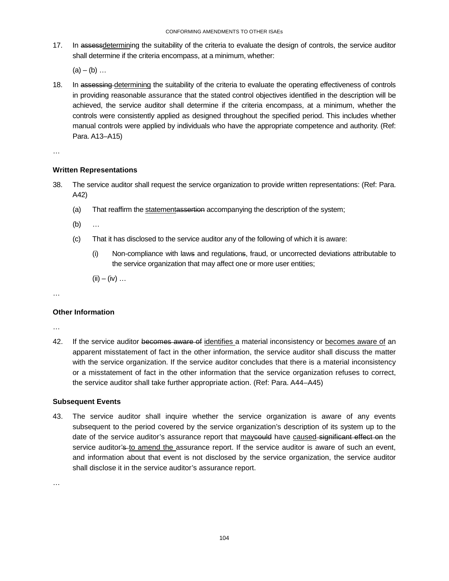17. In assessdetermining the suitability of the criteria to evaluate the design of controls, the service auditor shall determine if the criteria encompass, at a minimum, whether:

 $(a) - (b)$  ...

18. In assessing determining the suitability of the criteria to evaluate the operating effectiveness of controls in providing reasonable assurance that the stated control objectives identified in the description will be achieved, the service auditor shall determine if the criteria encompass, at a minimum, whether the controls were consistently applied as designed throughout the specified period. This includes whether manual controls were applied by individuals who have the appropriate competence and authority. (Ref: Para. A13–A15)

…

### **Written Representations**

- 38. The service auditor shall request the service organization to provide written representations: (Ref: Para. A42)
	- (a) That reaffirm the statementassertion accompanying the description of the system;
	- (b) …
	- (c) That it has disclosed to the service auditor any of the following of which it is aware:
		- (i) Non-compliance with laws and regulations, fraud, or uncorrected deviations attributable to the service organization that may affect one or more user entities;

 $(ii) - (iv) \dots$ 

…

# **Other Information**

…

42. If the service auditor becomes aware of identifies a material inconsistency or becomes aware of an apparent misstatement of fact in the other information, the service auditor shall discuss the matter with the service organization. If the service auditor concludes that there is a material inconsistency or a misstatement of fact in the other information that the service organization refuses to correct, the service auditor shall take further appropriate action. (Ref: Para. A44–A45)

### **Subsequent Events**

43. The service auditor shall inquire whether the service organization is aware of any events subsequent to the period covered by the service organization's description of its system up to the date of the service auditor's assurance report that maycould have caused significant effect on the service auditor's to amend the assurance report. If the service auditor is aware of such an event, and information about that event is not disclosed by the service organization, the service auditor shall disclose it in the service auditor's assurance report.

…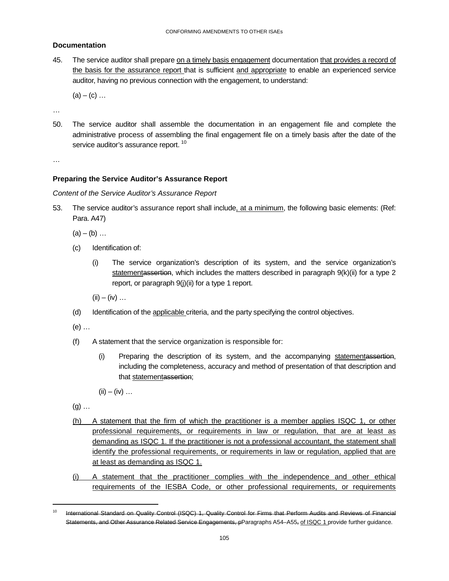### **Documentation**

45. The service auditor shall prepare on a timely basis engagement documentation that provides a record of the basis for the assurance report that is sufficient and appropriate to enable an experienced service auditor, having no previous connection with the engagement, to understand:

 $(a) - (c) \ldots$ 

…

50. The service auditor shall assemble the documentation in an engagement file and complete the administrative process of assembling the final engagement file on a timely basis after the date of the service auditor's assurance report.<sup>[10](#page-102-0)</sup>

…

# **Preparing the Service Auditor's Assurance Report**

*Content of the Service Auditor's Assurance Report*

53. The service auditor's assurance report shall include, at a minimum, the following basic elements: (Ref: Para. A47)

 $(a) - (b) ...$ 

- (c) Identification of:
	- (i) The service organization's description of its system, and the service organization's statementassertion, which includes the matters described in paragraph 9(k)(ii) for a type 2 report, or paragraph 9(j)(ii) for a type 1 report.

 $(ii) - (iv) \dots$ 

(d) Identification of the applicable criteria, and the party specifying the control objectives.

(e) …

- (f) A statement that the service organization is responsible for:
	- (i) Preparing the description of its system, and the accompanying statementassertion, including the completeness, accuracy and method of presentation of that description and that statementassertion;

 $(ii) - (iv) \dots$ 

 $(g)$  ...

<span id="page-104-0"></span> $\overline{\phantom{a}}$ 

- (h) A statement that the firm of which the practitioner is a member applies ISQC 1, or other professional requirements, or requirements in law or regulation, that are at least as demanding as ISQC 1. If the practitioner is not a professional accountant, the statement shall identify the professional requirements, or requirements in law or regulation, applied that are at least as demanding as ISQC 1.
- (i) A statement that the practitioner complies with the independence and other ethical requirements of the IESBA Code, or other professional requirements, or requirements

<sup>&</sup>lt;sup>10</sup> International Standard on Quality Control (ISQC) 1, Quality Control for Firms that Perform Audits and Reviews of Financial Statements, and Other Assurance Related Service Engagements, pParagraphs A54-A55, of ISQC 1 provide further guidance.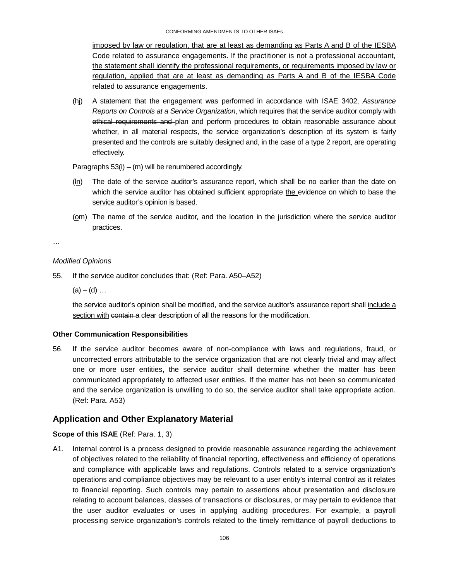imposed by law or regulation, that are at least as demanding as Parts A and B of the IESBA Code related to assurance engagements. If the practitioner is not a professional accountant, the statement shall identify the professional requirements, or requirements imposed by law or regulation, applied that are at least as demanding as Parts A and B of the IESBA Code related to assurance engagements.

(hj) A statement that the engagement was performed in accordance with ISAE 3402, *Assurance Reports on Controls at a Service Organization*, which requires that the service auditor comply with ethical requirements and plan and perform procedures to obtain reasonable assurance about whether, in all material respects, the service organization's description of its system is fairly presented and the controls are suitably designed and, in the case of a type 2 report, are operating effectively.

Paragraphs  $53(i) - (m)$  will be renumbered accordingly.

- (ln) The date of the service auditor's assurance report, which shall be no earlier than the date on which the service auditor has obtained sufficient appropriate the evidence on which to base the service auditor's opinion is based.
- (om) The name of the service auditor, and the location in the jurisdiction where the service auditor practices.

…

### *Modified Opinions*

55. If the service auditor concludes that: (Ref: Para. A50–A52)

 $(a) - (d)$  ...

the service auditor's opinion shall be modified, and the service auditor's assurance report shall include a section with contain a clear description of all the reasons for the modification.

### **Other Communication Responsibilities**

56. If the service auditor becomes aware of non-compliance with laws and regulations, fraud, or uncorrected errors attributable to the service organization that are not clearly trivial and may affect one or more user entities, the service auditor shall determine whether the matter has been communicated appropriately to affected user entities. If the matter has not been so communicated and the service organization is unwilling to do so, the service auditor shall take appropriate action. (Ref: Para. A53)

# **Application and Other Explanatory Material**

**Scope of this ISAE** (Ref: Para. 1, 3)

A1. Internal control is a process designed to provide reasonable assurance regarding the achievement of objectives related to the reliability of financial reporting, effectiveness and efficiency of operations and compliance with applicable laws and regulations. Controls related to a service organization's operations and compliance objectives may be relevant to a user entity's internal control as it relates to financial reporting. Such controls may pertain to assertions about presentation and disclosure relating to account balances, classes of transactions or disclosures, or may pertain to evidence that the user auditor evaluates or uses in applying auditing procedures. For example, a payroll processing service organization's controls related to the timely remittance of payroll deductions to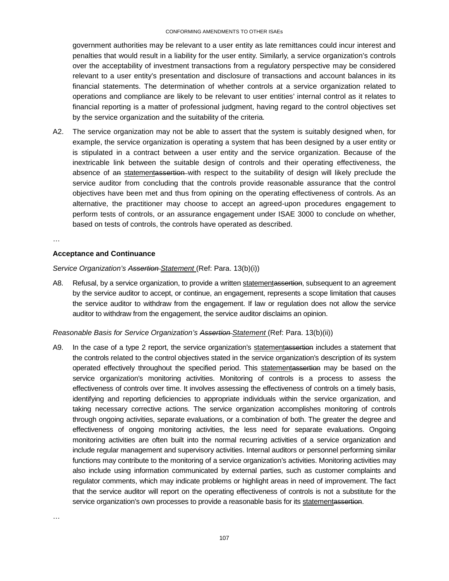government authorities may be relevant to a user entity as late remittances could incur interest and penalties that would result in a liability for the user entity. Similarly, a service organization's controls over the acceptability of investment transactions from a regulatory perspective may be considered relevant to a user entity's presentation and disclosure of transactions and account balances in its financial statements. The determination of whether controls at a service organization related to operations and compliance are likely to be relevant to user entities' internal control as it relates to financial reporting is a matter of professional judgment, having regard to the control objectives set by the service organization and the suitability of the criteria*.*

A2. The service organization may not be able to assert that the system is suitably designed when, for example, the service organization is operating a system that has been designed by a user entity or is stipulated in a contract between a user entity and the service organization. Because of the inextricable link between the suitable design of controls and their operating effectiveness, the absence of an statementassertion with respect to the suitability of design will likely preclude the service auditor from concluding that the controls provide reasonable assurance that the control objectives have been met and thus from opining on the operating effectiveness of controls. As an alternative, the practitioner may choose to accept an agreed-upon procedures engagement to perform tests of controls, or an assurance engagement under ISAE 3000 to conclude on whether, based on tests of controls, the controls have operated as described.

…

…

### **Acceptance and Continuance**

### *Service Organization's Assertion Statement* (Ref: Para. 13(b)(i))

A8. Refusal, by a service organization, to provide a written statementassertion, subsequent to an agreement by the service auditor to accept, or continue, an engagement, represents a scope limitation that causes the service auditor to withdraw from the engagement. If law or regulation does not allow the service auditor to withdraw from the engagement, the service auditor disclaims an opinion.

### *Reasonable Basis for Service Organization's Assertion-Statement* (Ref: Para. 13(b)(ii))

A9. In the case of a type 2 report, the service organization's statementassertion includes a statement that the controls related to the control objectives stated in the service organization's description of its system operated effectively throughout the specified period. This statementassertion may be based on the service organization's monitoring activities. Monitoring of controls is a process to assess the effectiveness of controls over time. It involves assessing the effectiveness of controls on a timely basis, identifying and reporting deficiencies to appropriate individuals within the service organization, and taking necessary corrective actions. The service organization accomplishes monitoring of controls through ongoing activities, separate evaluations, or a combination of both. The greater the degree and effectiveness of ongoing monitoring activities, the less need for separate evaluations. Ongoing monitoring activities are often built into the normal recurring activities of a service organization and include regular management and supervisory activities. Internal auditors or personnel performing similar functions may contribute to the monitoring of a service organization's activities. Monitoring activities may also include using information communicated by external parties, such as customer complaints and regulator comments, which may indicate problems or highlight areas in need of improvement. The fact that the service auditor will report on the operating effectiveness of controls is not a substitute for the service organization's own processes to provide a reasonable basis for its statementassertion.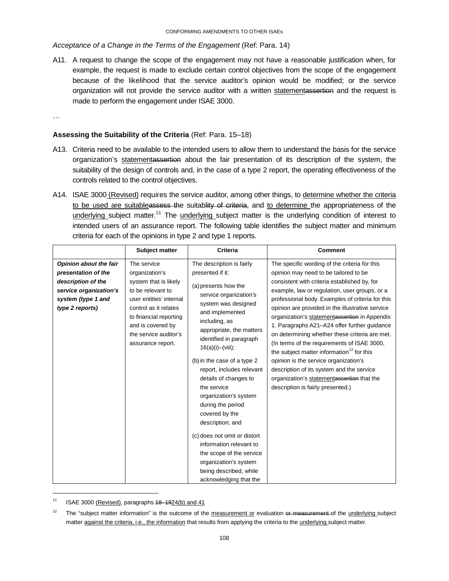*Acceptance of a Change in the Terms of the Engagement* (Ref: Para. 14)

A11. A request to change the scope of the engagement may not have a reasonable justification when, for example, the request is made to exclude certain control objectives from the scope of the engagement because of the likelihood that the service auditor's opinion would be modified; or the service organization will not provide the service auditor with a written statementassertion and the request is made to perform the engagement under ISAE 3000.

…

 $\overline{\phantom{a}}$ 

# **Assessing the Suitability of the Criteria** (Ref: Para. 15–18)

- A13. Criteria need to be available to the intended users to allow them to understand the basis for the service organization's statementassertion about the fair presentation of its description of the system, the suitability of the design of controls and, in the case of a type 2 report, the operating effectiveness of the controls related to the control objectives.
- A14. ISAE 3000 (Revised) requires the service auditor, among other things, to determine whether the criteria to be used are suitableassess the suitablity of criteria, and to determine the appropriateness of the underlying subject matter.<sup>[11](#page-104-0)</sup> The underlying subject matter is the underlying condition of interest to intended users of an assurance report. The following table identifies the subject matter and minimum criteria for each of the opinions in type 2 and type 1 reports.

|                                                                                                                                               | Subject matter                                                                                                                                                                                                               | <b>Criteria</b>                                                                                                                                                                                                                                                                                                                                                                                                                                                                                                                                                                                       | <b>Comment</b>                                                                                                                                                                                                                                                                                                                                                                                                                                                                                                                                                                                                                                                                                                                      |
|-----------------------------------------------------------------------------------------------------------------------------------------------|------------------------------------------------------------------------------------------------------------------------------------------------------------------------------------------------------------------------------|-------------------------------------------------------------------------------------------------------------------------------------------------------------------------------------------------------------------------------------------------------------------------------------------------------------------------------------------------------------------------------------------------------------------------------------------------------------------------------------------------------------------------------------------------------------------------------------------------------|-------------------------------------------------------------------------------------------------------------------------------------------------------------------------------------------------------------------------------------------------------------------------------------------------------------------------------------------------------------------------------------------------------------------------------------------------------------------------------------------------------------------------------------------------------------------------------------------------------------------------------------------------------------------------------------------------------------------------------------|
| <b>Opinion about the fair</b><br>presentation of the<br>description of the<br>service organization's<br>system (type 1 and<br>type 2 reports) | The service<br>organization's<br>system that is likely<br>to be relevant to<br>user entities' internal<br>control as it relates<br>to financial reporting<br>and is covered by<br>the service auditor's<br>assurance report. | The description is fairly<br>presented if it:<br>(a) presents how the<br>service organization's<br>system was designed<br>and implemented<br>including, as<br>appropriate, the matters<br>identified in paragraph<br>$16(a)(i) - (viii);$<br>(b) in the case of a type 2<br>report, includes relevant<br>details of changes to<br>the service<br>organization's system<br>during the period<br>covered by the<br>description; and<br>(c) does not omit or distort<br>information relevant to<br>the scope of the service<br>organization's system<br>being described, while<br>acknowledging that the | The specific wording of the criteria for this<br>opinion may need to be tailored to be<br>consistent with criteria established by, for<br>example, law or regulation, user groups, or a<br>professional body. Examples of criteria for this<br>opinion are provided in the illustrative service<br>organization's statementassertion in Appendix<br>1. Paragraphs A21-A24 offer further guidance<br>on determining whether these criteria are met.<br>(In terms of the requirements of ISAE 3000,<br>the subject matter information <sup>12</sup> for this<br>opinion is the service organization's<br>description of its system and the service<br>organization's statementassertion that the<br>description is fairly presented.) |

<sup>&</sup>lt;sup>11</sup> ISAE 3000 (Revised), paragraphs  $18-1924(b)$  and  $41$ 

<span id="page-107-0"></span><sup>&</sup>lt;sup>12</sup> The "subject matter information" is the outcome of the measurement or evaluation or measurement of the underlying subject matter against the criteria, i.e., the information that results from applying the criteria to the underlying subject matter.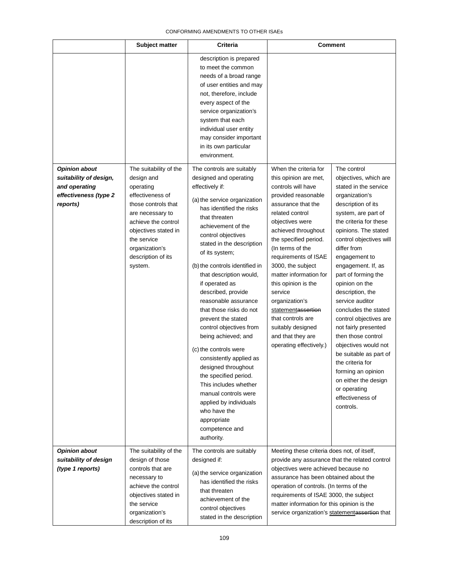#### CONFORMING AMENDMENTS TO OTHER ISAEs

|                                                                                                      | Subject matter                                                                                                                                                                                                                    | <b>Criteria</b>                                                                                                                                                                                                                                                                                                                                                                                                                                                                                                                                                                                                                                                                                                              | <b>Comment</b>                                                                                                                                                                                                                                                                                                                                                                                                                                                                                                                                                                                                                                                                                                                                                                                                                                                                                                                                                                                                                                                                                 |  |
|------------------------------------------------------------------------------------------------------|-----------------------------------------------------------------------------------------------------------------------------------------------------------------------------------------------------------------------------------|------------------------------------------------------------------------------------------------------------------------------------------------------------------------------------------------------------------------------------------------------------------------------------------------------------------------------------------------------------------------------------------------------------------------------------------------------------------------------------------------------------------------------------------------------------------------------------------------------------------------------------------------------------------------------------------------------------------------------|------------------------------------------------------------------------------------------------------------------------------------------------------------------------------------------------------------------------------------------------------------------------------------------------------------------------------------------------------------------------------------------------------------------------------------------------------------------------------------------------------------------------------------------------------------------------------------------------------------------------------------------------------------------------------------------------------------------------------------------------------------------------------------------------------------------------------------------------------------------------------------------------------------------------------------------------------------------------------------------------------------------------------------------------------------------------------------------------|--|
|                                                                                                      |                                                                                                                                                                                                                                   | description is prepared<br>to meet the common<br>needs of a broad range<br>of user entities and may<br>not, therefore, include<br>every aspect of the<br>service organization's<br>system that each<br>individual user entity<br>may consider important<br>in its own particular<br>environment.                                                                                                                                                                                                                                                                                                                                                                                                                             |                                                                                                                                                                                                                                                                                                                                                                                                                                                                                                                                                                                                                                                                                                                                                                                                                                                                                                                                                                                                                                                                                                |  |
| <b>Opinion about</b><br>suitability of design,<br>and operating<br>effectiveness (type 2<br>reports) | The suitability of the<br>design and<br>operating<br>effectiveness of<br>those controls that<br>are necessary to<br>achieve the control<br>objectives stated in<br>the service<br>organization's<br>description of its<br>system. | The controls are suitably<br>designed and operating<br>effectively if:<br>(a) the service organization<br>has identified the risks<br>that threaten<br>achievement of the<br>control objectives<br>stated in the description<br>of its system;<br>(b) the controls identified in<br>that description would,<br>if operated as<br>described, provide<br>reasonable assurance<br>that those risks do not<br>prevent the stated<br>control objectives from<br>being achieved; and<br>(c) the controls were<br>consistently applied as<br>designed throughout<br>the specified period.<br>This includes whether<br>manual controls were<br>applied by individuals<br>who have the<br>appropriate<br>competence and<br>authority. | The control<br>When the criteria for<br>this opinion are met,<br>objectives, which are<br>controls will have<br>stated in the service<br>provided reasonable<br>organization's<br>assurance that the<br>description of its<br>related control<br>system, are part of<br>the criteria for these<br>objectives were<br>achieved throughout<br>opinions. The stated<br>the specified period.<br>control objectives will<br>(In terms of the<br>differ from<br>requirements of ISAE<br>engagement to<br>3000, the subject<br>engagement. If, as<br>matter information for<br>part of forming the<br>this opinion is the<br>opinion on the<br>service<br>description, the<br>organization's<br>service auditor<br>statementassertion<br>concludes the stated<br>that controls are<br>control objectives are<br>suitably designed<br>not fairly presented<br>and that they are<br>then those control<br>operating effectively.)<br>objectives would not<br>be suitable as part of<br>the criteria for<br>forming an opinion<br>on either the design<br>or operating<br>effectiveness of<br>controls. |  |
| <b>Opinion about</b><br>suitability of design<br>(type 1 reports)                                    | The suitability of the<br>design of those<br>controls that are<br>necessary to<br>achieve the control<br>objectives stated in<br>the service<br>organization's<br>description of its                                              | The controls are suitably<br>designed if:<br>(a) the service organization<br>has identified the risks<br>that threaten<br>achievement of the<br>control objectives<br>stated in the description                                                                                                                                                                                                                                                                                                                                                                                                                                                                                                                              | Meeting these criteria does not, of itself,<br>provide any assurance that the related control<br>objectives were achieved because no<br>assurance has been obtained about the<br>operation of controls. (In terms of the<br>requirements of ISAE 3000, the subject<br>matter information for this opinion is the<br>service organization's statementassertion that                                                                                                                                                                                                                                                                                                                                                                                                                                                                                                                                                                                                                                                                                                                             |  |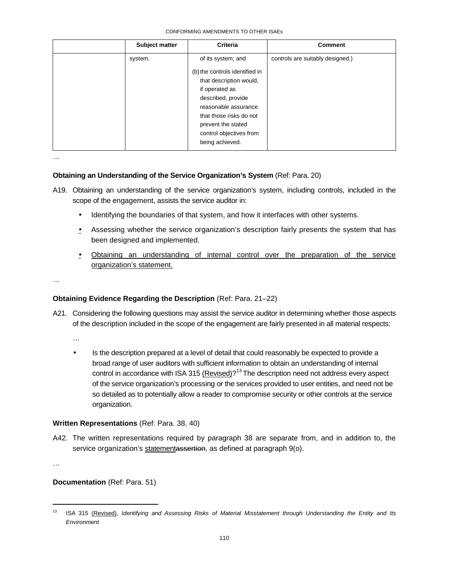| Subject matter | <b>Criteria</b>                | <b>Comment</b>                   |
|----------------|--------------------------------|----------------------------------|
| system.        | of its system; and             | controls are suitably designed.) |
|                | (b) the controls identified in |                                  |
|                | that description would,        |                                  |
|                | if operated as                 |                                  |
|                | described, provide             |                                  |
|                | reasonable assurance           |                                  |
|                | that those risks do not        |                                  |
|                | prevent the stated             |                                  |
|                | control objectives from        |                                  |
|                | being achieved.                |                                  |

…

# **Obtaining an Understanding of the Service Organization's System** (Ref: Para. 20)

- A19. Obtaining an understanding of the service organization's system, including controls, included in the scope of the engagement, assists the service auditor in:
	- Identifying the boundaries of that system, and how it interfaces with other systems.
	- Assessing whether the service organization's description fairly presents the system that has been designed and implemented.
	- Obtaining an understanding of internal control over the preparation of the service organization's statement.

…

# **Obtaining Evidence Regarding the Description** (Ref: Para. 21–22)

A21. Considering the following questions may assist the service auditor in determining whether those aspects of the description included in the scope of the engagement are fairly presented in all material respects:

…

Is the description prepared at a level of detail that could reasonably be expected to provide a broad range of user auditors with sufficient information to obtain an understanding of internal control in accordance with ISA 315 (Revised)?<sup>[13](#page-107-0)</sup> The description need not address every aspect of the service organization's processing or the services provided to user entities, and need not be so detailed as to potentially allow a reader to compromise security or other controls at the service organization.

### **Written Representations** (Ref: Para. 38, 40)

A42. The written representations required by paragraph 38 are separate from, and in addition to, the service organization's statementassertion, as defined at paragraph 9(o).

…

 $\overline{\phantom{a}}$ 

# **Documentation** (Ref: Para. 51)

<span id="page-109-0"></span><sup>&</sup>lt;sup>13</sup> ISA 315 (Revised), *Identifying and Assessing Risks of Material Misstatement through Understanding the Entity and Its Environment*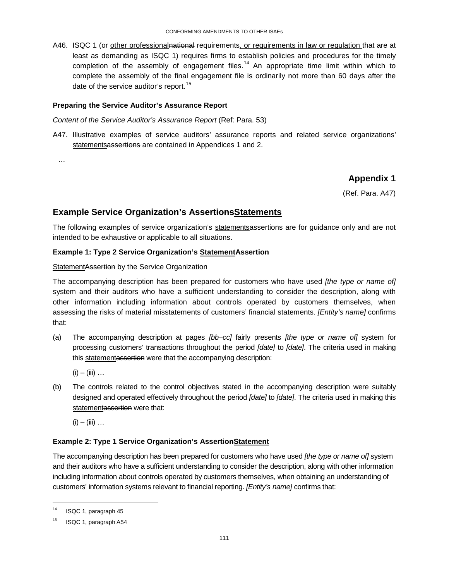A46. ISQC 1 (or other professionalnational requirements, or requirements in law or regulation that are at least as demanding as ISQC 1) requires firms to establish policies and procedures for the timely completion of the assembly of engagement files.<sup>[14](#page-109-0)</sup> An appropriate time limit within which to complete the assembly of the final engagement file is ordinarily not more than 60 days after the date of the service auditor's report.<sup>[15](#page-110-0)</sup>

### **Preparing the Service Auditor's Assurance Report**

*Content of the Service Auditor's Assurance Report* (Ref: Para. 53)

A47. Illustrative examples of service auditors' assurance reports and related service organizations' statementsassertions are contained in Appendices 1 and 2.

…

# **Appendix 1**

(Ref. Para. A47)

# **Example Service Organization's AssertionsStatements**

The following examples of service organization's statementsassertions are for guidance only and are not intended to be exhaustive or applicable to all situations.

### **Example 1: Type 2 Service Organization's StatementAssertion**

### StatementAssertion by the Service Organization

The accompanying description has been prepared for customers who have used *[the type or name of]* system and their auditors who have a sufficient understanding to consider the description, along with other information including information about controls operated by customers themselves, when assessing the risks of material misstatements of customers' financial statements. *[Entity's name]* confirms that:

(a) The accompanying description at pages *[bb–cc]* fairly presents *[the type or name of]* system for processing customers' transactions throughout the period *[date]* to *[date]*. The criteria used in making this statementassertion were that the accompanying description:

 $(i) - (iii) \dots$ 

(b) The controls related to the control objectives stated in the accompanying description were suitably designed and operated effectively throughout the period *[date]* to *[date]*. The criteria used in making this statementassertion were that:

 $(i) - (iii) \ldots$ 

# **Example 2: Type 1 Service Organization's AssertionStatement**

The accompanying description has been prepared for customers who have used *[the type or name of]* system and their auditors who have a sufficient understanding to consider the description, along with other information including information about controls operated by customers themselves, when obtaining an understanding of customers' information systems relevant to financial reporting. *[Entity's name]* confirms that:

<span id="page-110-1"></span><sup>14</sup> ISQC 1, paragraph 45

<span id="page-110-0"></span><sup>15</sup> ISQC 1, paragraph A54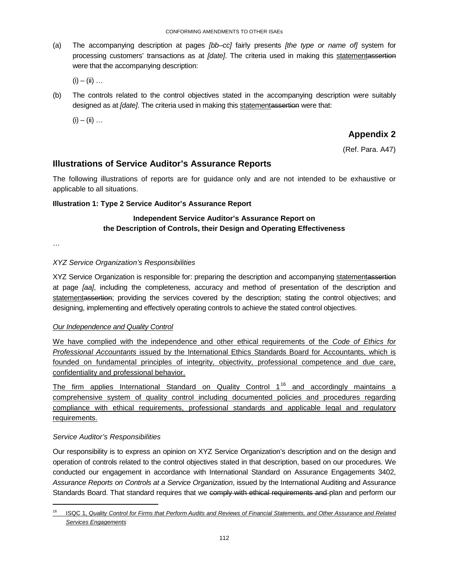(a) The accompanying description at pages *[bb–cc]* fairly presents *[the type or name of]* system for processing customers' transactions as at *[date]*. The criteria used in making this statementassertion were that the accompanying description:

 $(i) - (ii) \ldots$ 

(b) The controls related to the control objectives stated in the accompanying description were suitably designed as at *[date]*. The criteria used in making this statementassertion were that:

 $(i) - (ii) \ldots$ 

# **Appendix 2**

(Ref. Para. A47)

# **Illustrations of Service Auditor's Assurance Reports**

The following illustrations of reports are for guidance only and are not intended to be exhaustive or applicable to all situations.

### **Illustration 1: Type 2 Service Auditor's Assurance Report**

# **Independent Service Auditor's Assurance Report on the Description of Controls, their Design and Operating Effectiveness**

…

 $\overline{\phantom{a}}$ 

### *XYZ Service Organization's Responsibilities*

XYZ Service Organization is responsible for: preparing the description and accompanying statementassertion at page *[aa]*, including the completeness, accuracy and method of presentation of the description and statementassertion; providing the services covered by the description; stating the control objectives; and designing, implementing and effectively operating controls to achieve the stated control objectives.

### *Our Independence and Quality Control*

We have complied with the independence and other ethical requirements of the *Code of Ethics for Professional Accountants* issued by the International Ethics Standards Board for Accountants, which is founded on fundamental principles of integrity, objectivity, professional competence and due care, confidentiality and professional behavior.

The firm applies International Standard on Quality Control 1<sup>[16](#page-110-1)</sup> and accordingly maintains a comprehensive system of quality control including documented policies and procedures regarding compliance with ethical requirements, professional standards and applicable legal and regulatory requirements.

# *Service Auditor's Responsibilities*

Our responsibility is to express an opinion on XYZ Service Organization's description and on the design and operation of controls related to the control objectives stated in that description, based on our procedures. We conducted our engagement in accordance with International Standard on Assurance Engagements 3402, *Assurance Reports on Controls at a Service Organization*, issued by the International Auditing and Assurance Standards Board. That standard requires that we comply with ethical requirements and plan and perform our

<span id="page-111-0"></span><sup>16</sup> ISQC 1, *Quality Control for Firms that Perform Audits and Reviews of Financial Statements, and Other Assurance and Related Services Engagements*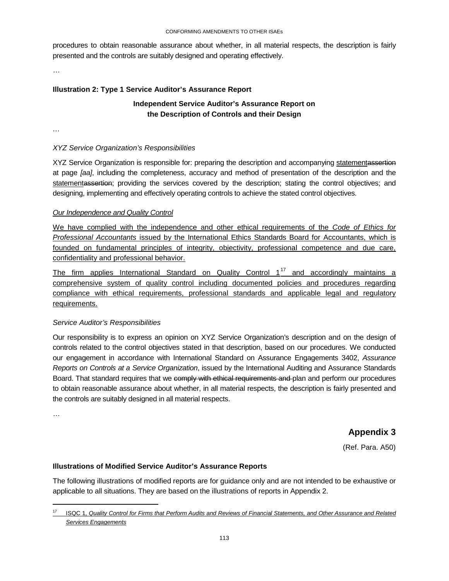procedures to obtain reasonable assurance about whether, in all material respects, the description is fairly presented and the controls are suitably designed and operating effectively.

…

### **Illustration 2: Type 1 Service Auditor's Assurance Report**

# **Independent Service Auditor's Assurance Report on the Description of Controls and their Design**

*…*

### *XYZ Service Organization's Responsibilities*

XYZ Service Organization is responsible for: preparing the description and accompanying statementassertion at page *[aa]*, including the completeness, accuracy and method of presentation of the description and the statementassertion; providing the services covered by the description; stating the control objectives; and designing, implementing and effectively operating controls to achieve the stated control objectives.

### *Our Independence and Quality Control*

We have complied with the independence and other ethical requirements of the *Code of Ethics for Professional Accountants* issued by the International Ethics Standards Board for Accountants, which is founded on fundamental principles of integrity, objectivity, professional competence and due care, confidentiality and professional behavior.

The firm applies International Standard on Quality Control  $1^{17}$  $1^{17}$  $1^{17}$  and accordingly maintains a comprehensive system of quality control including documented policies and procedures regarding compliance with ethical requirements, professional standards and applicable legal and regulatory requirements.

# *Service Auditor's Responsibilities*

Our responsibility is to express an opinion on XYZ Service Organization's description and on the design of controls related to the control objectives stated in that description, based on our procedures. We conducted our engagement in accordance with International Standard on Assurance Engagements 3402, *Assurance Reports on Controls at a Service Organization*, issued by the International Auditing and Assurance Standards Board. That standard requires that we comply with ethical requirements and plan and perform our procedures to obtain reasonable assurance about whether, in all material respects, the description is fairly presented and the controls are suitably designed in all material respects.

…

 $\overline{\phantom{a}}$ 

# **Appendix 3**

(Ref. Para. A50)

# <span id="page-112-0"></span>**Illustrations of Modified Service Auditor's Assurance Reports**

The following illustrations of modified reports are for guidance only and are not intended to be exhaustive or applicable to all situations. They are based on the illustrations of reports in Appendix 2.

<sup>17</sup> ISQC 1, *Quality Control for Firms that Perform Audits and Reviews of Financial Statements, and Other Assurance and Related Services Engagements*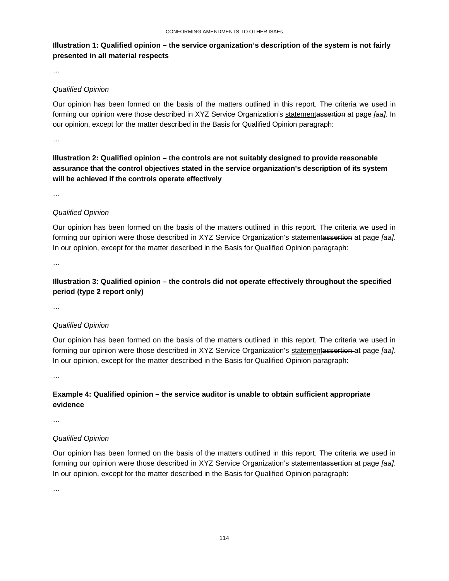# **Illustration 1: Qualified opinion – the service organization's description of the system is not fairly presented in all material respects**

…

### *Qualified Opinion*

Our opinion has been formed on the basis of the matters outlined in this report. The criteria we used in forming our opinion were those described in XYZ Service Organization's statementassertion at page *[aa]*. In our opinion, except for the matter described in the Basis for Qualified Opinion paragraph:

…

**Illustration 2: Qualified opinion – the controls are not suitably designed to provide reasonable assurance that the control objectives stated in the service organization's description of its system will be achieved if the controls operate effectively**

…

# *Qualified Opinion*

Our opinion has been formed on the basis of the matters outlined in this report. The criteria we used in forming our opinion were those described in XYZ Service Organization's statementassertion at page *[aa]*. In our opinion, except for the matter described in the Basis for Qualified Opinion paragraph:

…

# **Illustration 3: Qualified opinion – the controls did not operate effectively throughout the specified period (type 2 report only)**

…

# *Qualified Opinion*

Our opinion has been formed on the basis of the matters outlined in this report. The criteria we used in forming our opinion were those described in XYZ Service Organization's statementassertion at page *[aa]*. In our opinion, except for the matter described in the Basis for Qualified Opinion paragraph:

…

# **Example 4: Qualified opinion – the service auditor is unable to obtain sufficient appropriate evidence**

…

# *Qualified Opinion*

Our opinion has been formed on the basis of the matters outlined in this report. The criteria we used in forming our opinion were those described in XYZ Service Organization's statementassertion at page *[aa]*. In our opinion, except for the matter described in the Basis for Qualified Opinion paragraph:

…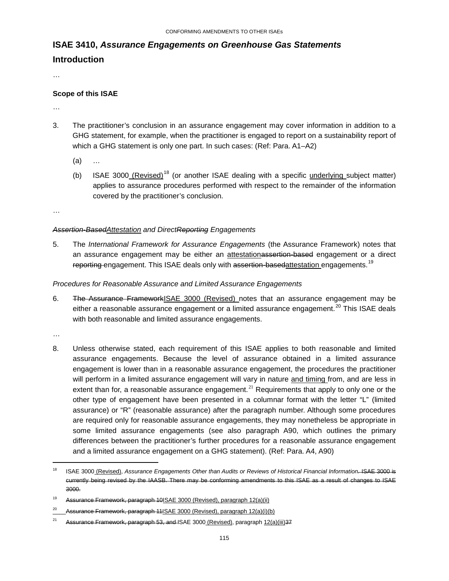# **ISAE 3410,** *Assurance Engagements on Greenhouse Gas Statements* **Introduction**

…

### **Scope of this ISAE**

…

- 3. The practitioner's conclusion in an assurance engagement may cover information in addition to a GHG statement, for example, when the practitioner is engaged to report on a sustainability report of which a GHG statement is only one part. In such cases: (Ref: Para. A1–A2)
	- $(a)$
	- (b) ISAE 3000 (Revised)<sup>[18](#page-112-0)</sup> (or another ISAE dealing with a specific underlying subject matter) applies to assurance procedures performed with respect to the remainder of the information covered by the practitioner's conclusion.

…

### *Assertion-BasedAttestation and DirectReporting Engagements*

5. The *International Framework for Assurance Engagements* (the Assurance Framework) notes that an assurance engagement may be either an attestationassertion-based engagement or a direct reporting engagement. This ISAE deals only with assertion-basedattestation engagements.<sup>[19](#page-114-0)</sup>

### *Procedures for Reasonable Assurance and Limited Assurance Engagements*

6. The Assurance FrameworkISAE 3000 (Revised) notes that an assurance engagement may be either a reasonable assurance engagement or a limited assurance engagement.<sup>[20](#page-114-1)</sup> This ISAE deals with both reasonable and limited assurance engagements.

…

 $\overline{\phantom{a}}$ 

8. Unless otherwise stated, each requirement of this ISAE applies to both reasonable and limited assurance engagements. Because the level of assurance obtained in a limited assurance engagement is lower than in a reasonable assurance engagement, the procedures the practitioner will perform in a limited assurance engagement will vary in nature and timing from, and are less in extent than for, a reasonable assurance engagement.<sup>[21](#page-114-2)</sup> Requirements that apply to only one or the other type of engagement have been presented in a columnar format with the letter "L" (limited assurance) or "R" (reasonable assurance) after the paragraph number. Although some procedures are required only for reasonable assurance engagements, they may nonetheless be appropriate in some limited assurance engagements (see also paragraph A90, which outlines the primary differences between the practitioner's further procedures for a reasonable assurance engagement and a limited assurance engagement on a GHG statement). (Ref: Para. A4, A90)

<sup>&</sup>lt;sup>18</sup> ISAE 3000 (Revised), Assurance Engagements Other than Audits or Reviews of Historical Financial Information. ISAE 3000 is currently being revised by the IAASB. There may be conforming amendments to this ISAE as a result of changes to ISAE 3000.

<span id="page-114-3"></span><span id="page-114-0"></span><sup>&</sup>lt;sup>19</sup> Assurance Framework, paragraph 10ISAE 3000 (Revised), paragraph 12(a)(ii)

<span id="page-114-1"></span><sup>&</sup>lt;sup>20</sup> Assurance Framework, paragraph 11ISAE 3000 (Revised), paragraph 12(a)(i)(b)

<span id="page-114-2"></span><sup>&</sup>lt;sup>21</sup> Assurance Framework, paragraph 53, and ISAE 3000 (Revised), paragraph 12(a)(iii)37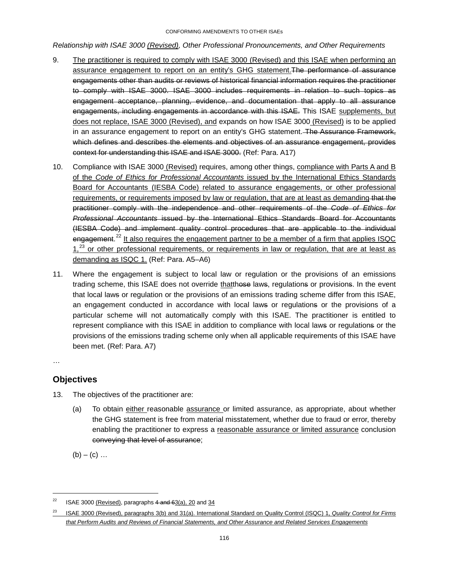*Relationship with ISAE 3000 (Revised), Other Professional Pronouncements, and Other Requirements*

- 9. The practitioner is required to comply with ISAE 3000 (Revised) and this ISAE when performing an assurance engagement to report on an entity's GHG statement.The performance of assurance engagements other than audits or reviews of historical financial information requires the practitioner to comply with ISAE 3000. ISAE 3000 includes requirements in relation to such topics as engagement acceptance, planning, evidence, and documentation that apply to all assurance engagements, including engagements in accordance with this ISAE. This ISAE supplements, but does not replace, ISAE 3000 (Revised), and expands on how ISAE 3000 (Revised) is to be applied in an assurance engagement to report on an entity's GHG statement. The Assurance Framework, which defines and describes the elements and objectives of an assurance engagement, provides context for understanding this ISAE and ISAE 3000. (Ref: Para. A17)
- 10. Compliance with ISAE 3000 (Revised) requires, among other things, compliance with Parts A and B of the *Code of Ethics for Professional Accountants* issued by the International Ethics Standards Board for Accountants (IESBA Code) related to assurance engagements, or other professional requirements, or requirements imposed by law or regulation, that are at least as demanding that the practitioner comply with the independence and other requirements of the *Code of Ethics for Professional Accountants* issued by the International Ethics Standards Board for Accountants (IESBA Code) and implement quality control procedures that are applicable to the individual engagement.<sup>[22](#page-114-3)</sup> It also requires the engagement partner to be a member of a firm that applies ISQC  $1,^{23}$  $1,^{23}$  $1,^{23}$  or other professional requirements, or requirements in law or regulation, that are at least as demanding as ISQC 1. (Ref: Para. A5–A6)
- 11. Where the engagement is subject to local law or regulation or the provisions of an emissions trading scheme, this ISAE does not override thatthose laws, regulations or provisions. In the event that local laws or regulation or the provisions of an emissions trading scheme differ from this ISAE, an engagement conducted in accordance with local laws or regulations or the provisions of a particular scheme will not automatically comply with this ISAE. The practitioner is entitled to represent compliance with this ISAE in addition to compliance with local laws or regulations or the provisions of the emissions trading scheme only when all applicable requirements of this ISAE have been met. (Ref: Para. A7)

…

 $\overline{\phantom{a}}$ 

# **Objectives**

- 13. The objectives of the practitioner are:
	- (a) To obtain either reasonable assurance or limited assurance, as appropriate, about whether the GHG statement is free from material misstatement, whether due to fraud or error, thereby enabling the practitioner to express a reasonable assurance or limited assurance conclusion conveying that level of assurance;

 $(b) - (c)$  ...

<sup>&</sup>lt;sup>22</sup> ISAE 3000 (Revised), paragraphs  $4$  and  $63(a)$ , 20 and 34

<span id="page-115-1"></span><span id="page-115-0"></span><sup>23</sup> ISAE 3000 (Revised), paragraphs 3(b) and 31(a). International Standard on Quality Control (ISQC) 1, *Quality Control for Firms that Perform Audits and Reviews of Financial Statements, and Other Assurance and Related Services Engagements*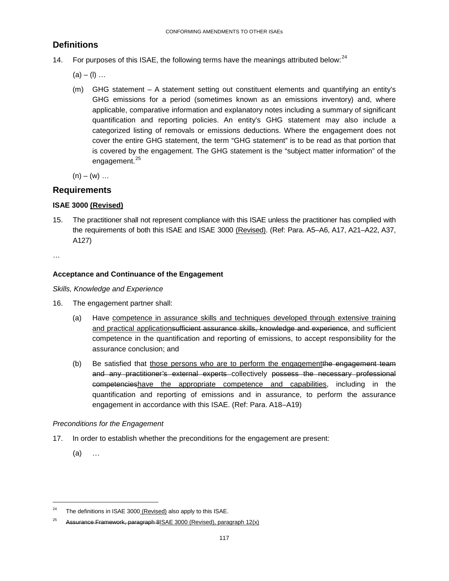# **Definitions**

- 14. For purposes of this ISAE, the following terms have the meanings attributed below:  $24$ 
	- $(a) (1)$  ...
	- (m) GHG statement A statement setting out constituent elements and quantifying an entity's GHG emissions for a period (sometimes known as an emissions inventory) and, where applicable, comparative information and explanatory notes including a summary of significant quantification and reporting policies. An entity's GHG statement may also include a categorized listing of removals or emissions deductions. Where the engagement does not cover the entire GHG statement, the term "GHG statement" is to be read as that portion that is covered by the engagement. The GHG statement is the "subject matter information" of the engagement.<sup>[25](#page-116-0)</sup>
	- $(n) (w)$  ...

# **Requirements**

# **ISAE 3000 (Revised)**

15. The practitioner shall not represent compliance with this ISAE unless the practitioner has complied with the requirements of both this ISAE and ISAE 3000 (Revised). (Ref: Para. A5–A6, A17, A21–A22, A37, A127)

…

# **Acceptance and Continuance of the Engagement**

### *Skills, Knowledge and Experience*

- 16. The engagement partner shall:
	- (a) Have competence in assurance skills and techniques developed through extensive training and practical applicationsufficient assurance skills, knowledge and experience, and sufficient competence in the quantification and reporting of emissions, to accept responsibility for the assurance conclusion; and
	- (b) Be satisfied that those persons who are to perform the engagement the engagement team and any practitioner's external experts collectively possess the necessary professional competencieshave the appropriate competence and capabilities, including in the quantification and reporting of emissions and in assurance, to perform the assurance engagement in accordance with this ISAE. (Ref: Para. A18–A19)

# *Preconditions for the Engagement*

- 17. In order to establish whether the preconditions for the engagement are present:
	- (a) …

<span id="page-116-1"></span>The definitions in ISAE 3000 (Revised) also apply to this ISAE.

<span id="page-116-0"></span><sup>&</sup>lt;sup>25</sup> Assurance Framework, paragraph 8ISAE 3000 (Revised), paragraph  $12(x)$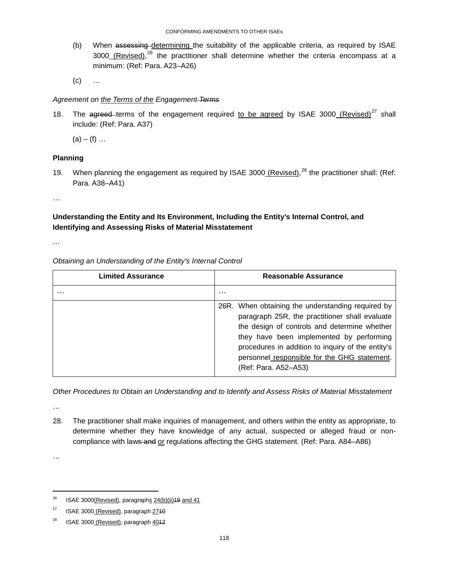- (b) When assessing determining the suitability of the applicable criteria, as required by ISAE 3000 (Revised),<sup>[26](#page-116-1)</sup> the practitioner shall determine whether the criteria encompass at a minimum: (Ref: Para. A23–A26)
- $(c)$  ...

### *Agreement on the Terms of the Engagement Terms*

18. The agreed terms of the engagement required to be agreed by ISAE 3000 (Revised)<sup>[27](#page-117-0)</sup> shall include: (Ref: Para. A37)

 $(a) - (f) \dots$ 

### **Planning**

19. When planning the engagement as required by ISAE 3000 (Revised),<sup>[28](#page-117-1)</sup> the practitioner shall: (Ref: Para. A38–A41)

…

# **Understanding the Entity and Its Environment, Including the Entity's Internal Control, and Identifying and Assessing Risks of Material Misstatement**

*…*

#### *Obtaining an Understanding of the Entity's Internal Control*

| <b>Limited Assurance</b> | <b>Reasonable Assurance</b>                                                                                                                                                                                                                                                                                                  |
|--------------------------|------------------------------------------------------------------------------------------------------------------------------------------------------------------------------------------------------------------------------------------------------------------------------------------------------------------------------|
|                          | .                                                                                                                                                                                                                                                                                                                            |
|                          | 26R. When obtaining the understanding required by<br>paragraph 25R, the practitioner shall evaluate<br>the design of controls and determine whether<br>they have been implemented by performing<br>procedures in addition to inquiry of the entity's<br>personnel responsible for the GHG statement.<br>(Ref: Para. A52-A53) |

*Other Procedures to Obtain an Understanding and to Identify and Assess Risks of Material Misstatement* 

…

28. The practitioner shall make inquiries of management, and others within the entity as appropriate, to determine whether they have knowledge of any actual, suspected or alleged fraud or noncompliance with laws and or regulations affecting the GHG statement. (Ref: Para. A84*–*A86)

<sup>…</sup>

<sup>&</sup>lt;sup>26</sup> ISAE 3000(Revised), paragraphs  $24(b)$ (ii)<sup>19</sup> and 41

<span id="page-117-0"></span> $27$  ISAE 3000 (Revised), paragraph 2740

<span id="page-117-1"></span> $28$  ISAE 3000 (Revised), paragraph  $4012$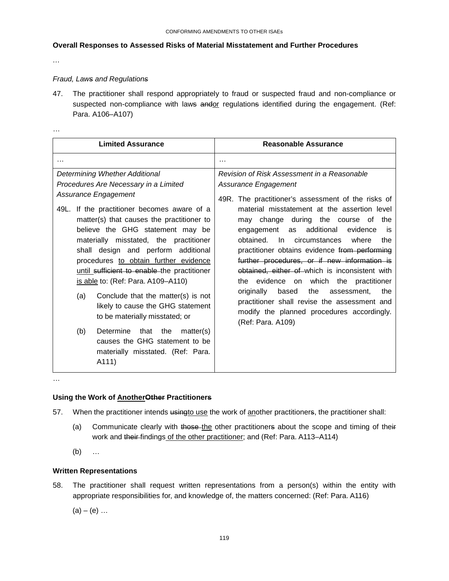### **Overall Responses to Assessed Risks of Material Misstatement and Further Procedures**

*…*

#### *Fraud, Laws and Regulations*

47. The practitioner shall respond appropriately to fraud or suspected fraud and non-compliance or suspected non-compliance with laws andor regulations identified during the engagement. (Ref: Para. A106–A107)

<sup>…</sup>

| <b>Limited Assurance</b>                                                                                                                                                                                                                                                                                                                                                                                                                                                                                                                                             | <b>Reasonable Assurance</b>                                                                                                                                                                                                                                                                                                                                                                                                                                                                                                                                                                                                                                                                              |
|----------------------------------------------------------------------------------------------------------------------------------------------------------------------------------------------------------------------------------------------------------------------------------------------------------------------------------------------------------------------------------------------------------------------------------------------------------------------------------------------------------------------------------------------------------------------|----------------------------------------------------------------------------------------------------------------------------------------------------------------------------------------------------------------------------------------------------------------------------------------------------------------------------------------------------------------------------------------------------------------------------------------------------------------------------------------------------------------------------------------------------------------------------------------------------------------------------------------------------------------------------------------------------------|
| .                                                                                                                                                                                                                                                                                                                                                                                                                                                                                                                                                                    | $\cdots$                                                                                                                                                                                                                                                                                                                                                                                                                                                                                                                                                                                                                                                                                                 |
| Determining Whether Additional<br>Procedures Are Necessary in a Limited<br>Assurance Engagement<br>49L. If the practitioner becomes aware of a<br>matter(s) that causes the practitioner to<br>believe the GHG statement may be<br>materially misstated, the practitioner<br>shall design and perform additional<br>procedures to obtain further evidence<br>until sufficient to enable the practitioner<br>is able to: $(Ref: Para. A109–A110)$<br>Conclude that the matter(s) is not<br>(a)<br>likely to cause the GHG statement<br>to be materially misstated; or | Revision of Risk Assessment in a Reasonable<br>Assurance Engagement<br>49R. The practitioner's assessment of the risks of<br>material misstatement at the assertion level<br>may change during the course of<br>the<br>additional<br>evidence<br>engagement<br>as<br>is<br>obtained.<br>$\ln$<br>circumstances<br>the<br>where<br>practitioner obtains evidence from performing<br>further procedures, or if new information is<br>obtained, either of which is inconsistent with<br>which the practitioner<br>the evidence<br>on<br>originally<br>based<br>the<br>assessment.<br>the<br>practitioner shall revise the assessment and<br>modify the planned procedures accordingly.<br>(Ref: Para. A109) |
| (b)<br>Determine<br>that the<br>matter(s)<br>causes the GHG statement to be<br>materially misstated. (Ref: Para.<br>A111)                                                                                                                                                                                                                                                                                                                                                                                                                                            |                                                                                                                                                                                                                                                                                                                                                                                                                                                                                                                                                                                                                                                                                                          |

…

### **Using the Work of AnotherOther Practitioners**

57. When the practitioner intends usingto use the work of another practitioners, the practitioner shall:

- (a) Communicate clearly with those the other practitioners about the scope and timing of their work and their findings of the other practitioner; and (Ref: Para. A113-A114)
- (b) …

### **Written Representations**

58. The practitioner shall request written representations from a person(s) within the entity with appropriate responsibilities for, and knowledge of, the matters concerned: (Ref: Para. A116)

 $(a) - (e)$  ...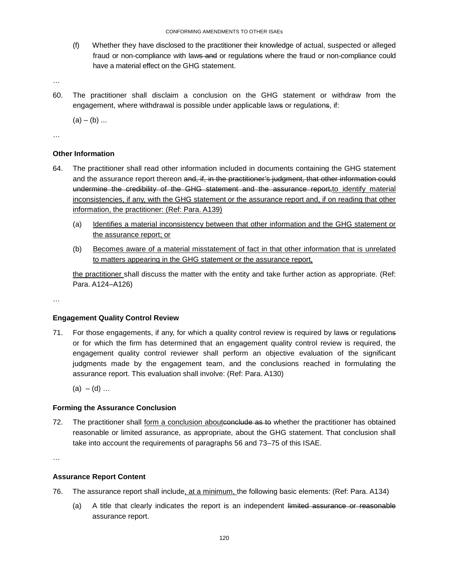(f) Whether they have disclosed to the practitioner their knowledge of actual, suspected or alleged fraud or non-compliance with laws and or regulations where the fraud or non-compliance could have a material effect on the GHG statement.

…

60. The practitioner shall disclaim a conclusion on the GHG statement or withdraw from the engagement, where withdrawal is possible under applicable laws or regulations, if:

 $(a) - (b) ...$ 

…

# **Other Information**

- 64. The practitioner shall read other information included in documents containing the GHG statement and the assurance report thereon and, if, in the practitioner's judgment, that other information could undermine the credibility of the GHG statement and the assurance report, to identify material inconsistencies, if any, with the GHG statement or the assurance report and, if on reading that other information, the practitioner: (Ref: Para. A139)
	- (a) Identifies a material inconsistency between that other information and the GHG statement or the assurance report; or
	- (b) Becomes aware of a material misstatement of fact in that other information that is unrelated to matters appearing in the GHG statement or the assurance report,

the practitioner shall discuss the matter with the entity and take further action as appropriate. (Ref: Para. A124*–*A126)

…

### **Engagement Quality Control Review**

- 71. For those engagements, if any, for which a quality control review is required by laws or regulations or for which the firm has determined that an engagement quality control review is required, the engagement quality control reviewer shall perform an objective evaluation of the significant judgments made by the engagement team, and the conclusions reached in formulating the assurance report. This evaluation shall involve: (Ref: Para. A130)
	- $(a) (d) ...$

### **Forming the Assurance Conclusion**

72. The practitioner shall form a conclusion about conclude as to whether the practitioner has obtained reasonable or limited assurance, as appropriate, about the GHG statement. That conclusion shall take into account the requirements of paragraphs 56 and 73–75 of this ISAE.

…

### **Assurance Report Content**

- 76. The assurance report shall include, at a minimum, the following basic elements: (Ref: Para. A134)
	- (a) A title that clearly indicates the report is an independent limited assurance or reasonable assurance report.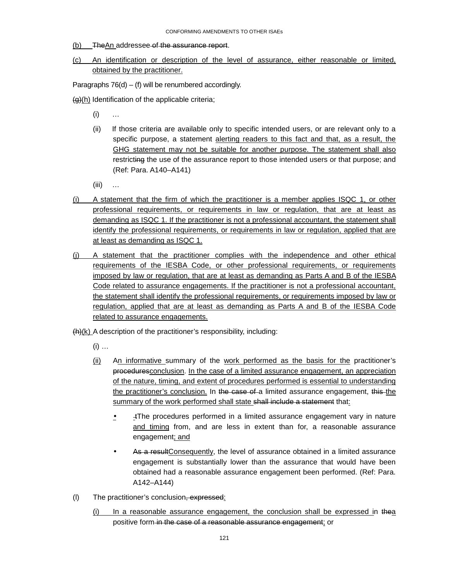- (b) TheAn addressee of the assurance report.
- (c) An identification or description of the level of assurance, either reasonable or limited, obtained by the practitioner.

Paragraphs  $76(d) - (f)$  will be renumbered accordingly.

 $(g)(h)$  Identification of the applicable criteria;

- $(i)$  …
- (ii) If those criteria are available only to specific intended users, or are relevant only to a specific purpose, a statement alerting readers to this fact and that, as a result, the GHG statement may not be suitable for another purpose. The statement shall also restricting the use of the assurance report to those intended users or that purpose; and (Ref: Para. A140–A141)
- (iii) …
- (i) A statement that the firm of which the practitioner is a member applies ISQC 1, or other professional requirements, or requirements in law or regulation, that are at least as demanding as ISQC 1. If the practitioner is not a professional accountant, the statement shall identify the professional requirements, or requirements in law or regulation, applied that are at least as demanding as ISQC 1.
- (j) A statement that the practitioner complies with the independence and other ethical requirements of the IESBA Code, or other professional requirements, or requirements imposed by law or regulation, that are at least as demanding as Parts A and B of the IESBA Code related to assurance engagements. If the practitioner is not a professional accountant, the statement shall identify the professional requirements, or requirements imposed by law or regulation, applied that are at least as demanding as Parts A and B of the IESBA Code related to assurance engagements.

(h)(k) A description of the practitioner's responsibility, including:

 $(i)$  ...

- (ii) An informative summary of the work performed as the basis for the practitioner's proceduresconclusion. In the case of a limited assurance engagement, an appreciation of the nature, timing, and extent of procedures performed is essential to understanding the practitioner's conclusion. In the case of a limited assurance engagement, this the summary of the work performed shall state shall include a statement that:
	- tThe procedures performed in a limited assurance engagement vary in nature  $\mathbf{L}$ and timing from, and are less in extent than for, a reasonable assurance engagement; and
	- As a result Consequently, the level of assurance obtained in a limited assurance engagement is substantially lower than the assurance that would have been obtained had a reasonable assurance engagement been performed. (Ref: Para. A142*–*A144)
- (l) The practitioner's conclusion, expressed:
	- (i) In a reasonable assurance engagement, the conclusion shall be expressed in thea positive form in the case of a reasonable assurance engagement; or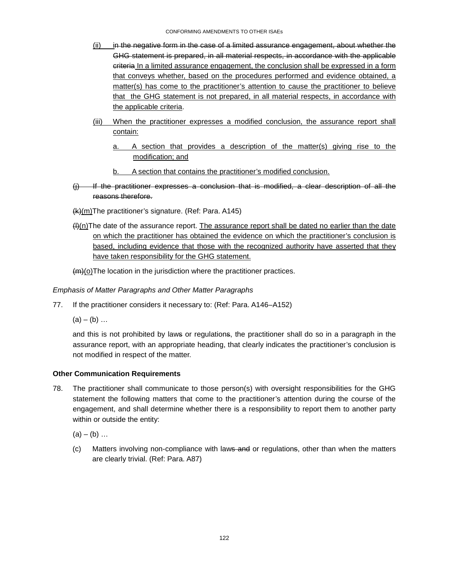- (ii) in the negative form in the case of a limited assurance engagement, about whether the GHG statement is prepared, in all material respects, in accordance with the applicable criteria In a limited assurance engagement, the conclusion shall be expressed in a form that conveys whether, based on the procedures performed and evidence obtained, a matter(s) has come to the practitioner's attention to cause the practitioner to believe that the GHG statement is not prepared, in all material respects, in accordance with the applicable criteria.
- (iii) When the practitioner expresses a modified conclusion, the assurance report shall contain:
	- a. A section that provides a description of the matter(s) giving rise to the modification; and
	- b. A section that contains the practitioner's modified conclusion.
- (j) If the practitioner expresses a conclusion that is modified, a clear description of all the reasons therefore.
- (k)(m)The practitioner's signature. (Ref: Para. A145)
- $\frac{\mu_{n}}{\ln n}$ The date of the assurance report. The assurance report shall be dated no earlier than the date on which the practitioner has obtained the evidence on which the practitioner's conclusion is based, including evidence that those with the recognized authority have asserted that they have taken responsibility for the GHG statement.

 $(m)(o)$ The location in the jurisdiction where the practitioner practices.

# *Emphasis of Matter Paragraphs and Other Matter Paragraphs*

77. If the practitioner considers it necessary to: (Ref: Para. A146–A152)

 $(a) - (b) \dots$ 

and this is not prohibited by laws or regulations, the practitioner shall do so in a paragraph in the assurance report, with an appropriate heading, that clearly indicates the practitioner's conclusion is not modified in respect of the matter.

# **Other Communication Requirements**

78. The practitioner shall communicate to those person(s) with oversight responsibilities for the GHG statement the following matters that come to the practitioner's attention during the course of the engagement, and shall determine whether there is a responsibility to report them to another party within or outside the entity:

 $(a) - (b) \dots$ 

(c) Matters involving non-compliance with laws and or regulations, other than when the matters are clearly trivial. (Ref: Para. A87)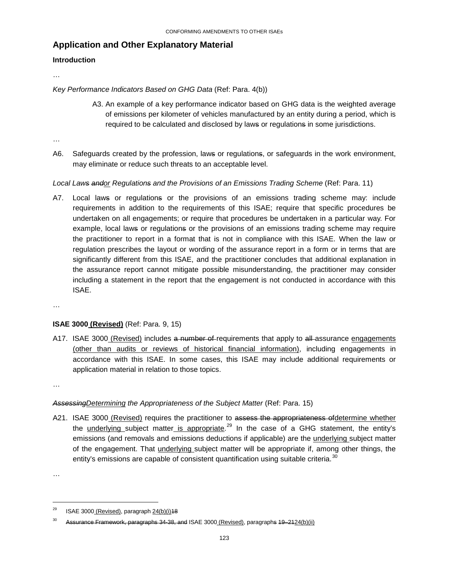# **Application and Other Explanatory Material**

# **Introduction**

…

*Key Performance Indicators Based on GHG Data* (Ref: Para. 4(b))

A3. An example of a key performance indicator based on GHG data is the weighted average of emissions per kilometer of vehicles manufactured by an entity during a period, which is required to be calculated and disclosed by laws or regulations in some jurisdictions.

…

A6. Safeguards created by the profession, laws or regulations, or safeguards in the work environment, may eliminate or reduce such threats to an acceptable level.

*Local Laws andor Regulations and the Provisions of an Emissions Trading Scheme* (Ref: Para. 11)

A7. Local laws or regulations or the provisions of an emissions trading scheme may: include requirements in addition to the requirements of this ISAE; require that specific procedures be undertaken on all engagements; or require that procedures be undertaken in a particular way. For example, local laws or regulations or the provisions of an emissions trading scheme may require the practitioner to report in a format that is not in compliance with this ISAE. When the law or regulation prescribes the layout or wording of the assurance report in a form or in terms that are significantly different from this ISAE, and the practitioner concludes that additional explanation in the assurance report cannot mitigate possible misunderstanding, the practitioner may consider including a statement in the report that the engagement is not conducted in accordance with this ISAE.

…

# **ISAE 3000 (Revised)** (Ref: Para. 9, 15)

A17. ISAE 3000 (Revised) includes a number of requirements that apply to all assurance engagements (other than audits or reviews of historical financial information), including engagements in accordance with this ISAE. In some cases, this ISAE may include additional requirements or application material in relation to those topics.

…

# *AssessingDetermining the Appropriateness of the Subject Matter* (Ref: Para. 15)

A21. ISAE 3000 (Revised) requires the practitioner to assess the appropriateness of determine whether the underlying subject matter is appropriate.<sup>[29](#page-117-0)</sup> In the case of a GHG statement, the entity's emissions (and removals and emissions deductions if applicable) are the underlying subject matter of the engagement. That underlying subject matter will be appropriate if, among other things, the entity's emissions are capable of consistent quantification using suitable criteria. $30$ 

…

<sup>&</sup>lt;sup>29</sup> ISAE 3000 (Revised), paragraph  $24(b)(i)48$ 

<span id="page-122-0"></span><sup>&</sup>lt;sup>30</sup> Assurance Framework, paragraphs 34-38, and ISAE 3000 (Revised), paragraphs 19-2124(b)(ii)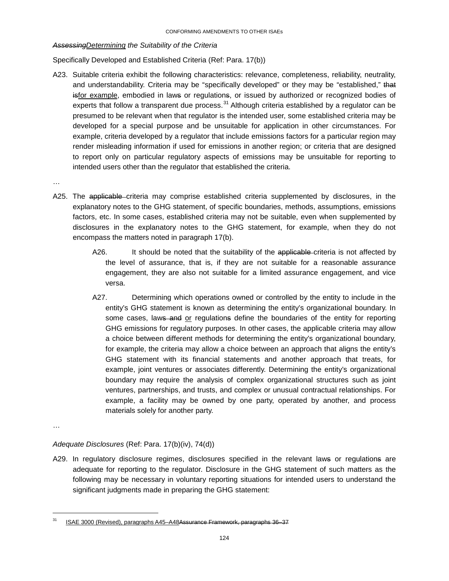### *AssessingDetermining the Suitability of the Criteria*

Specifically Developed and Established Criteria (Ref: Para. 17(b))

- A23. Suitable criteria exhibit the following characteristics: relevance, completeness, reliability, neutrality, and understandability. Criteria may be "specifically developed" or they may be "established," that isfor example, embodied in laws or regulations, or issued by authorized or recognized bodies of experts that follow a transparent due process. $31$  Although criteria established by a regulator can be presumed to be relevant when that regulator is the intended user, some established criteria may be developed for a special purpose and be unsuitable for application in other circumstances. For example, criteria developed by a regulator that include emissions factors for a particular region may render misleading information if used for emissions in another region; or criteria that are designed to report only on particular regulatory aspects of emissions may be unsuitable for reporting to intended users other than the regulator that established the criteria.
- …
- A25. The applicable criteria may comprise established criteria supplemented by disclosures, in the explanatory notes to the GHG statement, of specific boundaries, methods, assumptions, emissions factors, etc. In some cases, established criteria may not be suitable, even when supplemented by disclosures in the explanatory notes to the GHG statement, for example, when they do not encompass the matters noted in paragraph 17(b).
	- A26. It should be noted that the suitability of the applicable-criteria is not affected by the level of assurance, that is, if they are not suitable for a reasonable assurance engagement, they are also not suitable for a limited assurance engagement, and vice versa.
	- A27. Determining which operations owned or controlled by the entity to include in the entity's GHG statement is known as determining the entity's organizational boundary. In some cases, laws and or regulations define the boundaries of the entity for reporting GHG emissions for regulatory purposes. In other cases, the applicable criteria may allow a choice between different methods for determining the entity's organizational boundary, for example, the criteria may allow a choice between an approach that aligns the entity's GHG statement with its financial statements and another approach that treats, for example, joint ventures or associates differently. Determining the entity's organizational boundary may require the analysis of complex organizational structures such as joint ventures, partnerships, and trusts, and complex or unusual contractual relationships. For example, a facility may be owned by one party, operated by another, and process materials solely for another party.

…

 $\overline{\phantom{a}}$ 

*Adequate Disclosures* (Ref: Para. 17(b)(iv), 74(d))

A29. In regulatory disclosure regimes, disclosures specified in the relevant laws or regulations are adequate for reporting to the regulator. Disclosure in the GHG statement of such matters as the following may be necessary in voluntary reporting situations for intended users to understand the significant judgments made in preparing the GHG statement:

<span id="page-123-0"></span><sup>&</sup>lt;sup>31</sup> ISAE 3000 (Revised), paragraphs A45–A48Assurance Framework, paragraphs 36–37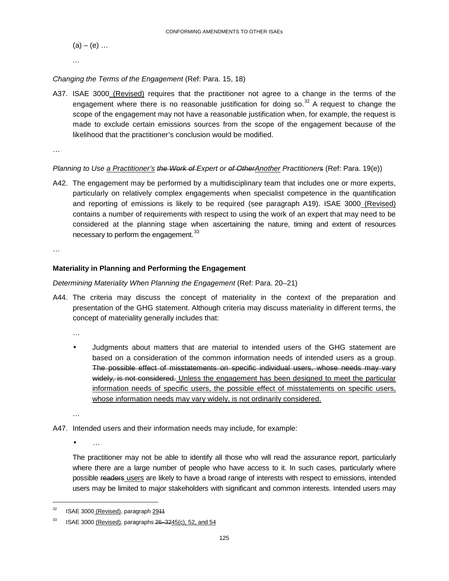$(a) - (e)$  ...

…

# *Changing the Terms of the Engagement* (Ref: Para. 15, 18)

A37. ISAE 3000 (Revised) requires that the practitioner not agree to a change in the terms of the engagement where there is no reasonable justification for doing so.<sup>[32](#page-123-0)</sup> A request to change the scope of the engagement may not have a reasonable justification when, for example, the request is made to exclude certain emissions sources from the scope of the engagement because of the likelihood that the practitioner's conclusion would be modified.

…

*Planning to Use a Practitioner's the Work of Expert or of OtherAnother Practitioners* (Ref: Para. 19(e))

A42. The engagement may be performed by a multidisciplinary team that includes one or more experts, particularly on relatively complex engagements when specialist competence in the quantification and reporting of emissions is likely to be required (see paragraph A19). ISAE 3000 (Revised) contains a number of requirements with respect to using the work of an expert that may need to be considered at the planning stage when ascertaining the nature, timing and extent of resources necessary to perform the engagement.<sup>[33](#page-124-0)</sup>

…

# **Materiality in Planning and Performing the Engagement**

*Determining Materiality When Planning the Engagement* (Ref: Para. 20–21)

A44. The criteria may discuss the concept of materiality in the context of the preparation and presentation of the GHG statement. Although criteria may discuss materiality in different terms, the concept of materiality generally includes that:

…

Judgments about matters that are material to intended users of the GHG statement are based on a consideration of the common information needs of intended users as a group. The possible effect of misstatements on specific individual users, whose needs may vary widely, is not considered. Unless the engagement has been designed to meet the particular information needs of specific users, the possible effect of misstatements on specific users, whose information needs may vary widely, is not ordinarily considered.

…

 $\overline{\phantom{a}}$ 

A47. Intended users and their information needs may include, for example:

…

The practitioner may not be able to identify all those who will read the assurance report, particularly where there are a large number of people who have access to it. In such cases, particularly where possible readers users are likely to have a broad range of interests with respect to emissions, intended users may be limited to major stakeholders with significant and common interests. Intended users may

 $32$  ISAE 3000 (Revised), paragraph 2944

<span id="page-124-0"></span><sup>33</sup> ISAE 3000 (Revised), paragraphs 26*–*3245(c), 52, and 54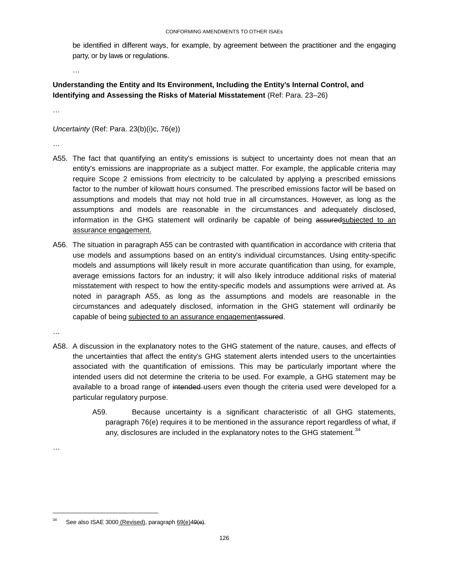be identified in different ways, for example, by agreement between the practitioner and the engaging party, or by laws or regulations.

**Understanding the Entity and Its Environment, Including the Entity's Internal Control, and Identifying and Assessing the Risks of Material Misstatement** (Ref: Para. 23–26)

…

…

*Uncertainty* (Ref: Para. 23(b)(i)c, 76(e))

…

- A55. The fact that quantifying an entity's emissions is subject to uncertainty does not mean that an entity's emissions are inappropriate as a subject matter. For example, the applicable criteria may require Scope 2 emissions from electricity to be calculated by applying a prescribed emissions factor to the number of kilowatt hours consumed. The prescribed emissions factor will be based on assumptions and models that may not hold true in all circumstances. However, as long as the assumptions and models are reasonable in the circumstances and adequately disclosed, information in the GHG statement will ordinarily be capable of being assuredsubjected to an assurance engagement.
- A56. The situation in paragraph A55 can be contrasted with quantification in accordance with criteria that use models and assumptions based on an entity's individual circumstances. Using entity-specific models and assumptions will likely result in more accurate quantification than using, for example, average emissions factors for an industry; it will also likely introduce additional risks of material misstatement with respect to how the entity-specific models and assumptions were arrived at. As noted in paragraph A55, as long as the assumptions and models are reasonable in the circumstances and adequately disclosed, information in the GHG statement will ordinarily be capable of being subjected to an assurance engagementassured.

…

…

- A58. A discussion in the explanatory notes to the GHG statement of the nature, causes, and effects of the uncertainties that affect the entity's GHG statement alerts intended users to the uncertainties associated with the quantification of emissions. This may be particularly important where the intended users did not determine the criteria to be used. For example, a GHG statement may be available to a broad range of intended-users even though the criteria used were developed for a particular regulatory purpose.
	- A59. Because uncertainty is a significant characteristic of all GHG statements, paragraph 76(e) requires it to be mentioned in the assurance report regardless of what, if any, disclosures are included in the explanatory notes to the GHG statement.  $34$

<span id="page-125-0"></span>See also ISAE 3000 (Revised), paragraph 69(e)49(e).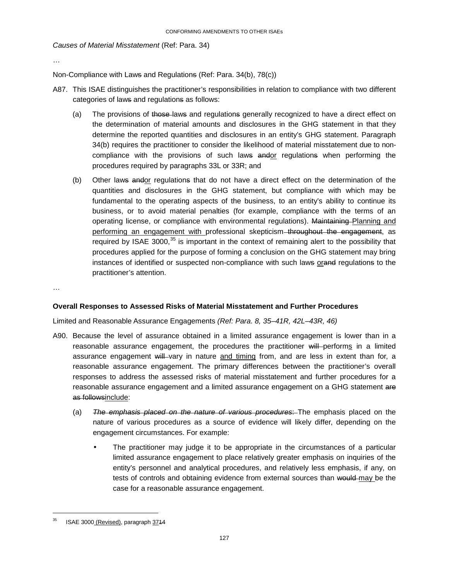*Causes of Material Misstatement* (Ref: Para. 34)

…

Non-Compliance with Laws and Regulations (Ref: Para. 34(b), 78(c))

- A87. This ISAE distinguishes the practitioner's responsibilities in relation to compliance with two different categories of laws and regulations as follows:
	- (a) The provisions of those-laws and regulations generally recognized to have a direct effect on the determination of material amounts and disclosures in the GHG statement in that they determine the reported quantities and disclosures in an entity's GHG statement. Paragraph 34(b) requires the practitioner to consider the likelihood of material misstatement due to noncompliance with the provisions of such laws andor regulations when performing the procedures required by paragraphs 33L or 33R; and
	- (b) Other laws andor regulations that do not have a direct effect on the determination of the quantities and disclosures in the GHG statement, but compliance with which may be fundamental to the operating aspects of the business, to an entity's ability to continue its business, or to avoid material penalties (for example, compliance with the terms of an operating license, or compliance with environmental regulations). Maintaining Planning and performing an engagement with professional skepticism-throughout the engagement, as required by ISAE 3000, $35$  is important in the context of remaining alert to the possibility that procedures applied for the purpose of forming a conclusion on the GHG statement may bring instances of identified or suspected non-compliance with such laws orand regulations to the practitioner's attention.

…

<span id="page-126-0"></span> $\overline{\phantom{a}}$ 

# **Overall Responses to Assessed Risks of Material Misstatement and Further Procedures**

Limited and Reasonable Assurance Engagements *(Ref: Para. 8, 35–41R, 42L–43R, 46)*

- A90. Because the level of assurance obtained in a limited assurance engagement is lower than in a reasonable assurance engagement, the procedures the practitioner will performs in a limited assurance engagement will vary in nature and timing from, and are less in extent than for, a reasonable assurance engagement. The primary differences between the practitioner's overall responses to address the assessed risks of material misstatement and further procedures for a reasonable assurance engagement and a limited assurance engagement on a GHG statement are as followsinclude:
	- (a) *The emphasis placed on the nature of various procedures*: The emphasis placed on the nature of various procedures as a source of evidence will likely differ, depending on the engagement circumstances. For example:
		- The practitioner may judge it to be appropriate in the circumstances of a particular limited assurance engagement to place relatively greater emphasis on inquiries of the entity's personnel and analytical procedures, and relatively less emphasis, if any, on tests of controls and obtaining evidence from external sources than would may be the case for a reasonable assurance engagement.

<sup>35</sup> ISAE 3000 (Revised), paragraph 3714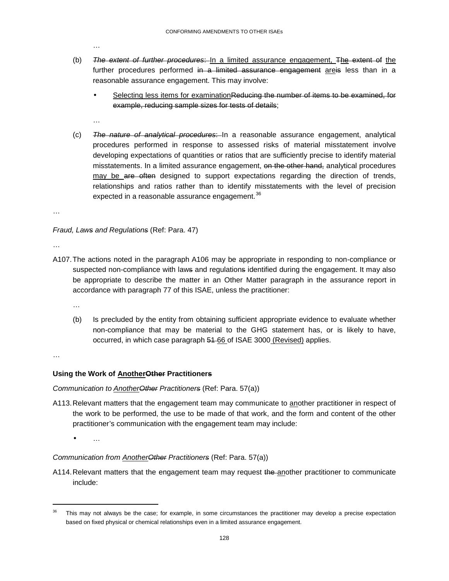…

- (b) *The extent of further procedures*: In a limited assurance engagement, The extent of the further procedures performed in a limited assurance engagement areis less than in a reasonable assurance engagement. This may involve:
	- Selecting less items for examinationReducing the number of items to be examined, for example, reducing sample sizes for tests of details;
	- …
- (c) *The nature of analytical procedures*: In a reasonable assurance engagement, analytical procedures performed in response to assessed risks of material misstatement involve developing expectations of quantities or ratios that are sufficiently precise to identify material misstatements. In a limited assurance engagement, on the other hand, analytical procedures may be are often designed to support expectations regarding the direction of trends, relationships and ratios rather than to identify misstatements with the level of precision expected in a reasonable assurance engagement.<sup>[36](#page-126-0)</sup>

…

*Fraud, Laws and Regulations* (Ref: Para. 47)

…

A107.The actions noted in the paragraph A106 may be appropriate in responding to non-compliance or suspected non-compliance with laws and regulations identified during the engagement. It may also be appropriate to describe the matter in an Other Matter paragraph in the assurance report in accordance with paragraph 77 of this ISAE, unless the practitioner:

…

(b) Is precluded by the entity from obtaining sufficient appropriate evidence to evaluate whether non-compliance that may be material to the GHG statement has, or is likely to have, occurred, in which case paragraph 51 66 of ISAE 3000 (Revised) applies.

…

 $\overline{\phantom{a}}$ 

# **Using the Work of AnotherOther Practitioners**

# *Communication to AnotherOther Practitioners* (Ref: Para. 57(a))

A113. Relevant matters that the engagement team may communicate to another practitioner in respect of the work to be performed, the use to be made of that work, and the form and content of the other practitioner's communication with the engagement team may include:

…

# *Communication from AnotherOther Practitioners* (Ref: Para. 57(a))

A114. Relevant matters that the engagement team may request the another practitioner to communicate include:

<span id="page-127-0"></span>This may not always be the case; for example, in some circumstances the practitioner may develop a precise expectation based on fixed physical or chemical relationships even in a limited assurance engagement.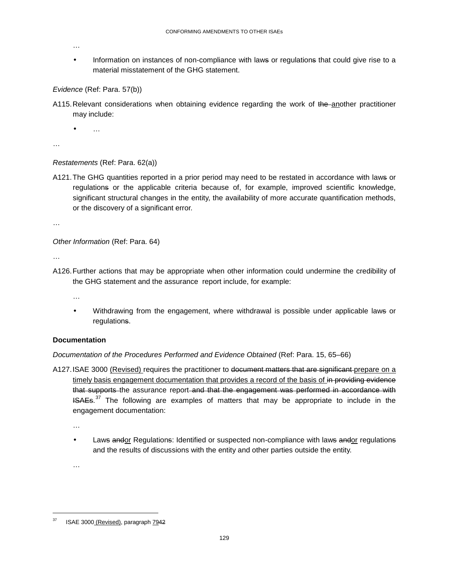… ×

Information on instances of non-compliance with laws or regulations that could give rise to a material misstatement of the GHG statement.

*Evidence* (Ref: Para. 57(b))

A115. Relevant considerations when obtaining evidence regarding the work of the another practitioner may include:

 $\mathbf{r}$ …

…

*Restatements* (Ref: Para. 62(a))

A121.The GHG quantities reported in a prior period may need to be restated in accordance with laws or regulations or the applicable criteria because of, for example, improved scientific knowledge, significant structural changes in the entity, the availability of more accurate quantification methods, or the discovery of a significant error.

…

*Other Information* (Ref: Para. 64)

…

A126.Further actions that may be appropriate when other information could undermine the credibility of the GHG statement and the assurance report include, for example:

…

 $\mathbf{r}$ 

Withdrawing from the engagement, where withdrawal is possible under applicable laws or regulations.

# **Documentation**

*Documentation of the Procedures Performed and Evidence Obtained* (Ref: Para. 15, 65–66)

A127. ISAE 3000 (Revised) requires the practitioner to document matters that are significant prepare on a timely basis engagement documentation that provides a record of the basis of in providing evidence that supports the assurance report and that the engagement was performed in accordance with **ISAEs.**<sup>[37](#page-127-0)</sup> The following are examples of matters that may be appropriate to include in the engagement documentation:

…

Laws andor Regulations: Identified or suspected non-compliance with laws andor regulations and the results of discussions with the entity and other parties outside the entity.

…

<span id="page-128-0"></span> $37$  ISAE 3000 (Revised), paragraph 7942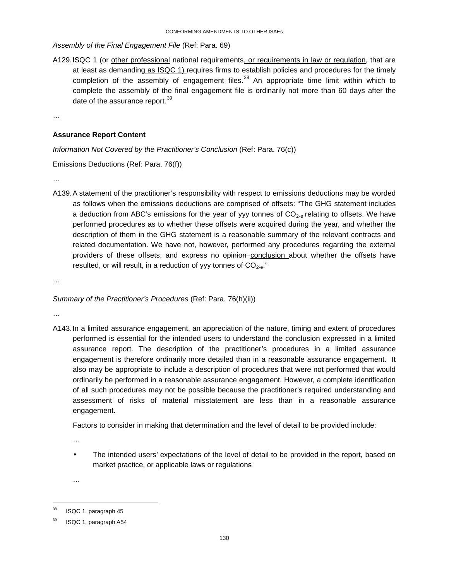### *Assembly of the Final Engagement File* (Ref: Para. 69)

A129. ISQC 1 (or other professional national-requirements, or requirements in law or regulation, that are at least as demanding as ISQC 1) requires firms to establish policies and procedures for the timely completion of the assembly of engagement files. $38$  An appropriate time limit within which to complete the assembly of the final engagement file is ordinarily not more than 60 days after the date of the assurance report.<sup>[39](#page-129-0)</sup>

…

### **Assurance Report Content**

*Information Not Covered by the Practitioner's Conclusion* (Ref: Para. 76(c))

Emissions Deductions (Ref: Para. 76(f))

…

A139.A statement of the practitioner's responsibility with respect to emissions deductions may be worded as follows when the emissions deductions are comprised of offsets: "The GHG statement includes a deduction from ABC's emissions for the year of yyy tonnes of  $CO<sub>2-e</sub>$  relating to offsets. We have performed procedures as to whether these offsets were acquired during the year, and whether the description of them in the GHG statement is a reasonable summary of the relevant contracts and related documentation. We have not, however, performed any procedures regarding the external providers of these offsets, and express no opinion conclusion about whether the offsets have resulted, or will result, in a reduction of yyy tonnes of  $CO_{2-e}$ ."

…

# *Summary of the Practitioner's Procedures* (Ref: Para. 76(h)(ii))

…

A143.In a limited assurance engagement, an appreciation of the nature, timing and extent of procedures performed is essential for the intended users to understand the conclusion expressed in a limited assurance report. The description of the practitioner's procedures in a limited assurance engagement is therefore ordinarily more detailed than in a reasonable assurance engagement. It also may be appropriate to include a description of procedures that were not performed that would ordinarily be performed in a reasonable assurance engagement. However, a complete identification of all such procedures may not be possible because the practitioner's required understanding and assessment of risks of material misstatement are less than in a reasonable assurance engagement.

Factors to consider in making that determination and the level of detail to be provided include:

…

The intended users' expectations of the level of detail to be provided in the report, based on t. market practice, or applicable laws or regulations

…

<span id="page-129-1"></span>ISQC 1, paragraph 45

<span id="page-129-0"></span> $39$  ISQC 1, paragraph A54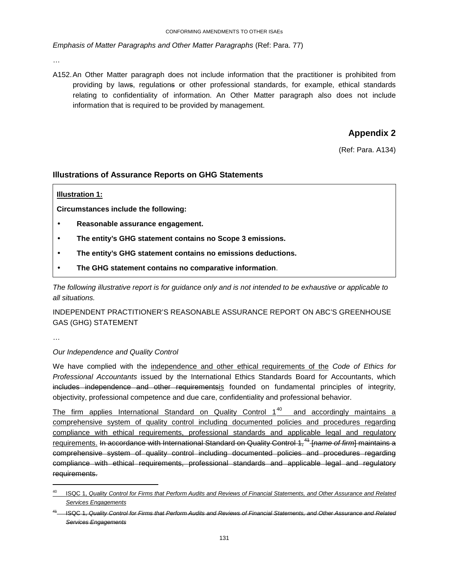*Emphasis of Matter Paragraphs and Other Matter Paragraphs* (Ref: Para. 77)

…

A152.An Other Matter paragraph does not include information that the practitioner is prohibited from providing by laws, regulations or other professional standards, for example, ethical standards relating to confidentiality of information. An Other Matter paragraph also does not include information that is required to be provided by management.

# **Appendix 2**

(Ref: Para. A134)

# **Illustrations of Assurance Reports on GHG Statements**

# **Illustration 1:**

**Circumstances include the following:**

- **Reasonable assurance engagement.**
- **The entity's GHG statement contains no Scope 3 emissions.**
- **The entity's GHG statement contains no emissions deductions.**
- **The GHG statement contains no comparative information**.

*The following illustrative report is for guidance only and is not intended to be exhaustive or applicable to all situations.*

INDEPENDENT PRACTITIONER'S REASONABLE ASSURANCE REPORT ON ABC'S GREENHOUSE GAS (GHG) STATEMENT

…

 $\overline{\phantom{a}}$ 

### *Our Independence and Quality Control*

We have complied with the independence and other ethical requirements of the *Code of Ethics for Professional Accountants* issued by the International Ethics Standards Board for Accountants, which includes independence and other requirementsis founded on fundamental principles of integrity, objectivity, professional competence and due care, confidentiality and professional behavior.

The firm applies International Standard on Quality Control  $1^{40}$  $1^{40}$  $1^{40}$  and accordingly maintains a comprehensive system of quality control including documented policies and procedures regarding compliance with ethical requirements, professional standards and applicable legal and regulatory requirements. In accordance with International Standard on Quality Control 1,<sup>[41](#page-130-0)</sup> [*name of firm*] maintains a comprehensive system of quality control including documented policies and procedures regarding compliance with ethical requirements, professional standards and applicable legal and regulatory requirements.

<span id="page-130-1"></span><sup>40</sup> ISQC 1, *Quality Control for Firms that Perform Audits and Reviews of Financial Statements, and Other Assurance and Related Services Engagements*

<span id="page-130-0"></span><sup>41</sup> ISQC 1, *Quality Control for Firms that Perform Audits and Reviews of Financial Statements, and Other Assurance and Related Services Engagements*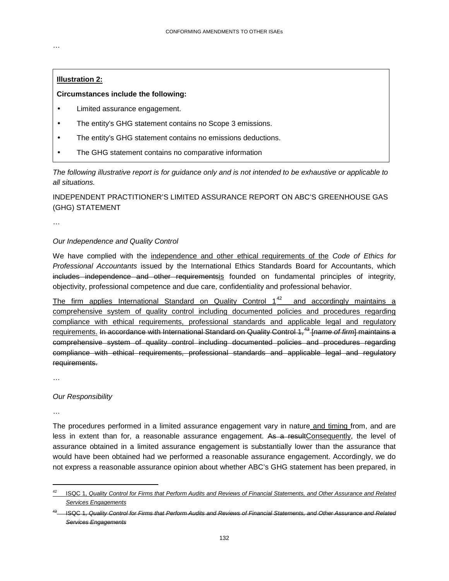### **Illustration 2:**

…

### **Circumstances include the following:**

- Limited assurance engagement.
- The entity's GHG statement contains no Scope 3 emissions.
- The entity's GHG statement contains no emissions deductions.
- The GHG statement contains no comparative information

*The following illustrative report is for guidance only and is not intended to be exhaustive or applicable to all situations.*

INDEPENDENT PRACTITIONER'S LIMITED ASSURANCE REPORT ON ABC'S GREENHOUSE GAS (GHG) STATEMENT

…

#### *Our Independence and Quality Control*

We have complied with the independence and other ethical requirements of the *Code of Ethics for Professional Accountants* issued by the International Ethics Standards Board for Accountants, which includes independence and other requirementsis founded on fundamental principles of integrity, objectivity, professional competence and due care, confidentiality and professional behavior.

The firm applies International Standard on Quality Control  $1^{42}$  $1^{42}$  $1^{42}$  and accordingly maintains a comprehensive system of quality control including documented policies and procedures regarding compliance with ethical requirements, professional standards and applicable legal and regulatory requirements. In accordance with International Standard on Quality Control 1,[43](#page-131-0) [*name of firm*] maintains a comprehensive system of quality control including documented policies and procedures regarding compliance with ethical requirements, professional standards and applicable legal and regulatory requirements.

…

### *Our Responsibility*

…

 $\overline{\phantom{a}}$ 

<span id="page-131-1"></span>The procedures performed in a limited assurance engagement vary in nature and timing from, and are less in extent than for, a reasonable assurance engagement. As a result Consequently, the level of assurance obtained in a limited assurance engagement is substantially lower than the assurance that would have been obtained had we performed a reasonable assurance engagement. Accordingly, we do not express a reasonable assurance opinion about whether ABC's GHG statement has been prepared, in

<sup>42</sup> ISQC 1, *Quality Control for Firms that Perform Audits and Reviews of Financial Statements, and Other Assurance and Related Services Engagements*

<span id="page-131-0"></span><sup>43</sup> ISQC 1, *Quality Control for Firms that Perform Audits and Reviews of Financial Statements, and Other Assurance and Related Services Engagements*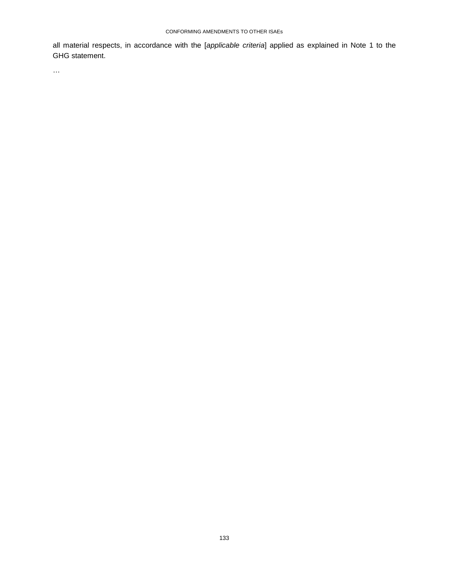all material respects, in accordance with the [*applicable criteria*] applied as explained in Note 1 to the GHG statement.

…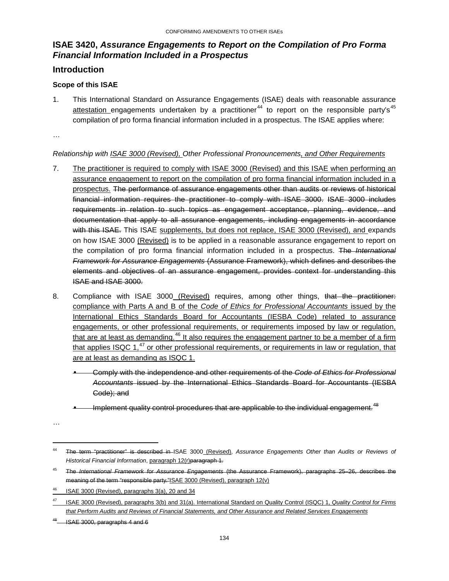# **ISAE 3420,** *Assurance Engagements to Report on the Compilation of Pro Forma Financial Information Included in a Prospectus*

# **Introduction**

# **Scope of this ISAE**

1. This International Standard on Assurance Engagements (ISAE) deals with reasonable assurance attestation engagements undertaken by a practitioner<sup>[44](#page-131-1)</sup> to report on the responsible party's<sup>[45](#page-133-0)</sup> compilation of pro forma financial information included in a prospectus. The ISAE applies where:

…

# *Relationship with ISAE 3000 (Revised), Other Professional Pronouncements, and Other Requirements*

- 7. The practitioner is required to comply with ISAE 3000 (Revised) and this ISAE when performing an assurance engagement to report on the compilation of pro forma financial information included in a prospectus. The performance of assurance engagements other than audits or reviews of historical financial information requires the practitioner to comply with ISAE 3000. ISAE 3000 includes requirements in relation to such topics as engagement acceptance, planning, evidence, and documentation that apply to all assurance engagements, including engagements in accordance with this ISAE. This ISAE supplements, but does not replace, ISAE 3000 (Revised), and expands on how ISAE 3000 (Revised) is to be applied in a reasonable assurance engagement to report on the compilation of pro forma financial information included in a prospectus. The *International Framework for Assurance Engagements* (Assurance Framework), which defines and describes the elements and objectives of an assurance engagement, provides context for understanding this ISAE and ISAE 3000.
- 8. Compliance with ISAE 3000 (Revised) requires, among other things, that the practitioner: compliance with Parts A and B of the *Code of Ethics for Professional Accountants* issued by the International Ethics Standards Board for Accountants (IESBA Code) related to assurance engagements, or other professional requirements, or requirements imposed by law or regulation, that are at least as demanding.<sup>[46](#page-133-1)</sup> It also requires the engagement partner to be a member of a firm that applies ISQC  $1,47$  $1,47$  or other professional requirements, or requirements in law or regulation, that are at least as demanding as ISQC 1.

Comply with the independence and other requirements of the *Code of Ethics for Professional Accountants* issued by the International Ethics Standards Board for Accountants (IESBA Code); and

Implement quality control procedures that are applicable to the individual engagement.<sup>[48](#page-133-3)</sup>

…

<sup>44</sup> The term "practitioner" is described in ISAE 3000 (Revised), *Assurance Engagements Other than Audits or Reviews of Historical Financial Information*, paragraph 12(r)paragraph 1.

<span id="page-133-0"></span><sup>45</sup> The *International Framework for Assurance Engagements* (the Assurance Framework), paragraphs 25–26, describes the meaning of the term "responsible party." SAE 3000 (Revised), paragraph 12(v)

<span id="page-133-1"></span>ISAE 3000 (Revised), paragraphs 3(a), 20 and 34

<span id="page-133-2"></span><sup>47</sup> ISAE 3000 (Revised), paragraphs 3(b) and 31(a). International Standard on Quality Control (ISQC) 1, *Quality Control for Firms that Perform Audits and Reviews of Financial Statements, and Other Assurance and Related Services Engagements*

<span id="page-133-3"></span> $48$  ISAE 3000, paragraphs 4 and 6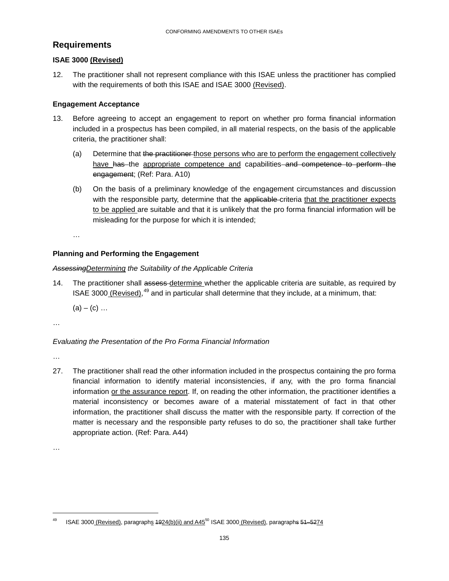# **Requirements**

# **ISAE 3000 (Revised)**

12. The practitioner shall not represent compliance with this ISAE unless the practitioner has complied with the requirements of both this ISAE and ISAE 3000 (Revised).

# **Engagement Acceptance**

- 13. Before agreeing to accept an engagement to report on whether pro forma financial information included in a prospectus has been compiled, in all material respects, on the basis of the applicable criteria, the practitioner shall:
	- (a) Determine that the practitioner those persons who are to perform the engagement collectively have has the appropriate competence and capabilities and competence to perform the engagement; (Ref: Para. A10)
	- (b) On the basis of a preliminary knowledge of the engagement circumstances and discussion with the responsible party, determine that the applicable-criteria that the practitioner expects to be applied are suitable and that it is unlikely that the pro forma financial information will be misleading for the purpose for which it is intended;

…

# **Planning and Performing the Engagement**

# *AssessingDetermining the Suitability of the Applicable Criteria*

14. The practitioner shall assess-determine whether the applicable criteria are suitable, as required by ISAE 3000 (Revised),<sup>[49](#page-133-3)</sup> and in particular shall determine that they include, at a minimum, that:

 $(a) - (c)$  ...

…

# *Evaluating the Presentation of the Pro Forma Financial Information*

…

27. The practitioner shall read the other information included in the prospectus containing the pro forma financial information to identify material inconsistencies, if any, with the pro forma financial information or the assurance report. If, on reading the other information, the practitioner identifies a material inconsistency or becomes aware of a material misstatement of fact in that other information, the practitioner shall discuss the matter with the responsible party. If correction of the matter is necessary and the responsible party refuses to do so, the practitioner shall take further appropriate action. (Ref: Para. A44)

…

<span id="page-134-0"></span>ISAE 3000 (Revised), paragraphs  $4924(b)(ii)$  and A45<sup>50</sup> ISAE 3000 (Revised), paragraphs  $54$ – $5274$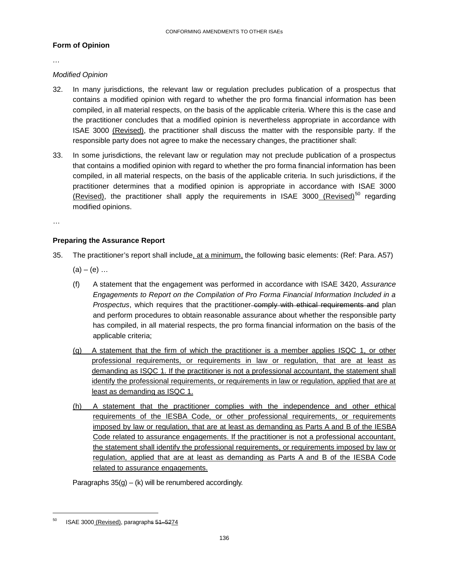### **Form of Opinion**

*…*

# *Modified Opinion*

- 32. In many jurisdictions, the relevant law or regulation precludes publication of a prospectus that contains a modified opinion with regard to whether the pro forma financial information has been compiled, in all material respects, on the basis of the applicable criteria. Where this is the case and the practitioner concludes that a modified opinion is nevertheless appropriate in accordance with ISAE 3000 (Revised), the practitioner shall discuss the matter with the responsible party. If the responsible party does not agree to make the necessary changes, the practitioner shall:
- 33. In some jurisdictions, the relevant law or regulation may not preclude publication of a prospectus that contains a modified opinion with regard to whether the pro forma financial information has been compiled, in all material respects, on the basis of the applicable criteria. In such jurisdictions, if the practitioner determines that a modified opinion is appropriate in accordance with ISAE 3000 (Revised), the practitioner shall apply the requirements in ISAE 3000 (Revised)<sup>[50](#page-134-0)</sup> regarding modified opinions.

…

<span id="page-135-0"></span> $\overline{\phantom{a}}$ 

# **Preparing the Assurance Report**

- 35. The practitioner's report shall include, at a minimum, the following basic elements: (Ref: Para. A57)
	- $(a) (e)$  ...
	- (f) A statement that the engagement was performed in accordance with ISAE 3420, *Assurance Engagements to Report on the Compilation of Pro Forma Financial Information Included in a Prospectus*, which requires that the practitioner-comply with ethical requirements and plan and perform procedures to obtain reasonable assurance about whether the responsible party has compiled, in all material respects, the pro forma financial information on the basis of the applicable criteria;
	- (g) A statement that the firm of which the practitioner is a member applies ISQC 1, or other professional requirements, or requirements in law or regulation, that are at least as demanding as ISQC 1. If the practitioner is not a professional accountant, the statement shall identify the professional requirements, or requirements in law or regulation, applied that are at least as demanding as ISQC 1.
	- (h) A statement that the practitioner complies with the independence and other ethical requirements of the IESBA Code, or other professional requirements, or requirements imposed by law or regulation, that are at least as demanding as Parts A and B of the IESBA Code related to assurance engagements. If the practitioner is not a professional accountant, the statement shall identify the professional requirements, or requirements imposed by law or regulation, applied that are at least as demanding as Parts A and B of the IESBA Code related to assurance engagements.

Paragraphs  $35(g) - (k)$  will be renumbered accordingly.

ISAE 3000 (Revised), paragraphs 51–5274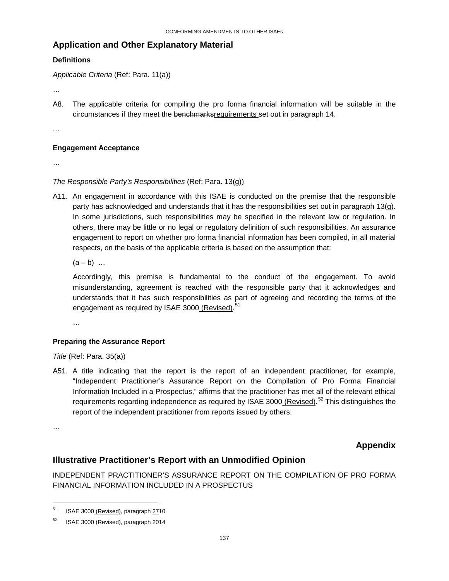# **Application and Other Explanatory Material**

### **Definitions**

*Applicable Criteria* (Ref: Para. 11(a))

…

A8. The applicable criteria for compiling the pro forma financial information will be suitable in the circumstances if they meet the benchmarksrequirements set out in paragraph 14.

*…*

# **Engagement Acceptance**

…

# *The Responsible Party's Responsibilities* (Ref: Para. 13(g))

A11. An engagement in accordance with this ISAE is conducted on the premise that the responsible party has acknowledged and understands that it has the responsibilities set out in paragraph 13(g). In some jurisdictions, such responsibilities may be specified in the relevant law or regulation. In others, there may be little or no legal or regulatory definition of such responsibilities. An assurance engagement to report on whether pro forma financial information has been compiled, in all material respects, on the basis of the applicable criteria is based on the assumption that:

 $(a - b)$  ...

Accordingly, this premise is fundamental to the conduct of the engagement. To avoid misunderstanding, agreement is reached with the responsible party that it acknowledges and understands that it has such responsibilities as part of agreeing and recording the terms of the engagement as required by ISAE 3000 (Revised).<sup>[51](#page-135-0)</sup>

…

# **Preparing the Assurance Report**

*Title* (Ref: Para. 35(a))

A51. A title indicating that the report is the report of an independent practitioner, for example, "Independent Practitioner's Assurance Report on the Compilation of Pro Forma Financial Information Included in a Prospectus," affirms that the practitioner has met all of the relevant ethical requirements regarding independence as required by ISAE 3000 (Revised).<sup>[52](#page-136-0)</sup> This distinguishes the report of the independent practitioner from reports issued by others.

…

 $\overline{\phantom{a}}$ 

# **Appendix**

# **Illustrative Practitioner's Report with an Unmodified Opinion**

INDEPENDENT PRACTITIONER'S ASSURANCE REPORT ON THE COMPILATION OF PRO FORMA FINANCIAL INFORMATION INCLUDED IN A PROSPECTUS

<span id="page-136-1"></span> $51$  ISAE 3000 (Revised), paragraph  $2740$ 

<span id="page-136-0"></span><sup>&</sup>lt;sup>52</sup> ISAE 3000 (Revised), paragraph 2044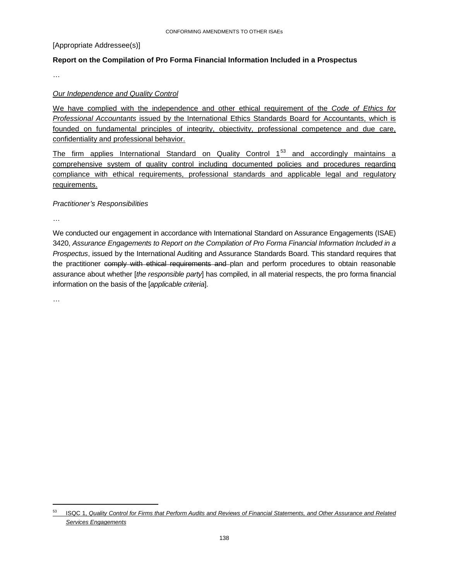### [Appropriate Addressee(s)]

# **Report on the Compilation of Pro Forma Financial Information Included in a Prospectus**

…

### *Our Independence and Quality Control*

We have complied with the independence and other ethical requirement of the *Code of Ethics for Professional Accountants* issued by the International Ethics Standards Board for Accountants, which is founded on fundamental principles of integrity, objectivity, professional competence and due care, confidentiality and professional behavior.

The firm applies International Standard on Quality Control  $1^{53}$  $1^{53}$  $1^{53}$  and accordingly maintains a comprehensive system of quality control including documented policies and procedures regarding compliance with ethical requirements, professional standards and applicable legal and regulatory requirements.

### *Practitioner's Responsibilities*

…

We conducted our engagement in accordance with International Standard on Assurance Engagements (ISAE) 3420, *Assurance Engagements to Report on the Compilation of Pro Forma Financial Information Included in a Prospectus*, issued by the International Auditing and Assurance Standards Board. This standard requires that the practitioner comply with ethical requirements and plan and perform procedures to obtain reasonable assurance about whether [*the responsible party*] has compiled, in all material respects, the pro forma financial information on the basis of the [*applicable criteria*].

…

<sup>53</sup> ISQC 1, *Quality Control for Firms that Perform Audits and Reviews of Financial Statements, and Other Assurance and Related Services Engagements*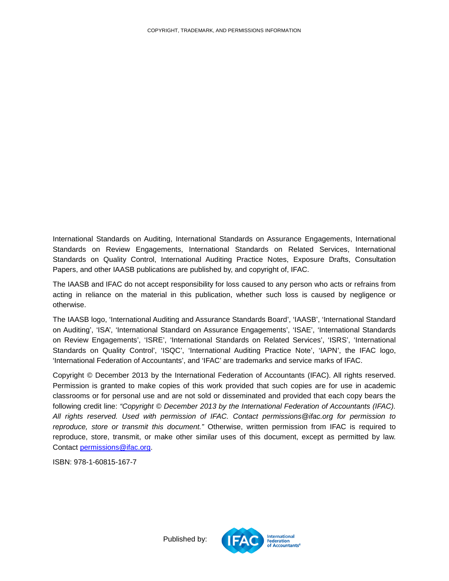International Standards on Auditing, International Standards on Assurance Engagements, International Standards on Review Engagements, International Standards on Related Services, International Standards on Quality Control, International Auditing Practice Notes, Exposure Drafts, Consultation Papers, and other IAASB publications are published by, and copyright of, IFAC.

The IAASB and IFAC do not accept responsibility for loss caused to any person who acts or refrains from acting in reliance on the material in this publication, whether such loss is caused by negligence or otherwise.

The IAASB logo, 'International Auditing and Assurance Standards Board', 'IAASB', 'International Standard on Auditing', 'ISA', 'International Standard on Assurance Engagements', 'ISAE', 'International Standards on Review Engagements', 'ISRE', 'International Standards on Related Services', 'ISRS', 'International Standards on Quality Control', 'ISQC', 'International Auditing Practice Note', 'IAPN', the IFAC logo, 'International Federation of Accountants', and 'IFAC' are trademarks and service marks of IFAC.

Copyright © December 2013 by the International Federation of Accountants (IFAC). All rights reserved. Permission is granted to make copies of this work provided that such copies are for use in academic classrooms or for personal use and are not sold or disseminated and provided that each copy bears the following credit line: *"Copyright © December 2013 by the International Federation of Accountants (IFAC). All rights reserved. Used with permission of IFAC. Contact permissions@ifac.org for permission to reproduce, store or transmit this document."* Otherwise, written permission from IFAC is required to reproduce, store, transmit, or make other similar uses of this document, except as permitted by law. Contact [permissions@ifac.org.](mailto:permissions@ifac.org)

ISBN: 978-1-60815-167-7